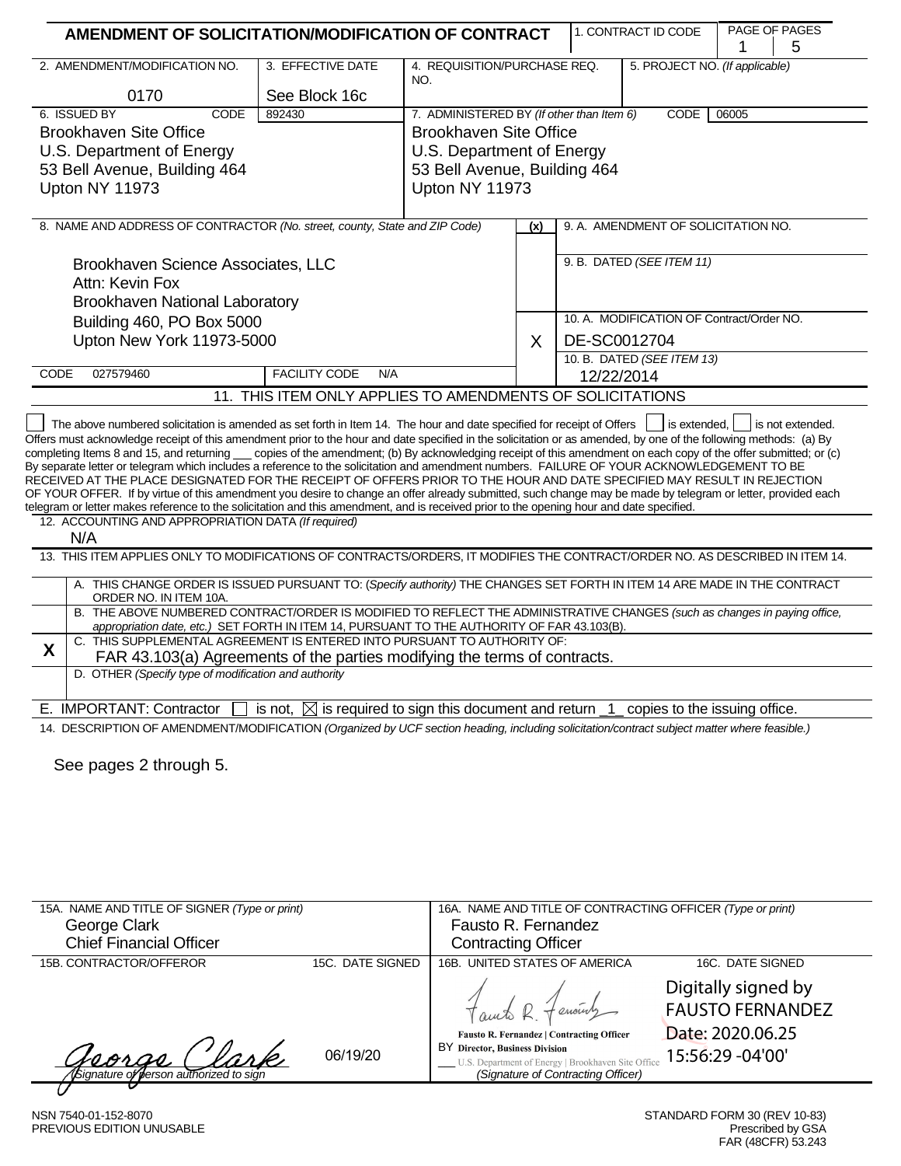| AMENDMENT OF SOLICITATION/MODIFICATION OF CONTRACT                                                                                                                                                                                                                                                                                                                                                                                                                                                                                                                                                                                                                                                                                                                                                                                                                                                                                                                                                                                                                                                               |                                                                                                            |                                           |     |              | 1. CONTRACT ID CODE                       | 1     | PAGE OF PAGES<br>5                 |
|------------------------------------------------------------------------------------------------------------------------------------------------------------------------------------------------------------------------------------------------------------------------------------------------------------------------------------------------------------------------------------------------------------------------------------------------------------------------------------------------------------------------------------------------------------------------------------------------------------------------------------------------------------------------------------------------------------------------------------------------------------------------------------------------------------------------------------------------------------------------------------------------------------------------------------------------------------------------------------------------------------------------------------------------------------------------------------------------------------------|------------------------------------------------------------------------------------------------------------|-------------------------------------------|-----|--------------|-------------------------------------------|-------|------------------------------------|
| 2. AMENDMENT/MODIFICATION NO.                                                                                                                                                                                                                                                                                                                                                                                                                                                                                                                                                                                                                                                                                                                                                                                                                                                                                                                                                                                                                                                                                    | 3. EFFECTIVE DATE                                                                                          | 4. REQUISITION/PURCHASE REQ.              |     |              | 5. PROJECT NO. (If applicable)            |       |                                    |
|                                                                                                                                                                                                                                                                                                                                                                                                                                                                                                                                                                                                                                                                                                                                                                                                                                                                                                                                                                                                                                                                                                                  |                                                                                                            | NO.                                       |     |              |                                           |       |                                    |
| 0170                                                                                                                                                                                                                                                                                                                                                                                                                                                                                                                                                                                                                                                                                                                                                                                                                                                                                                                                                                                                                                                                                                             | See Block 16c                                                                                              |                                           |     |              |                                           |       |                                    |
| 6. ISSUED BY<br><b>CODE</b>                                                                                                                                                                                                                                                                                                                                                                                                                                                                                                                                                                                                                                                                                                                                                                                                                                                                                                                                                                                                                                                                                      | 892430                                                                                                     | 7. ADMINISTERED BY (If other than Item 6) |     |              | CODE                                      | 06005 |                                    |
| <b>Brookhaven Site Office</b>                                                                                                                                                                                                                                                                                                                                                                                                                                                                                                                                                                                                                                                                                                                                                                                                                                                                                                                                                                                                                                                                                    |                                                                                                            | <b>Brookhaven Site Office</b>             |     |              |                                           |       |                                    |
| U.S. Department of Energy                                                                                                                                                                                                                                                                                                                                                                                                                                                                                                                                                                                                                                                                                                                                                                                                                                                                                                                                                                                                                                                                                        |                                                                                                            | U.S. Department of Energy                 |     |              |                                           |       |                                    |
| 53 Bell Avenue, Building 464                                                                                                                                                                                                                                                                                                                                                                                                                                                                                                                                                                                                                                                                                                                                                                                                                                                                                                                                                                                                                                                                                     |                                                                                                            | 53 Bell Avenue, Building 464              |     |              |                                           |       |                                    |
| Upton NY 11973                                                                                                                                                                                                                                                                                                                                                                                                                                                                                                                                                                                                                                                                                                                                                                                                                                                                                                                                                                                                                                                                                                   |                                                                                                            | <b>Upton NY 11973</b>                     |     |              |                                           |       |                                    |
| 8. NAME AND ADDRESS OF CONTRACTOR (No. street, county, State and ZIP Code)                                                                                                                                                                                                                                                                                                                                                                                                                                                                                                                                                                                                                                                                                                                                                                                                                                                                                                                                                                                                                                       |                                                                                                            |                                           | (x) |              | 9. A. AMENDMENT OF SOLICITATION NO.       |       |                                    |
| Brookhaven Science Associates, LLC                                                                                                                                                                                                                                                                                                                                                                                                                                                                                                                                                                                                                                                                                                                                                                                                                                                                                                                                                                                                                                                                               |                                                                                                            |                                           |     |              | 9. B. DATED (SEE ITEM 11)                 |       |                                    |
| Attn: Kevin Fox                                                                                                                                                                                                                                                                                                                                                                                                                                                                                                                                                                                                                                                                                                                                                                                                                                                                                                                                                                                                                                                                                                  |                                                                                                            |                                           |     |              |                                           |       |                                    |
| <b>Brookhaven National Laboratory</b>                                                                                                                                                                                                                                                                                                                                                                                                                                                                                                                                                                                                                                                                                                                                                                                                                                                                                                                                                                                                                                                                            |                                                                                                            |                                           |     |              |                                           |       |                                    |
| Building 460, PO Box 5000                                                                                                                                                                                                                                                                                                                                                                                                                                                                                                                                                                                                                                                                                                                                                                                                                                                                                                                                                                                                                                                                                        |                                                                                                            |                                           |     |              | 10. A. MODIFICATION OF Contract/Order NO. |       |                                    |
| Upton New York 11973-5000                                                                                                                                                                                                                                                                                                                                                                                                                                                                                                                                                                                                                                                                                                                                                                                                                                                                                                                                                                                                                                                                                        |                                                                                                            |                                           | X   | DE-SC0012704 |                                           |       |                                    |
|                                                                                                                                                                                                                                                                                                                                                                                                                                                                                                                                                                                                                                                                                                                                                                                                                                                                                                                                                                                                                                                                                                                  |                                                                                                            |                                           |     |              | 10. B. DATED (SEE ITEM 13)                |       |                                    |
| CODE<br>027579460                                                                                                                                                                                                                                                                                                                                                                                                                                                                                                                                                                                                                                                                                                                                                                                                                                                                                                                                                                                                                                                                                                | <b>FACILITY CODE</b><br>N/A                                                                                |                                           |     | 12/22/2014   |                                           |       |                                    |
|                                                                                                                                                                                                                                                                                                                                                                                                                                                                                                                                                                                                                                                                                                                                                                                                                                                                                                                                                                                                                                                                                                                  | 11. THIS ITEM ONLY APPLIES TO AMENDMENTS OF SOLICITATIONS                                                  |                                           |     |              |                                           |       |                                    |
| The above numbered solicitation is amended as set forth in Item 14. The hour and date specified for receipt of Offers<br>Offers must acknowledge receipt of this amendment prior to the hour and date specified in the solicitation or as amended, by one of the following methods: (a) By<br>completing Items 8 and 15, and returning ___ copies of the amendment; (b) By acknowledging receipt of this amendment on each copy of the offer submitted; or (c)<br>By separate letter or telegram which includes a reference to the solicitation and amendment numbers. FAILURE OF YOUR ACKNOWLEDGEMENT TO BE<br>RECEIVED AT THE PLACE DESIGNATED FOR THE RECEIPT OF OFFERS PRIOR TO THE HOUR AND DATE SPECIFIED MAY RESULT IN REJECTION<br>OF YOUR OFFER. If by virtue of this amendment you desire to change an offer already submitted, such change may be made by telegram or letter, provided each<br>telegram or letter makes reference to the solicitation and this amendment, and is received prior to the opening hour and date specified.<br>12. ACCOUNTING AND APPROPRIATION DATA (If required)<br>N/A |                                                                                                            |                                           |     |              |                                           |       | l is extended. I lis not extended. |
| 13. THIS ITEM APPLIES ONLY TO MODIFICATIONS OF CONTRACTS/ORDERS, IT MODIFIES THE CONTRACT/ORDER NO. AS DESCRIBED IN ITEM 14.                                                                                                                                                                                                                                                                                                                                                                                                                                                                                                                                                                                                                                                                                                                                                                                                                                                                                                                                                                                     |                                                                                                            |                                           |     |              |                                           |       |                                    |
| A. THIS CHANGE ORDER IS ISSUED PURSUANT TO: (Specify authority) THE CHANGES SET FORTH IN ITEM 14 ARE MADE IN THE CONTRACT<br>ORDER NO. IN ITEM 10A.                                                                                                                                                                                                                                                                                                                                                                                                                                                                                                                                                                                                                                                                                                                                                                                                                                                                                                                                                              |                                                                                                            |                                           |     |              |                                           |       |                                    |
| B. THE ABOVE NUMBERED CONTRACT/ORDER IS MODIFIED TO REFLECT THE ADMINISTRATIVE CHANGES (such as changes in paying office,<br>appropriation date, etc.) SET FORTH IN ITEM 14, PURSUANT TO THE AUTHORITY OF FAR 43.103(B).                                                                                                                                                                                                                                                                                                                                                                                                                                                                                                                                                                                                                                                                                                                                                                                                                                                                                         |                                                                                                            |                                           |     |              |                                           |       |                                    |
| C. THIS SUPPLEMENTAL AGREEMENT IS ENTERED INTO PURSUANT TO AUTHORITY OF:<br>X                                                                                                                                                                                                                                                                                                                                                                                                                                                                                                                                                                                                                                                                                                                                                                                                                                                                                                                                                                                                                                    |                                                                                                            |                                           |     |              |                                           |       |                                    |
| FAR 43.103(a) Agreements of the parties modifying the terms of contracts.<br>D. OTHER (Specify type of modification and authority                                                                                                                                                                                                                                                                                                                                                                                                                                                                                                                                                                                                                                                                                                                                                                                                                                                                                                                                                                                |                                                                                                            |                                           |     |              |                                           |       |                                    |
|                                                                                                                                                                                                                                                                                                                                                                                                                                                                                                                                                                                                                                                                                                                                                                                                                                                                                                                                                                                                                                                                                                                  |                                                                                                            |                                           |     |              |                                           |       |                                    |
| E. IMPORTANT: Contractor                                                                                                                                                                                                                                                                                                                                                                                                                                                                                                                                                                                                                                                                                                                                                                                                                                                                                                                                                                                                                                                                                         | is not, $\boxtimes$ is required to sign this document and return $\boxed{1}$ copies to the issuing office. |                                           |     |              |                                           |       |                                    |
| 14. DESCRIPTION OF AMENDMENT/MODIFICATION (Organized by UCF section heading, including solicitation/contract subject matter where feasible.)                                                                                                                                                                                                                                                                                                                                                                                                                                                                                                                                                                                                                                                                                                                                                                                                                                                                                                                                                                     |                                                                                                            |                                           |     |              |                                           |       |                                    |
|                                                                                                                                                                                                                                                                                                                                                                                                                                                                                                                                                                                                                                                                                                                                                                                                                                                                                                                                                                                                                                                                                                                  |                                                                                                            |                                           |     |              |                                           |       |                                    |
| See pages 2 through 5.                                                                                                                                                                                                                                                                                                                                                                                                                                                                                                                                                                                                                                                                                                                                                                                                                                                                                                                                                                                                                                                                                           |                                                                                                            |                                           |     |              |                                           |       |                                    |

| 15A. NAME AND TITLE OF SIGNER (Type or print)<br>George Clark<br><b>Chief Financial Officer</b> |                  | 16A. NAME AND TITLE OF CONTRACTING OFFICER (Type or print)<br>Fausto R. Fernandez<br><b>Contracting Officer</b>                                                         |                                                |
|-------------------------------------------------------------------------------------------------|------------------|-------------------------------------------------------------------------------------------------------------------------------------------------------------------------|------------------------------------------------|
| 15B. CONTRACTOR/OFFEROR                                                                         | 15C. DATE SIGNED | 16B. UNITED STATES OF AMERICA                                                                                                                                           | 16C. DATE SIGNED                               |
|                                                                                                 |                  | Fauto R. Fenounts                                                                                                                                                       | Digitally signed by<br><b>FAUSTO FERNANDEZ</b> |
| Bignature of person authorized to sign                                                          | 06/19/20         | Fausto R. Fernandez   Contracting Officer<br>BY Director, Business Division<br>U.S. Department of Energy   Brookhaven Site Office<br>(Signature of Contracting Officer) | Date: 2020.06.25<br>15:56:29 -04'00'           |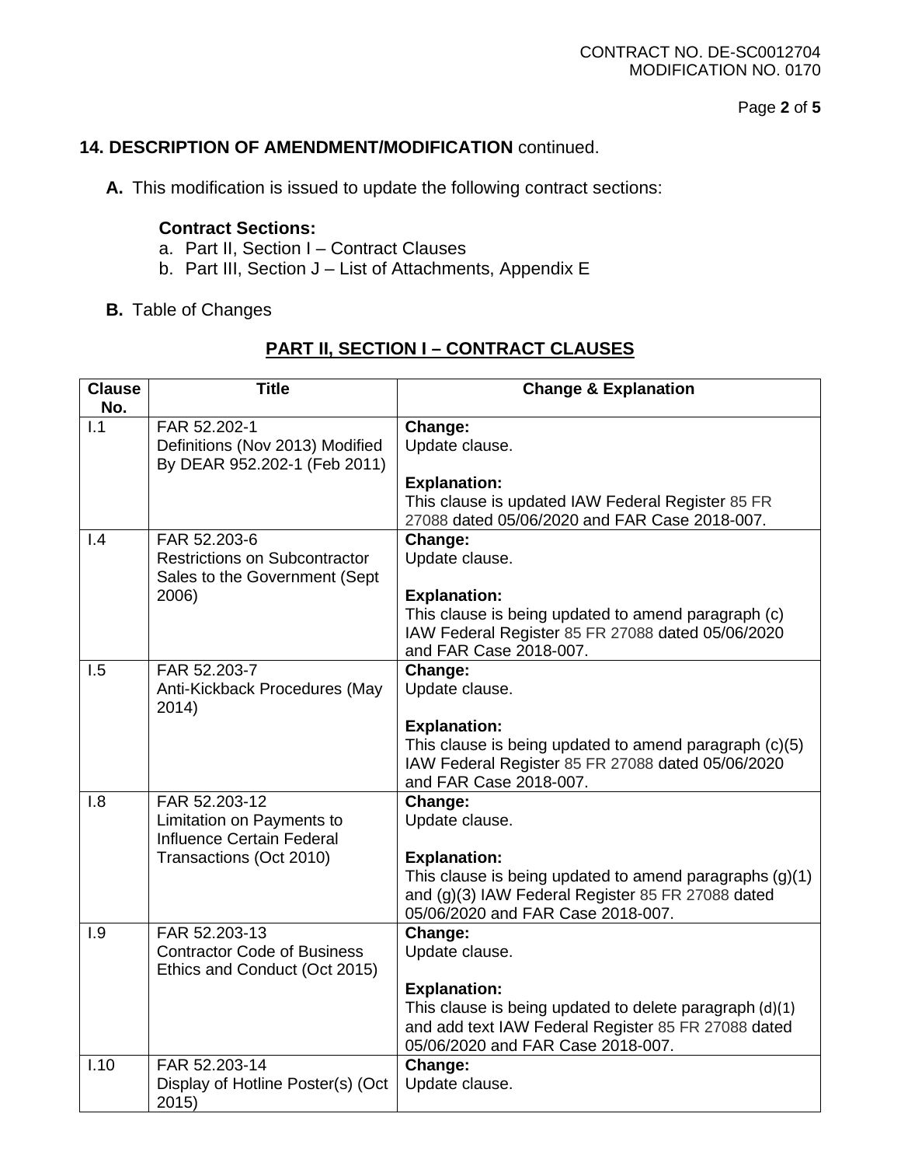Page **2** of **5**

## **14. DESCRIPTION OF AMENDMENT/MODIFICATION** continued.

**A.** This modification is issued to update the following contract sections:

#### **Contract Sections:**

- a. Part II, Section I Contract Clauses
- b. Part III, Section J List of Attachments, Appendix E
- **B.** Table of Changes

| <b>Clause</b><br>No. | <b>Title</b>                                                                                       | <b>Change &amp; Explanation</b>                                                                                                                                                                         |
|----------------------|----------------------------------------------------------------------------------------------------|---------------------------------------------------------------------------------------------------------------------------------------------------------------------------------------------------------|
| 1.1                  | FAR 52.202-1<br>Definitions (Nov 2013) Modified<br>By DEAR 952.202-1 (Feb 2011)                    | Change:<br>Update clause.<br><b>Explanation:</b><br>This clause is updated IAW Federal Register 85 FR<br>27088 dated 05/06/2020 and FAR Case 2018-007.                                                  |
| 1.4                  | FAR 52.203-6<br><b>Restrictions on Subcontractor</b><br>Sales to the Government (Sept<br>2006)     | Change:<br>Update clause.<br><b>Explanation:</b><br>This clause is being updated to amend paragraph (c)<br>IAW Federal Register 85 FR 27088 dated 05/06/2020<br>and FAR Case 2018-007.                  |
| 1.5                  | FAR 52.203-7<br>Anti-Kickback Procedures (May<br>2014)                                             | Change:<br>Update clause.<br><b>Explanation:</b><br>This clause is being updated to amend paragraph (c)(5)<br>IAW Federal Register 85 FR 27088 dated 05/06/2020<br>and FAR Case 2018-007.               |
| 1.8                  | FAR 52.203-12<br>Limitation on Payments to<br>Influence Certain Federal<br>Transactions (Oct 2010) | Change:<br>Update clause.<br><b>Explanation:</b><br>This clause is being updated to amend paragraphs (g)(1)<br>and (g)(3) IAW Federal Register 85 FR 27088 dated<br>05/06/2020 and FAR Case 2018-007.   |
| 1.9                  | FAR 52.203-13<br><b>Contractor Code of Business</b><br>Ethics and Conduct (Oct 2015)               | Change:<br>Update clause.<br><b>Explanation:</b><br>This clause is being updated to delete paragraph (d)(1)<br>and add text IAW Federal Register 85 FR 27088 dated<br>05/06/2020 and FAR Case 2018-007. |
| 1.10                 | FAR 52.203-14<br>Display of Hotline Poster(s) (Oct<br>2015)                                        | Change:<br>Update clause.                                                                                                                                                                               |

## **PART II, SECTION I – CONTRACT CLAUSES**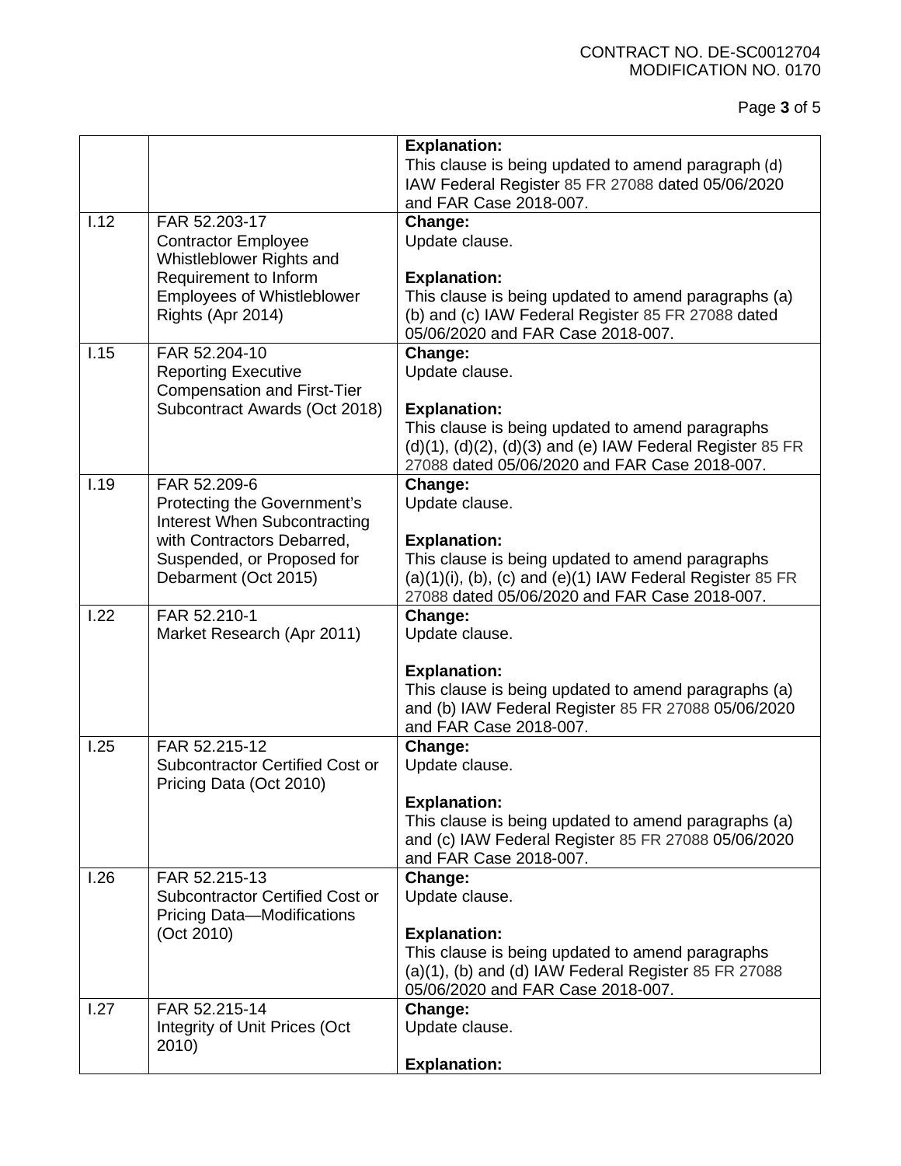Page **3** of 5

|      |                                                            | <b>Explanation:</b>                                                         |
|------|------------------------------------------------------------|-----------------------------------------------------------------------------|
|      |                                                            | This clause is being updated to amend paragraph (d)                         |
|      |                                                            | IAW Federal Register 85 FR 27088 dated 05/06/2020                           |
|      |                                                            | and FAR Case 2018-007.                                                      |
| 1.12 | FAR 52.203-17                                              | Change:                                                                     |
|      | <b>Contractor Employee</b>                                 | Update clause.                                                              |
|      | Whistleblower Rights and                                   |                                                                             |
|      | Requirement to Inform                                      | <b>Explanation:</b>                                                         |
|      | <b>Employees of Whistleblower</b>                          | This clause is being updated to amend paragraphs (a)                        |
|      | Rights (Apr 2014)                                          | (b) and (c) IAW Federal Register 85 FR 27088 dated                          |
|      |                                                            | 05/06/2020 and FAR Case 2018-007.                                           |
| 1.15 | FAR 52.204-10                                              | Change:                                                                     |
|      | <b>Reporting Executive</b>                                 | Update clause.                                                              |
|      | <b>Compensation and First-Tier</b>                         |                                                                             |
|      | Subcontract Awards (Oct 2018)                              | <b>Explanation:</b>                                                         |
|      |                                                            | This clause is being updated to amend paragraphs                            |
|      |                                                            | $(d)(1), (d)(2), (d)(3)$ and (e) IAW Federal Register 85 FR                 |
|      |                                                            | 27088 dated 05/06/2020 and FAR Case 2018-007.                               |
| 1.19 | FAR 52.209-6                                               | Change:                                                                     |
|      | Protecting the Government's                                | Update clause.                                                              |
|      | Interest When Subcontracting<br>with Contractors Debarred, | <b>Explanation:</b>                                                         |
|      | Suspended, or Proposed for                                 | This clause is being updated to amend paragraphs                            |
|      | Debarment (Oct 2015)                                       | $(a)(1)(i)$ , $(b)$ , $(c)$ and $(e)(1)$ IAW Federal Register 85 FR         |
|      |                                                            | 27088 dated 05/06/2020 and FAR Case 2018-007.                               |
| 1.22 | FAR 52.210-1                                               | Change:                                                                     |
|      | Market Research (Apr 2011)                                 | Update clause.                                                              |
|      |                                                            |                                                                             |
|      |                                                            | <b>Explanation:</b>                                                         |
|      |                                                            | This clause is being updated to amend paragraphs (a)                        |
|      |                                                            | and (b) IAW Federal Register 85 FR 27088 05/06/2020                         |
|      |                                                            | and FAR Case 2018-007.                                                      |
| 1.25 | FAR 52.215-12                                              | Change:                                                                     |
|      | <b>Subcontractor Certified Cost or</b>                     | Update clause.                                                              |
|      | Pricing Data (Oct 2010)                                    |                                                                             |
|      |                                                            | <b>Explanation:</b><br>This clause is being updated to amend paragraphs (a) |
|      |                                                            | and (c) IAW Federal Register 85 FR 27088 05/06/2020                         |
|      |                                                            | and FAR Case 2018-007.                                                      |
| 1.26 | FAR 52.215-13                                              | Change:                                                                     |
|      | Subcontractor Certified Cost or                            | Update clause.                                                              |
|      | <b>Pricing Data-Modifications</b>                          |                                                                             |
|      | (Oct 2010)                                                 | <b>Explanation:</b>                                                         |
|      |                                                            | This clause is being updated to amend paragraphs                            |
|      |                                                            | $(a)(1)$ , (b) and (d) IAW Federal Register 85 FR 27088                     |
|      |                                                            | 05/06/2020 and FAR Case 2018-007.                                           |
| 1.27 | FAR 52.215-14                                              | Change:                                                                     |
|      | Integrity of Unit Prices (Oct                              | Update clause.                                                              |
|      | 2010)                                                      |                                                                             |
|      |                                                            | <b>Explanation:</b>                                                         |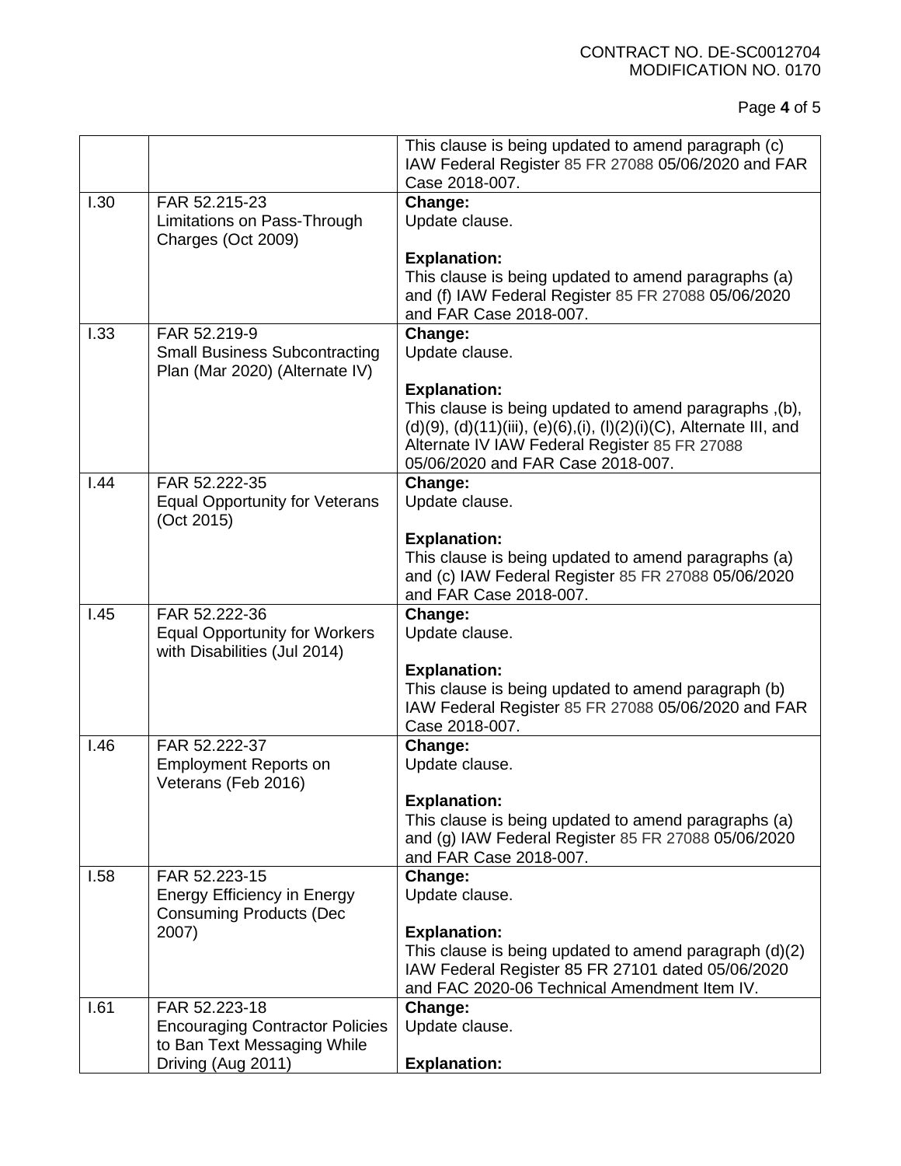Page **4** of 5

|      |                                                                                                              | This clause is being updated to amend paragraph (c)<br>IAW Federal Register 85 FR 27088 05/06/2020 and FAR<br>Case 2018-007.                                                                                                                              |
|------|--------------------------------------------------------------------------------------------------------------|-----------------------------------------------------------------------------------------------------------------------------------------------------------------------------------------------------------------------------------------------------------|
| 1.30 | FAR 52.215-23<br>Limitations on Pass-Through<br>Charges (Oct 2009)                                           | Change:<br>Update clause.<br><b>Explanation:</b><br>This clause is being updated to amend paragraphs (a)<br>and (f) IAW Federal Register 85 FR 27088 05/06/2020                                                                                           |
|      |                                                                                                              | and FAR Case 2018-007.                                                                                                                                                                                                                                    |
| 1.33 | FAR 52.219-9<br><b>Small Business Subcontracting</b><br>Plan (Mar 2020) (Alternate IV)                       | Change:<br>Update clause.                                                                                                                                                                                                                                 |
|      |                                                                                                              | <b>Explanation:</b><br>This clause is being updated to amend paragraphs, (b),<br>$(d)(9)$ , $(d)(11)(iii)$ , $(e)(6)$ , $(i)$ , $(l)(2)(i)(C)$ , Alternate III, and<br>Alternate IV IAW Federal Register 85 FR 27088<br>05/06/2020 and FAR Case 2018-007. |
| 1.44 | FAR 52.222-35<br><b>Equal Opportunity for Veterans</b><br>(Oct 2015)                                         | Change:<br>Update clause.                                                                                                                                                                                                                                 |
|      |                                                                                                              | <b>Explanation:</b><br>This clause is being updated to amend paragraphs (a)<br>and (c) IAW Federal Register 85 FR 27088 05/06/2020<br>and FAR Case 2018-007.                                                                                              |
| 1.45 | FAR 52.222-36<br><b>Equal Opportunity for Workers</b><br>with Disabilities (Jul 2014)                        | Change:<br>Update clause.<br><b>Explanation:</b><br>This clause is being updated to amend paragraph (b)                                                                                                                                                   |
|      |                                                                                                              | IAW Federal Register 85 FR 27088 05/06/2020 and FAR<br>Case 2018-007.                                                                                                                                                                                     |
| 1.46 | FAR 52.222-37<br><b>Employment Reports on</b><br>Veterans (Feb 2016)                                         | Change:<br>Update clause.                                                                                                                                                                                                                                 |
|      |                                                                                                              | <b>Explanation:</b><br>This clause is being updated to amend paragraphs (a)<br>and (g) IAW Federal Register 85 FR 27088 05/06/2020<br>and FAR Case 2018-007.                                                                                              |
| 1.58 | FAR 52.223-15<br><b>Energy Efficiency in Energy</b><br><b>Consuming Products (Dec</b>                        | Change:<br>Update clause.                                                                                                                                                                                                                                 |
|      | 2007)                                                                                                        | <b>Explanation:</b><br>This clause is being updated to amend paragraph (d)(2)<br>IAW Federal Register 85 FR 27101 dated 05/06/2020<br>and FAC 2020-06 Technical Amendment Item IV.                                                                        |
| 1.61 | FAR 52.223-18<br><b>Encouraging Contractor Policies</b><br>to Ban Text Messaging While<br>Driving (Aug 2011) | Change:<br>Update clause.<br><b>Explanation:</b>                                                                                                                                                                                                          |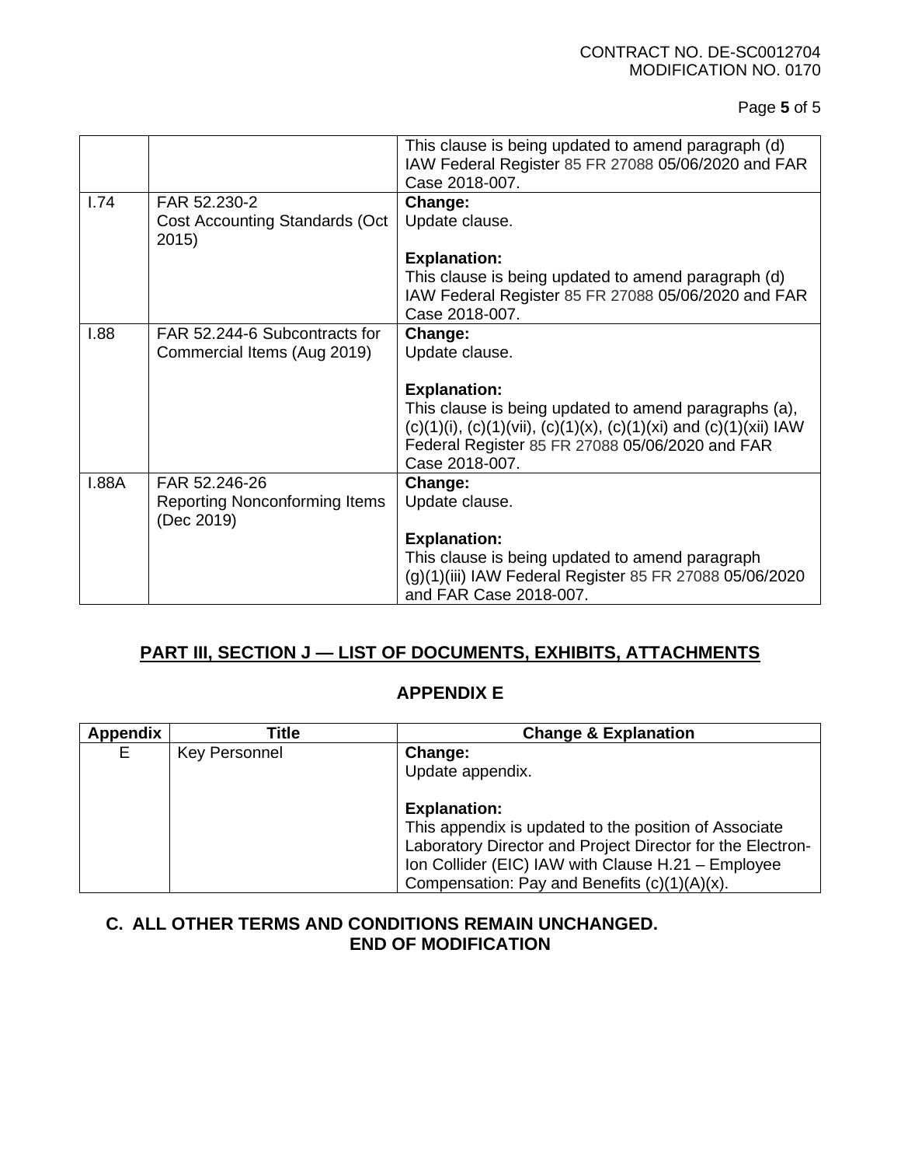Page **5** of 5

|       |                                                               | This clause is being updated to amend paragraph (d)<br>IAW Federal Register 85 FR 27088 05/06/2020 and FAR<br>Case 2018-007.                                                                                                        |
|-------|---------------------------------------------------------------|-------------------------------------------------------------------------------------------------------------------------------------------------------------------------------------------------------------------------------------|
| 1.74  | FAR 52.230-2<br><b>Cost Accounting Standards (Oct</b><br>2015 | Change:<br>Update clause.                                                                                                                                                                                                           |
|       |                                                               | <b>Explanation:</b>                                                                                                                                                                                                                 |
|       |                                                               | This clause is being updated to amend paragraph (d)<br>IAW Federal Register 85 FR 27088 05/06/2020 and FAR<br>Case 2018-007.                                                                                                        |
| 1.88  | FAR 52.244-6 Subcontracts for<br>Commercial Items (Aug 2019)  | Change:<br>Update clause.                                                                                                                                                                                                           |
|       |                                                               |                                                                                                                                                                                                                                     |
|       |                                                               | <b>Explanation:</b><br>This clause is being updated to amend paragraphs (a),<br>$(c)(1)(i)$ , $(c)(1)(vii)$ , $(c)(1)(x)$ , $(c)(1)(xi)$ and $(c)(1)(xii)$ IAW<br>Federal Register 85 FR 27088 05/06/2020 and FAR<br>Case 2018-007. |
| 1.88A | FAR 52.246-26                                                 | Change:                                                                                                                                                                                                                             |
|       | <b>Reporting Nonconforming Items</b><br>(Dec 2019)            | Update clause.                                                                                                                                                                                                                      |
|       |                                                               | <b>Explanation:</b>                                                                                                                                                                                                                 |
|       |                                                               | This clause is being updated to amend paragraph<br>(g)(1)(iii) IAW Federal Register 85 FR 27088 05/06/2020<br>and FAR Case 2018-007.                                                                                                |

## **PART III, SECTION J — LIST OF DOCUMENTS, EXHIBITS, ATTACHMENTS**

#### **APPENDIX E**

| Appendix | Title                | <b>Change &amp; Explanation</b>                            |
|----------|----------------------|------------------------------------------------------------|
| E        | <b>Key Personnel</b> | <b>Change:</b>                                             |
|          |                      | Update appendix.                                           |
|          |                      | <b>Explanation:</b>                                        |
|          |                      | This appendix is updated to the position of Associate      |
|          |                      | Laboratory Director and Project Director for the Electron- |
|          |                      | Ion Collider (EIC) IAW with Clause H.21 - Employee         |
|          |                      | Compensation: Pay and Benefits (c)(1)(A)(x).               |

## **C. ALL OTHER TERMS AND CONDITIONS REMAIN UNCHANGED. END OF MODIFICATION**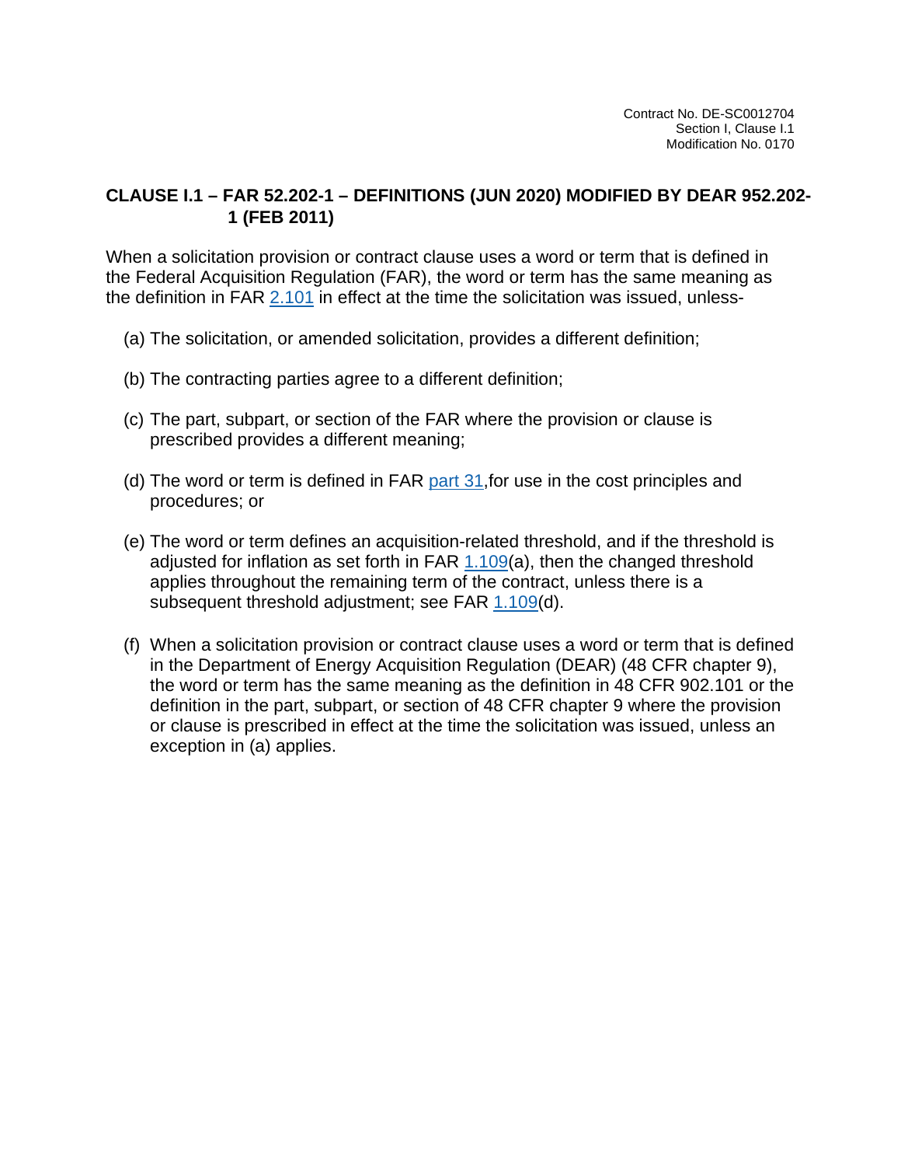## **CLAUSE I.1 – FAR 52.202-1 – DEFINITIONS (JUN 2020) MODIFIED BY DEAR 952.202- 1 (FEB 2011)**

When a solicitation provision or contract clause uses a word or term that is defined in the Federal Acquisition Regulation (FAR), the word or term has the same meaning as the definition in FAR [2.101](https://www.acquisition.gov/content/2101-definitions#i1125359) in effect at the time the solicitation was issued, unless-

- (a) The solicitation, or amended solicitation, provides a different definition;
- (b) The contracting parties agree to a different definition;
- (c) The part, subpart, or section of the FAR where the provision or clause is prescribed provides a different meaning;
- (d) The word or term is defined in FAR [part](https://www.acquisition.gov/content/part-31-contract-cost-principles-and-procedures#i1086363) 31,for use in the cost principles and procedures; or
- (e) The word or term defines an acquisition-related threshold, and if the threshold is adjusted for inflation as set forth in FAR [1.109\(](https://www.acquisition.gov/content/1109-statutory-acquisition%E2%80%93related-dollar-thresholds-adjustment-inflation#id1617MD00FX5)a), then the changed threshold applies throughout the remaining term of the contract, unless there is a subsequent threshold adjustment; see FAR [1.109\(](https://www.acquisition.gov/content/1109-statutory-acquisition%E2%80%93related-dollar-thresholds-adjustment-inflation#id1617MD00FX5)d).
- (f) When a solicitation provision or contract clause uses a word or term that is defined in the Department of Energy Acquisition Regulation (DEAR) (48 CFR chapter 9), the word or term has the same meaning as the definition in 48 CFR 902.101 or the definition in the part, subpart, or section of 48 CFR chapter 9 where the provision or clause is prescribed in effect at the time the solicitation was issued, unless an exception in (a) applies.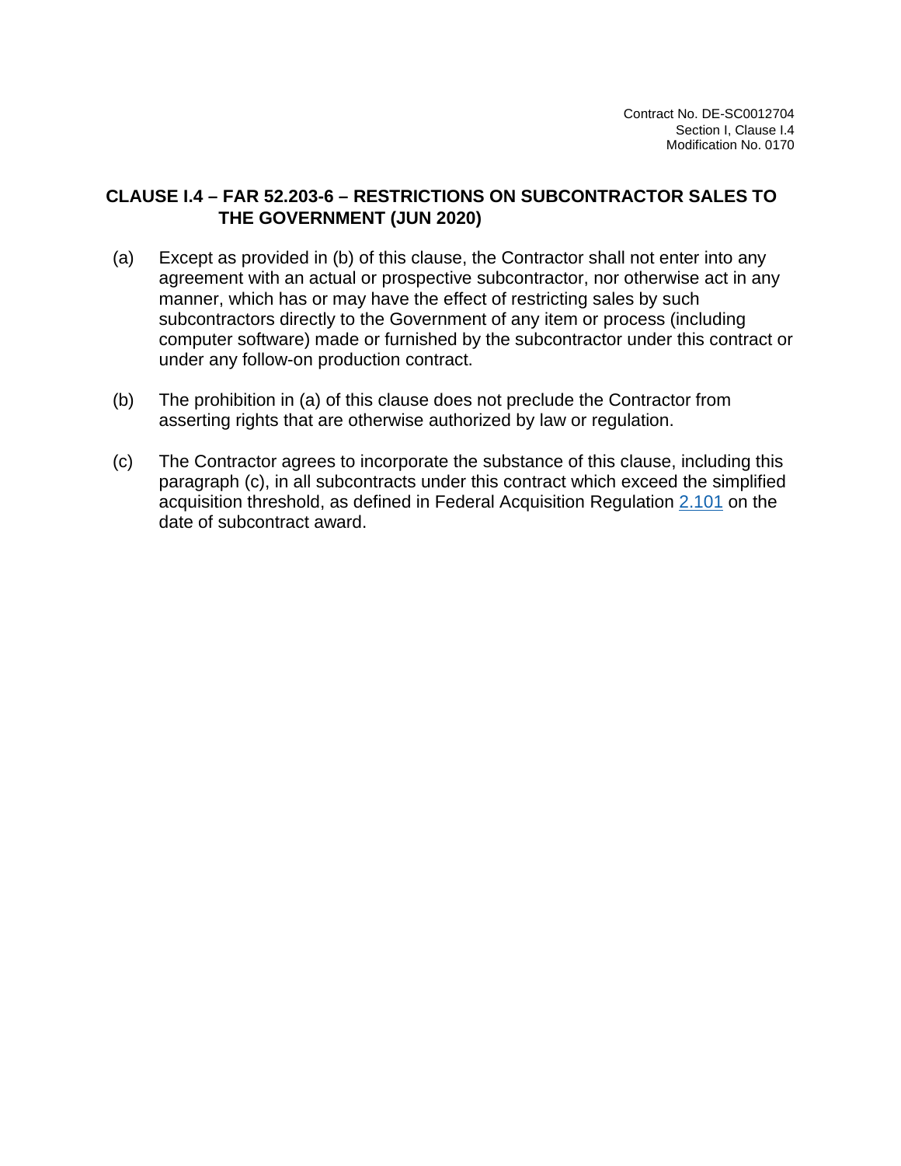## **CLAUSE I.4 – FAR 52.203-6 – RESTRICTIONS ON SUBCONTRACTOR SALES TO THE GOVERNMENT (JUN 2020)**

- (a) Except as provided in (b) of this clause, the Contractor shall not enter into any agreement with an actual or prospective subcontractor, nor otherwise act in any manner, which has or may have the effect of restricting sales by such subcontractors directly to the Government of any item or process (including computer software) made or furnished by the subcontractor under this contract or under any follow-on production contract.
- (b) The prohibition in (a) of this clause does not preclude the Contractor from asserting rights that are otherwise authorized by law or regulation.
- (c) The Contractor agrees to incorporate the substance of this clause, including this paragraph (c), in all subcontracts under this contract which exceed the simplified acquisition threshold, as defined in Federal Acquisition Regulation [2.101](https://www.acquisition.gov/content/2101-definitions#i1125359) on the date of subcontract award.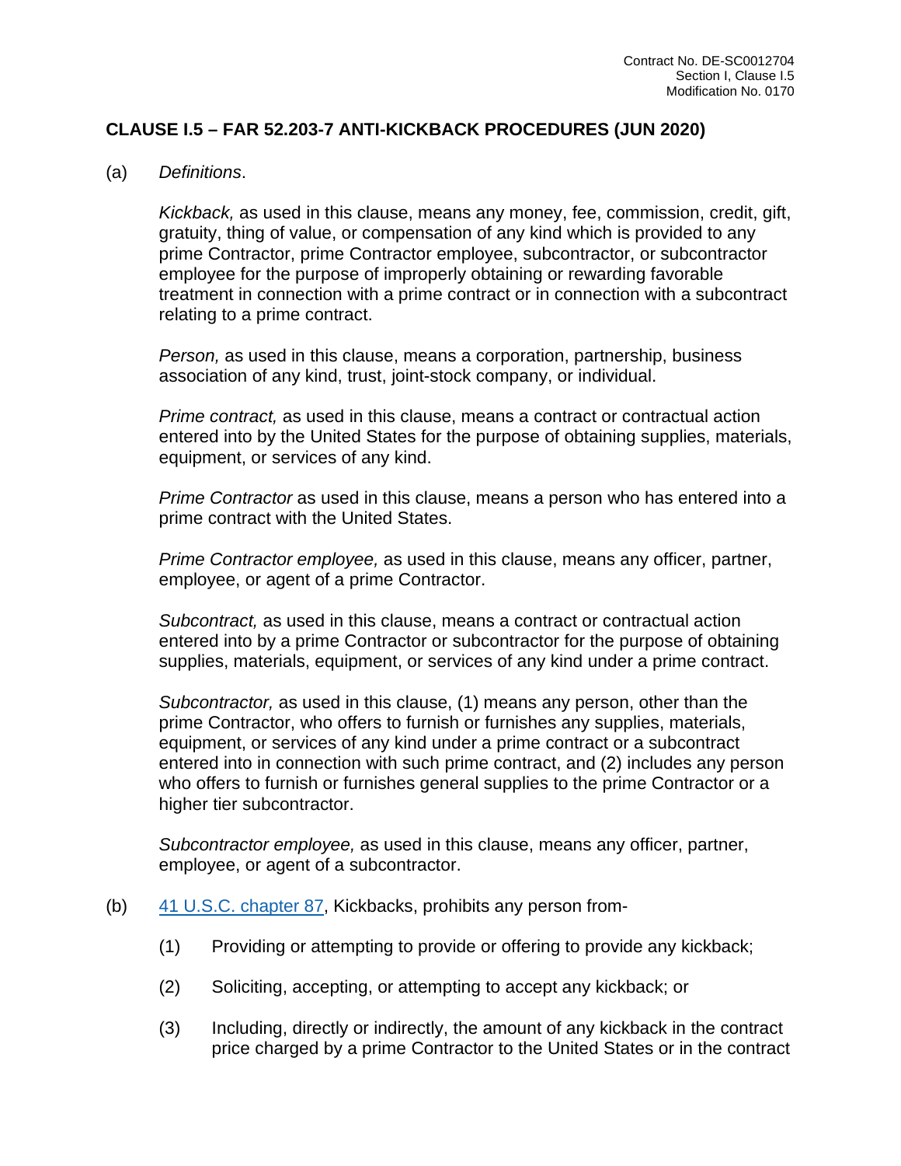## **CLAUSE I.5 – FAR 52.203-7 ANTI-KICKBACK PROCEDURES (JUN 2020)**

#### (a) *Definitions*.

*Kickback,* as used in this clause, means any money, fee, commission, credit, gift, gratuity, thing of value, or compensation of any kind which is provided to any prime Contractor, prime Contractor employee, subcontractor, or subcontractor employee for the purpose of improperly obtaining or rewarding favorable treatment in connection with a prime contract or in connection with a subcontract relating to a prime contract.

*Person,* as used in this clause, means a corporation, partnership, business association of any kind, trust, joint-stock company, or individual.

*Prime contract,* as used in this clause, means a contract or contractual action entered into by the United States for the purpose of obtaining supplies, materials, equipment, or services of any kind.

*Prime Contractor* as used in this clause, means a person who has entered into a prime contract with the United States.

*Prime Contractor employee,* as used in this clause, means any officer, partner, employee, or agent of a prime Contractor.

*Subcontract,* as used in this clause, means a contract or contractual action entered into by a prime Contractor or subcontractor for the purpose of obtaining supplies, materials, equipment, or services of any kind under a prime contract.

*Subcontractor,* as used in this clause, (1) means any person, other than the prime Contractor, who offers to furnish or furnishes any supplies, materials, equipment, or services of any kind under a prime contract or a subcontract entered into in connection with such prime contract, and (2) includes any person who offers to furnish or furnishes general supplies to the prime Contractor or a higher tier subcontractor.

*Subcontractor employee,* as used in this clause, means any officer, partner, employee, or agent of a subcontractor.

- (b) 41 U.S.C. [chapter](http://uscode.house.gov/browse.xhtml;jsessionid=114A3287C7B3359E597506A31FC855B3) 87, Kickbacks, prohibits any person from-
	- (1) Providing or attempting to provide or offering to provide any kickback;
	- (2) Soliciting, accepting, or attempting to accept any kickback; or
	- (3) Including, directly or indirectly, the amount of any kickback in the contract price charged by a prime Contractor to the United States or in the contract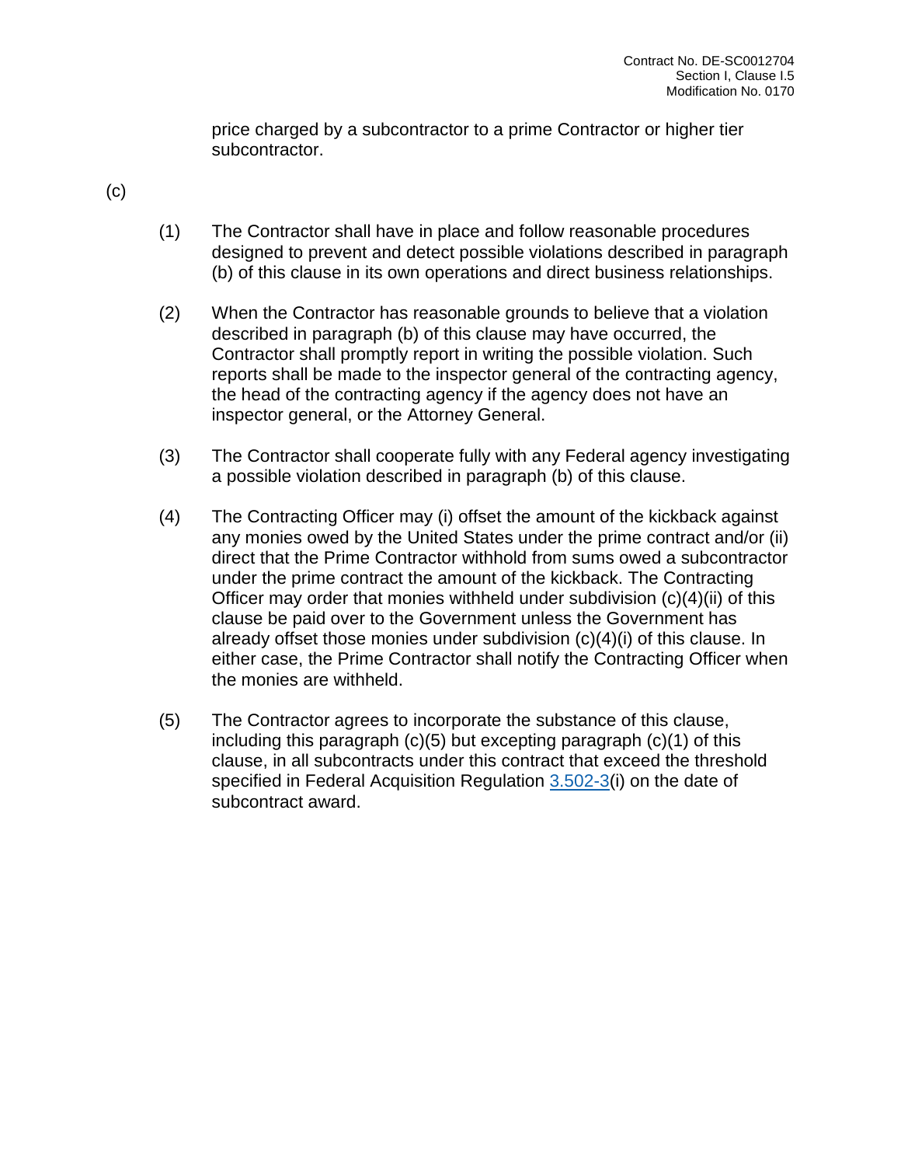price charged by a subcontractor to a prime Contractor or higher tier subcontractor.

(c)

- (1) The Contractor shall have in place and follow reasonable procedures designed to prevent and detect possible violations described in paragraph (b) of this clause in its own operations and direct business relationships.
- (2) When the Contractor has reasonable grounds to believe that a violation described in paragraph (b) of this clause may have occurred, the Contractor shall promptly report in writing the possible violation. Such reports shall be made to the inspector general of the contracting agency, the head of the contracting agency if the agency does not have an inspector general, or the Attorney General.
- (3) The Contractor shall cooperate fully with any Federal agency investigating a possible violation described in paragraph (b) of this clause.
- (4) The Contracting Officer may (i) offset the amount of the kickback against any monies owed by the United States under the prime contract and/or (ii) direct that the Prime Contractor withhold from sums owed a subcontractor under the prime contract the amount of the kickback. The Contracting Officer may order that monies withheld under subdivision (c)(4)(ii) of this clause be paid over to the Government unless the Government has already offset those monies under subdivision (c)(4)(i) of this clause. In either case, the Prime Contractor shall notify the Contracting Officer when the monies are withheld.
- (5) The Contractor agrees to incorporate the substance of this clause, including this paragraph (c)(5) but excepting paragraph (c)(1) of this clause, in all subcontracts under this contract that exceed the threshold specified in Federal Acquisition Regulation [3.502-3\(](https://www.acquisition.gov/content/3502-2-subcontractor-kickbacks#id1617MD00HM7)i) on the date of subcontract award.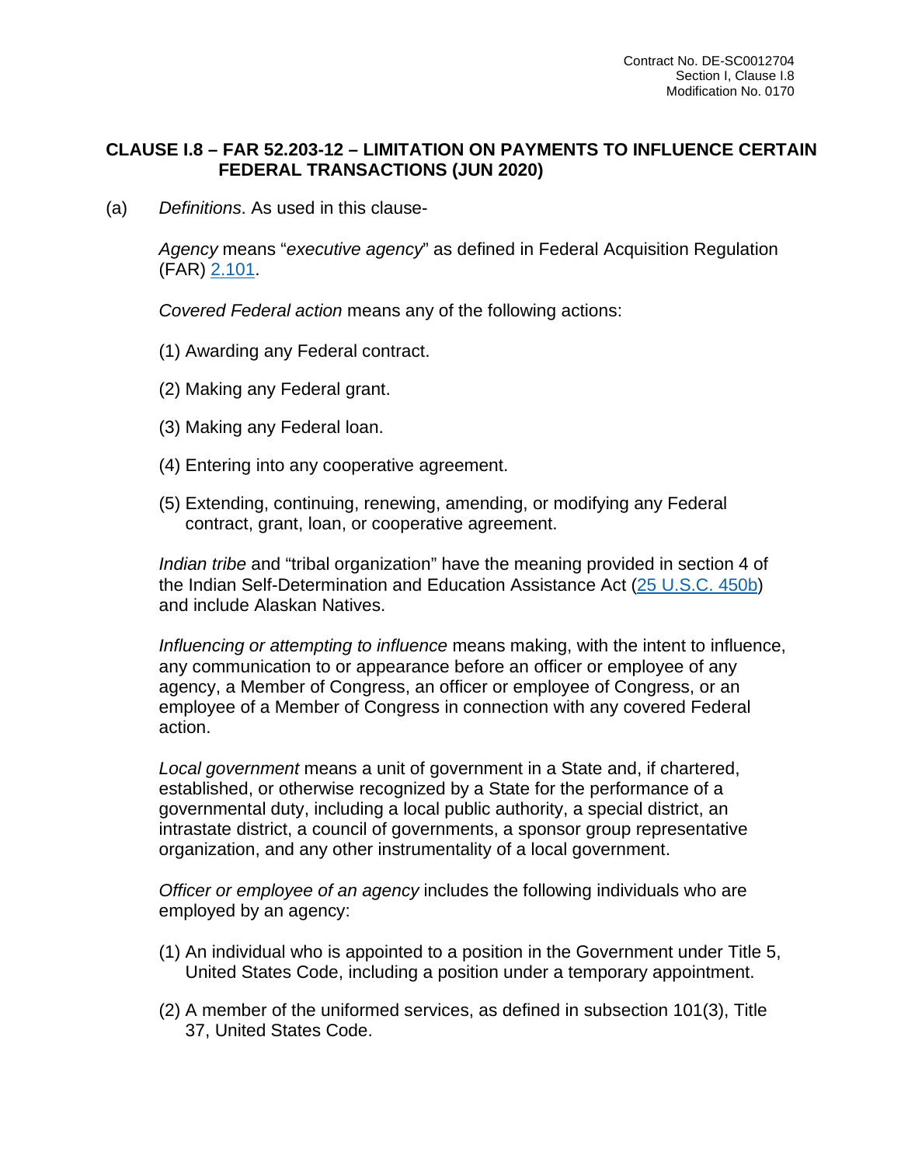## **CLAUSE I.8 – FAR 52.203-12 – LIMITATION ON PAYMENTS TO INFLUENCE CERTAIN FEDERAL TRANSACTIONS (JUN 2020)**

(a) *Definitions*. As used in this clause-

*Agency* means "*executive agency*" as defined in Federal Acquisition Regulation (FAR) [2.101.](https://www.acquisition.gov/content/2101-definitions#i1125359)

*Covered Federal action* means any of the following actions:

- (1) Awarding any Federal contract.
- (2) Making any Federal grant.
- (3) Making any Federal loan.
- (4) Entering into any cooperative agreement.
- (5) Extending, continuing, renewing, amending, or modifying any Federal contract, grant, loan, or cooperative agreement.

*Indian tribe* and "tribal organization" have the meaning provided in section 4 of the Indian Self-Determination and Education Assistance Act (25 [U.S.C.](http://uscode.house.gov/browse.xhtml;jsessionid=114A3287C7B3359E597506A31FC855B3) 450b) and include Alaskan Natives.

*Influencing or attempting to influence* means making, with the intent to influence, any communication to or appearance before an officer or employee of any agency, a Member of Congress, an officer or employee of Congress, or an employee of a Member of Congress in connection with any covered Federal action.

*Local government* means a unit of government in a State and, if chartered, established, or otherwise recognized by a State for the performance of a governmental duty, including a local public authority, a special district, an intrastate district, a council of governments, a sponsor group representative organization, and any other instrumentality of a local government.

*Officer or employee of an agency* includes the following individuals who are employed by an agency:

- (1) An individual who is appointed to a position in the Government under Title 5, United States Code, including a position under a temporary appointment.
- (2) A member of the uniformed services, as defined in subsection 101(3), Title 37, United States Code.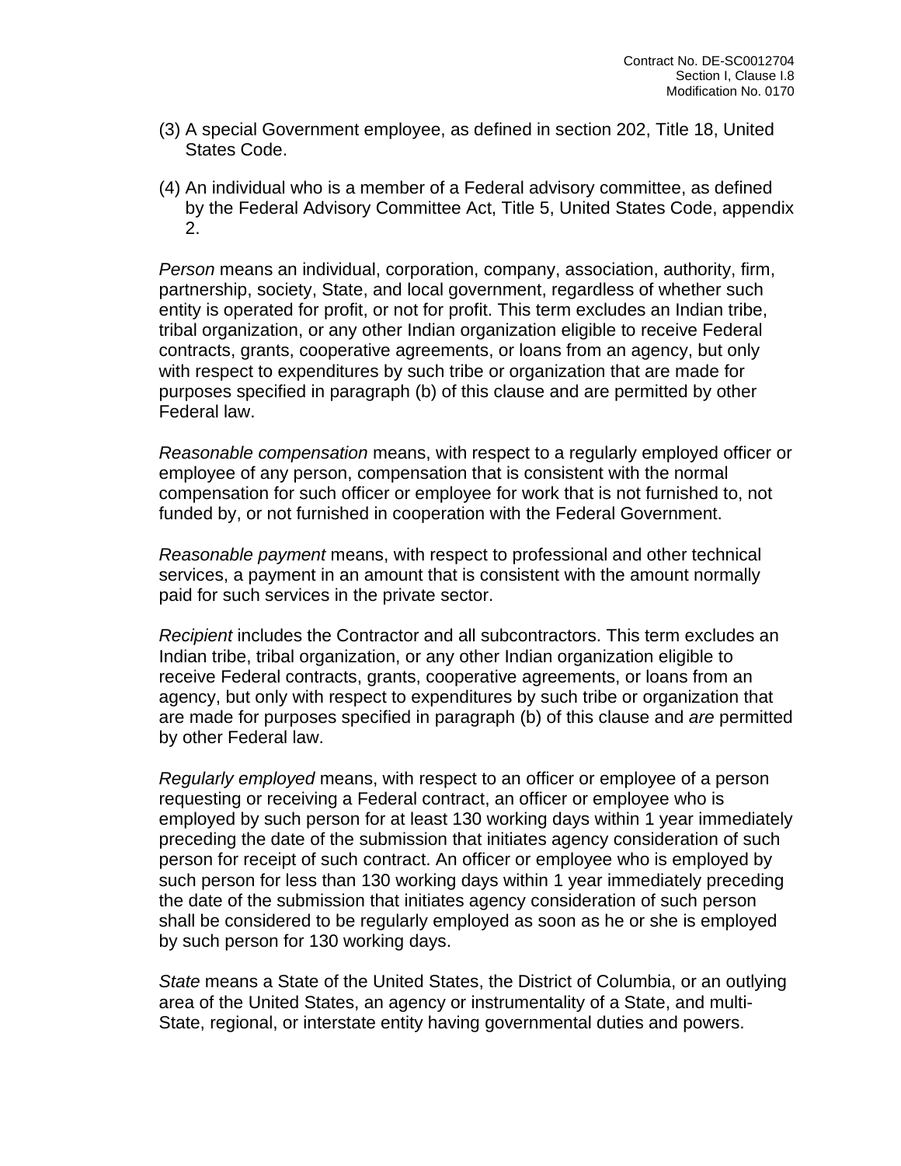- (3) A special Government employee, as defined in section 202, Title 18, United States Code.
- (4) An individual who is a member of a Federal advisory committee, as defined by the Federal Advisory Committee Act, Title 5, United States Code, appendix 2.

*Person* means an individual, corporation, company, association, authority, firm, partnership, society, State, and local government, regardless of whether such entity is operated for profit, or not for profit. This term excludes an Indian tribe, tribal organization, or any other Indian organization eligible to receive Federal contracts, grants, cooperative agreements, or loans from an agency, but only with respect to expenditures by such tribe or organization that are made for purposes specified in paragraph (b) of this clause and are permitted by other Federal law.

*Reasonable compensation* means, with respect to a regularly employed officer or employee of any person, compensation that is consistent with the normal compensation for such officer or employee for work that is not furnished to, not funded by, or not furnished in cooperation with the Federal Government.

*Reasonable payment* means, with respect to professional and other technical services, a payment in an amount that is consistent with the amount normally paid for such services in the private sector.

*Recipient* includes the Contractor and all subcontractors. This term excludes an Indian tribe, tribal organization, or any other Indian organization eligible to receive Federal contracts, grants, cooperative agreements, or loans from an agency, but only with respect to expenditures by such tribe or organization that are made for purposes specified in paragraph (b) of this clause and *are* permitted by other Federal law.

*Regularly employed* means, with respect to an officer or employee of a person requesting or receiving a Federal contract, an officer or employee who is employed by such person for at least 130 working days within 1 year immediately preceding the date of the submission that initiates agency consideration of such person for receipt of such contract. An officer or employee who is employed by such person for less than 130 working days within 1 year immediately preceding the date of the submission that initiates agency consideration of such person shall be considered to be regularly employed as soon as he or she is employed by such person for 130 working days.

*State* means a State of the United States, the District of Columbia, or an outlying area of the United States, an agency or instrumentality of a State, and multi-State, regional, or interstate entity having governmental duties and powers.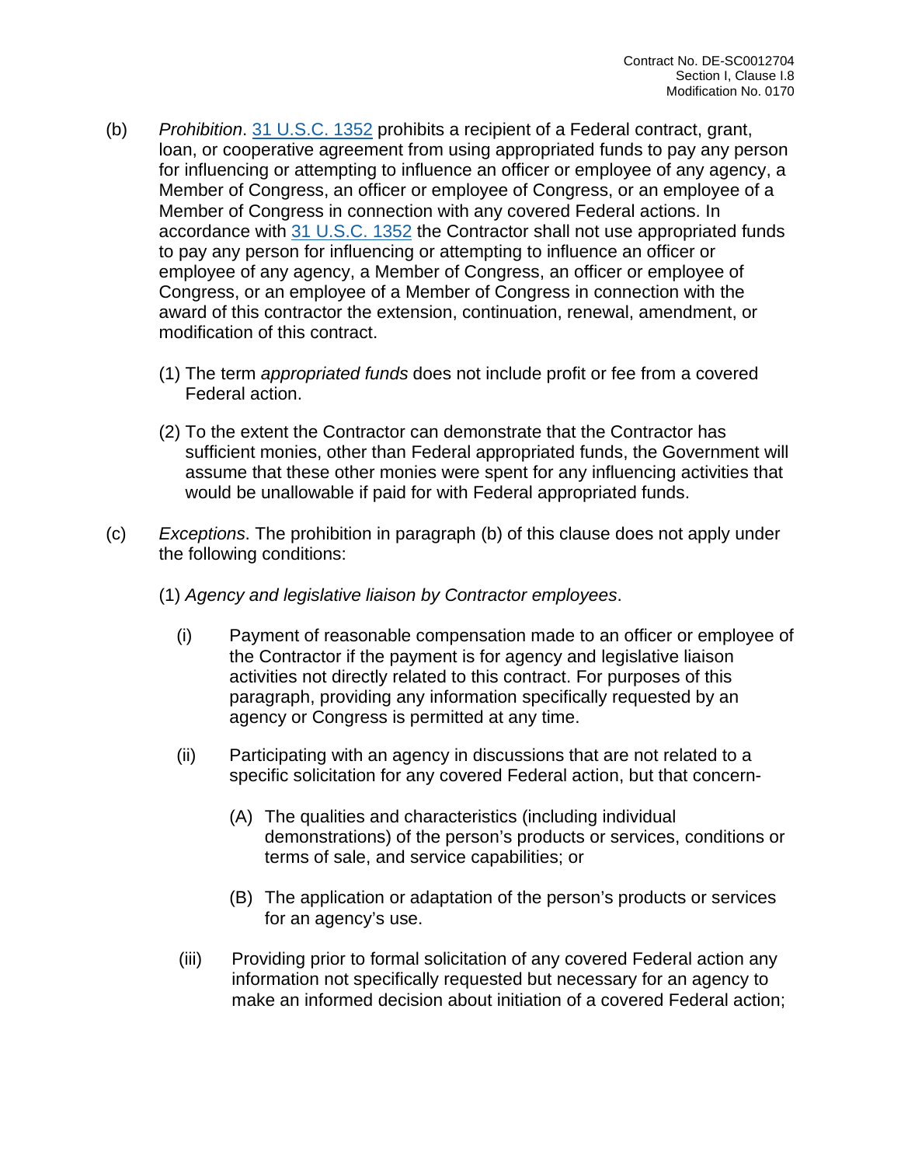- (b) *Prohibition*. 31 [U.S.C.](http://uscode.house.gov/browse.xhtml;jsessionid=114A3287C7B3359E597506A31FC855B3) 1352 prohibits a recipient of a Federal contract, grant, loan, or cooperative agreement from using appropriated funds to pay any person for influencing or attempting to influence an officer or employee of any agency, a Member of Congress, an officer or employee of Congress, or an employee of a Member of Congress in connection with any covered Federal actions. In accordance with 31 [U.S.C.](http://uscode.house.gov/browse.xhtml;jsessionid=114A3287C7B3359E597506A31FC855B3) 1352 the Contractor shall not use appropriated funds to pay any person for influencing or attempting to influence an officer or employee of any agency, a Member of Congress, an officer or employee of Congress, or an employee of a Member of Congress in connection with the award of this contractor the extension, continuation, renewal, amendment, or modification of this contract.
	- (1) The term *appropriated funds* does not include profit or fee from a covered Federal action.
	- (2) To the extent the Contractor can demonstrate that the Contractor has sufficient monies, other than Federal appropriated funds, the Government will assume that these other monies were spent for any influencing activities that would be unallowable if paid for with Federal appropriated funds.
- (c) *Exceptions*. The prohibition in paragraph (b) of this clause does not apply under the following conditions:
	- (1) *Agency and legislative liaison by Contractor employees*.
		- (i) Payment of reasonable compensation made to an officer or employee of the Contractor if the payment is for agency and legislative liaison activities not directly related to this contract. For purposes of this paragraph, providing any information specifically requested by an agency or Congress is permitted at any time.
		- (ii) Participating with an agency in discussions that are not related to a specific solicitation for any covered Federal action, but that concern-
			- (A) The qualities and characteristics (including individual demonstrations) of the person's products or services, conditions or terms of sale, and service capabilities; or
			- (B) The application or adaptation of the person's products or services for an agency's use.
		- (iii) Providing prior to formal solicitation of any covered Federal action any information not specifically requested but necessary for an agency to make an informed decision about initiation of a covered Federal action;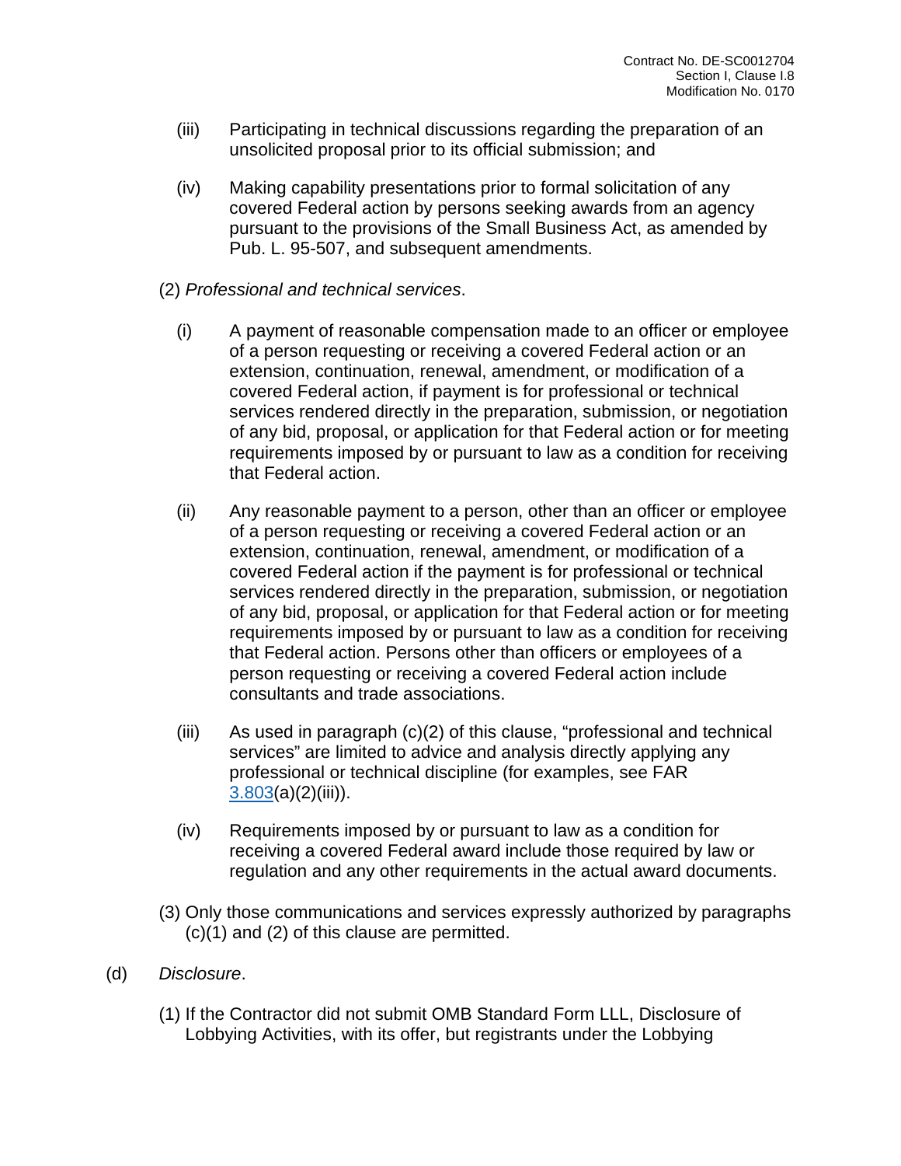- (iii) Participating in technical discussions regarding the preparation of an unsolicited proposal prior to its official submission; and
- (iv) Making capability presentations prior to formal solicitation of any covered Federal action by persons seeking awards from an agency pursuant to the provisions of the Small Business Act, as amended by Pub. L. 95-507, and subsequent amendments.
- (2) *Professional and technical services*.
	- (i) A payment of reasonable compensation made to an officer or employee of a person requesting or receiving a covered Federal action or an extension, continuation, renewal, amendment, or modification of a covered Federal action, if payment is for professional or technical services rendered directly in the preparation, submission, or negotiation of any bid, proposal, or application for that Federal action or for meeting requirements imposed by or pursuant to law as a condition for receiving that Federal action.
	- (ii) Any reasonable payment to a person, other than an officer or employee of a person requesting or receiving a covered Federal action or an extension, continuation, renewal, amendment, or modification of a covered Federal action if the payment is for professional or technical services rendered directly in the preparation, submission, or negotiation of any bid, proposal, or application for that Federal action or for meeting requirements imposed by or pursuant to law as a condition for receiving that Federal action. Persons other than officers or employees of a person requesting or receiving a covered Federal action include consultants and trade associations.
	- (iii) As used in paragraph (c)(2) of this clause, "professional and technical services" are limited to advice and analysis directly applying any professional or technical discipline (for examples, see FAR  $3.803(a)(2)(iii)$  $3.803(a)(2)(iii)$ ).
	- (iv) Requirements imposed by or pursuant to law as a condition for receiving a covered Federal award include those required by law or regulation and any other requirements in the actual award documents.
- (3) Only those communications and services expressly authorized by paragraphs (c)(1) and (2) of this clause are permitted.
- (d) *Disclosure*.
	- (1) If the Contractor did not submit OMB Standard Form LLL, Disclosure of Lobbying Activities, with its offer, but registrants under the Lobbying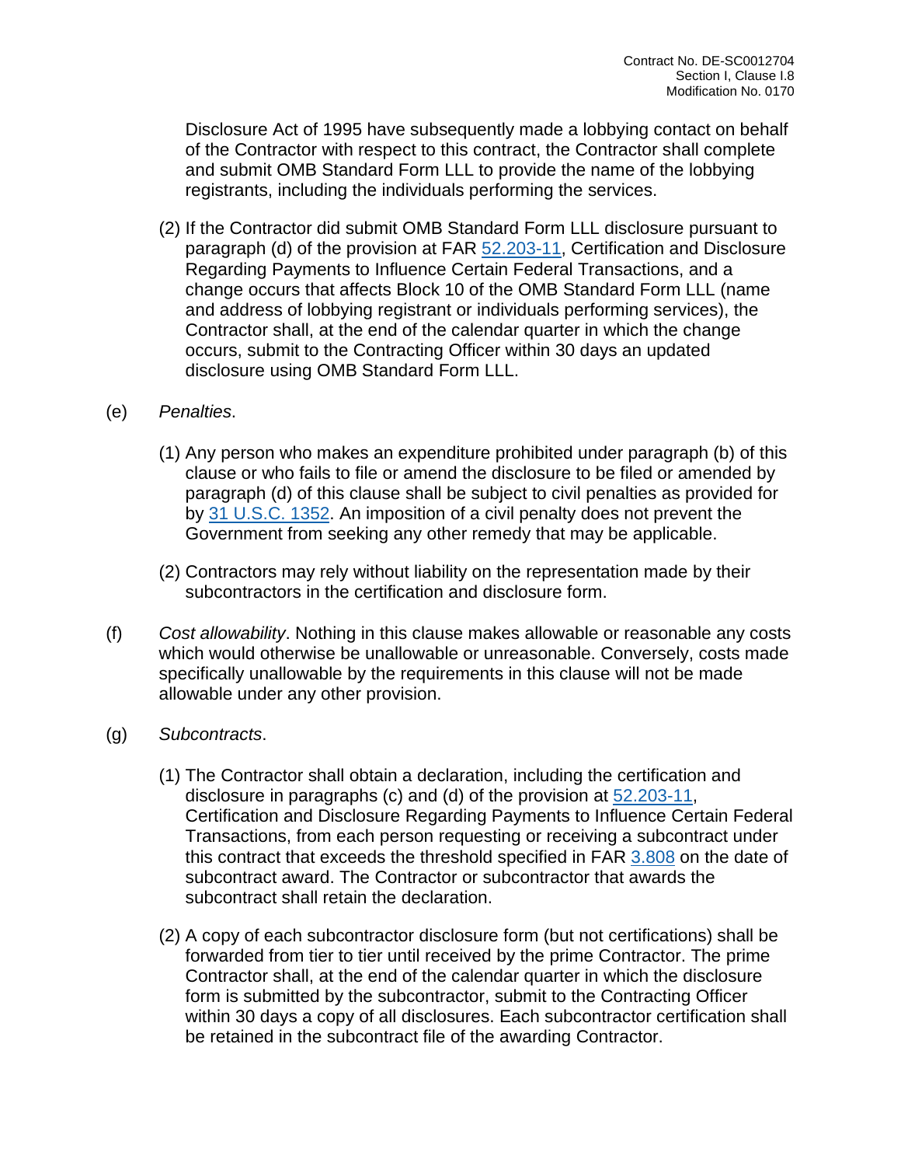Disclosure Act of 1995 have subsequently made a lobbying contact on behalf of the Contractor with respect to this contract, the Contractor shall complete and submit OMB Standard Form LLL to provide the name of the lobbying registrants, including the individuals performing the services.

(2) If the Contractor did submit OMB Standard Form LLL disclosure pursuant to paragraph (d) of the provision at FAR [52.203-11,](https://www.acquisition.gov/content/52203-11-certification-and-disclosure-regarding-payments-influence-certain-federal-transactions#i1063408) Certification and Disclosure Regarding Payments to Influence Certain Federal Transactions, and a change occurs that affects Block 10 of the OMB Standard Form LLL (name and address of lobbying registrant or individuals performing services), the Contractor shall, at the end of the calendar quarter in which the change occurs, submit to the Contracting Officer within 30 days an updated disclosure using OMB Standard Form LLL.

#### (e) *Penalties*.

- (1) Any person who makes an expenditure prohibited under paragraph (b) of this clause or who fails to file or amend the disclosure to be filed or amended by paragraph (d) of this clause shall be subject to civil penalties as provided for by 31 [U.S.C.](http://uscode.house.gov/browse.xhtml;jsessionid=114A3287C7B3359E597506A31FC855B3) 1352. An imposition of a civil penalty does not prevent the Government from seeking any other remedy that may be applicable.
- (2) Contractors may rely without liability on the representation made by their subcontractors in the certification and disclosure form.
- (f) *Cost allowability*. Nothing in this clause makes allowable or reasonable any costs which would otherwise be unallowable or unreasonable. Conversely, costs made specifically unallowable by the requirements in this clause will not be made allowable under any other provision.
- (g) *Subcontracts*.
	- (1) The Contractor shall obtain a declaration, including the certification and disclosure in paragraphs (c) and (d) of the provision at [52.203-11,](https://www.acquisition.gov/content/52203-11-certification-and-disclosure-regarding-payments-influence-certain-federal-transactions#i1063408) Certification and Disclosure Regarding Payments to Influence Certain Federal Transactions, from each person requesting or receiving a subcontract under this contract that exceeds the threshold specified in FAR [3.808](https://www.acquisition.gov/content/3808-solicitation-provision-and-contract-clause#i1124124) on the date of subcontract award. The Contractor or subcontractor that awards the subcontract shall retain the declaration.
	- (2) A copy of each subcontractor disclosure form (but not certifications) shall be forwarded from tier to tier until received by the prime Contractor. The prime Contractor shall, at the end of the calendar quarter in which the disclosure form is submitted by the subcontractor, submit to the Contracting Officer within 30 days a copy of all disclosures. Each subcontractor certification shall be retained in the subcontract file of the awarding Contractor.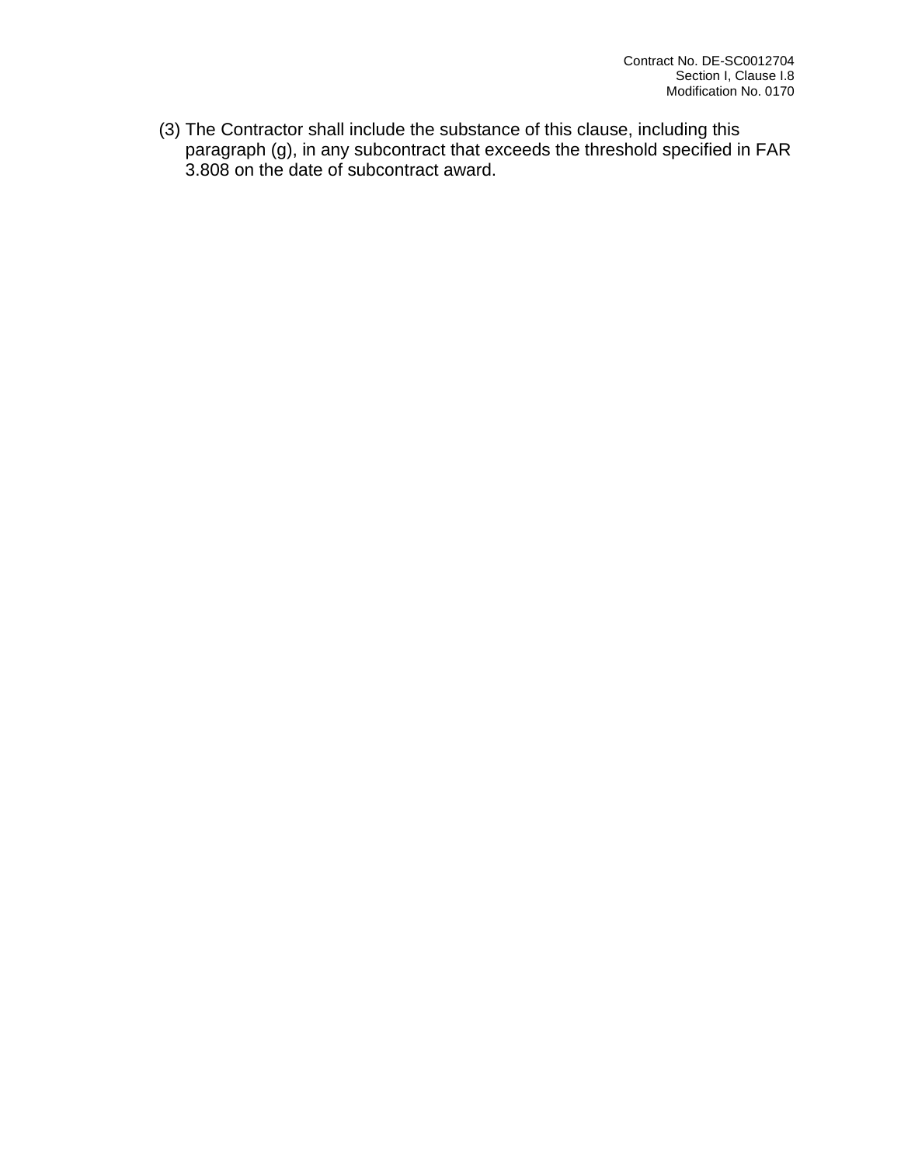(3) The Contractor shall include the substance of this clause, including this paragraph (g), in any subcontract that exceeds the threshold specified in FAR 3.808 on the date of subcontract award.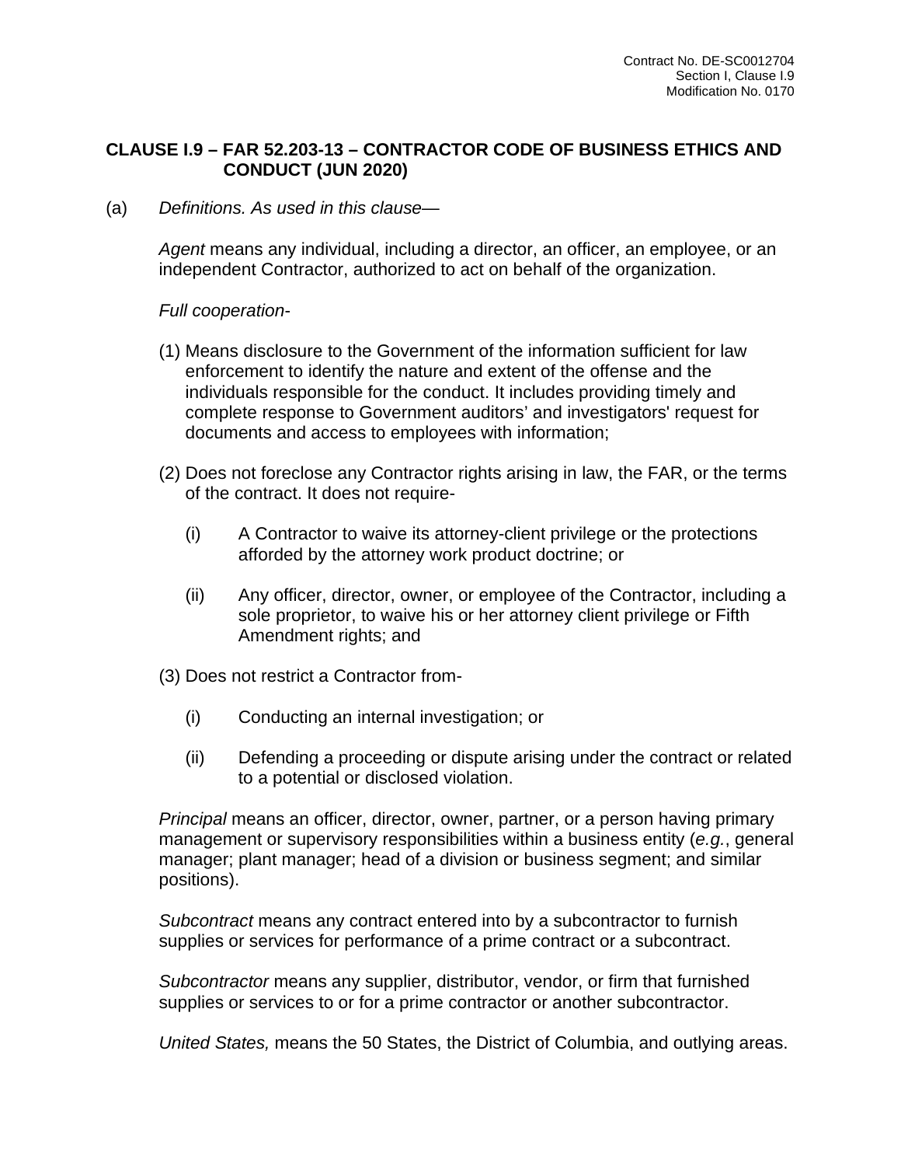## **CLAUSE I.9 – FAR 52.203-13 – CONTRACTOR CODE OF BUSINESS ETHICS AND CONDUCT (JUN 2020)**

(a) *Definitions. As used in this clause*—

*Agent* means any individual, including a director, an officer, an employee, or an independent Contractor, authorized to act on behalf of the organization.

#### *Full cooperation*-

- (1) Means disclosure to the Government of the information sufficient for law enforcement to identify the nature and extent of the offense and the individuals responsible for the conduct. It includes providing timely and complete response to Government auditors' and investigators' request for documents and access to employees with information;
- (2) Does not foreclose any Contractor rights arising in law, the FAR, or the terms of the contract. It does not require-
	- (i) A Contractor to waive its attorney-client privilege or the protections afforded by the attorney work product doctrine; or
	- (ii) Any officer, director, owner, or employee of the Contractor, including a sole proprietor, to waive his or her attorney client privilege or Fifth Amendment rights; and
- (3) Does not restrict a Contractor from-
	- (i) Conducting an internal investigation; or
	- (ii) Defending a proceeding or dispute arising under the contract or related to a potential or disclosed violation.

*Principal* means an officer, director, owner, partner, or a person having primary management or supervisory responsibilities within a business entity (*e.g.*, general manager; plant manager; head of a division or business segment; and similar positions).

*Subcontract* means any contract entered into by a subcontractor to furnish supplies or services for performance of a prime contract or a subcontract.

*Subcontractor* means any supplier, distributor, vendor, or firm that furnished supplies or services to or for a prime contractor or another subcontractor.

*United States,* means the 50 States, the District of Columbia, and outlying areas.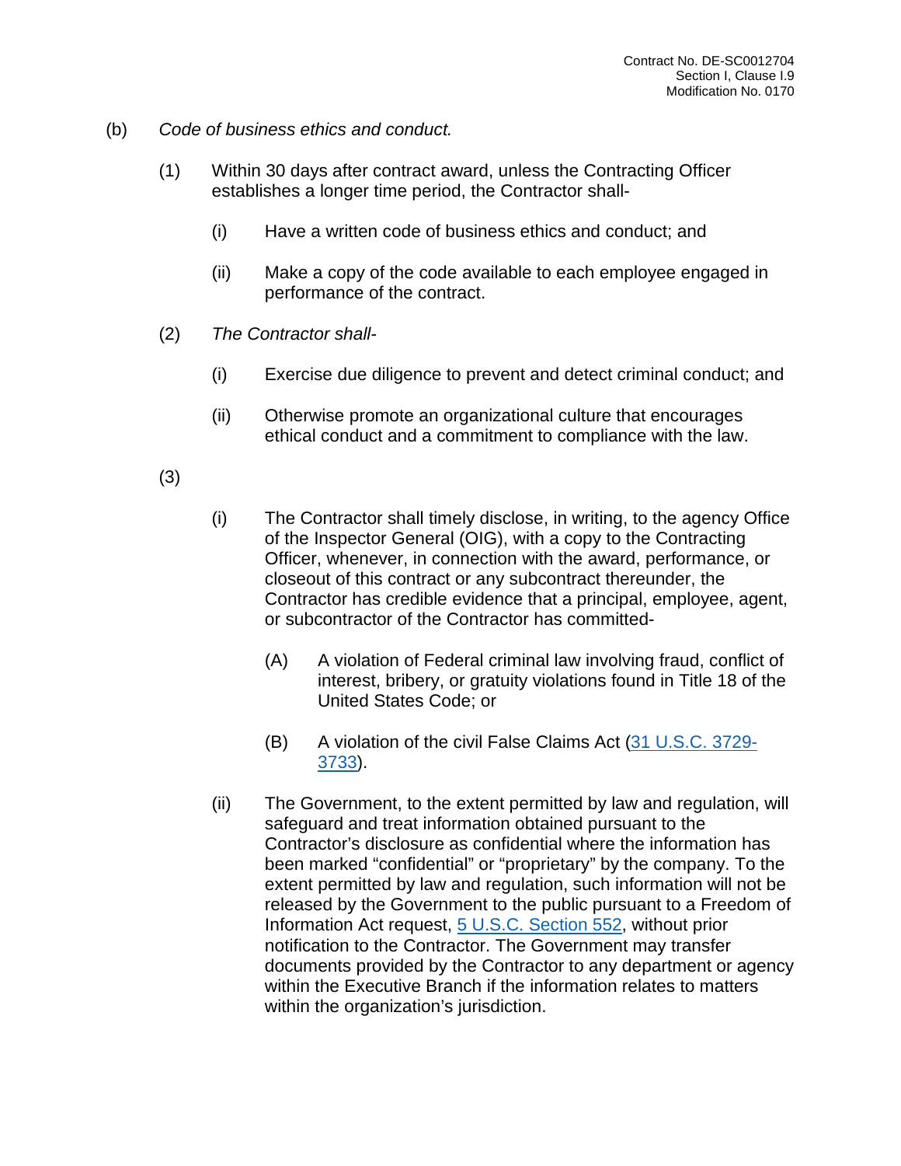- (b) *Code of business ethics and conduct.*
	- (1) Within 30 days after contract award, unless the Contracting Officer establishes a longer time period, the Contractor shall-
		- (i) Have a written code of business ethics and conduct; and
		- (ii) Make a copy of the code available to each employee engaged in performance of the contract.
	- (2) *The Contractor shall*
		- (i) Exercise due diligence to prevent and detect criminal conduct; and
		- (ii) Otherwise promote an organizational culture that encourages ethical conduct and a commitment to compliance with the law.
	- (3)
- (i) The Contractor shall timely disclose, in writing, to the agency Office of the Inspector General (OIG), with a copy to the Contracting Officer, whenever, in connection with the award, performance, or closeout of this contract or any subcontract thereunder, the Contractor has credible evidence that a principal, employee, agent, or subcontractor of the Contractor has committed-
	- (A) A violation of Federal criminal law involving fraud, conflict of interest, bribery, or gratuity violations found in Title 18 of the United States Code; or
	- (B) A violation of the civil False Claims Act (31 [U.S.C.](http://uscode.house.gov/browse.xhtml;jsessionid=114A3287C7B3359E597506A31FC855B3) 3729- [3733\)](http://uscode.house.gov/browse.xhtml;jsessionid=114A3287C7B3359E597506A31FC855B3).
- (ii) The Government, to the extent permitted by law and regulation, will safeguard and treat information obtained pursuant to the Contractor's disclosure as confidential where the information has been marked "confidential" or "proprietary" by the company. To the extent permitted by law and regulation, such information will not be released by the Government to the public pursuant to a Freedom of Information Act request, 5 U.S.C. [Section](http://uscode.house.gov/browse.xhtml;jsessionid=114A3287C7B3359E597506A31FC855B3) 552, without prior notification to the Contractor. The Government may transfer documents provided by the Contractor to any department or agency within the Executive Branch if the information relates to matters within the organization's jurisdiction.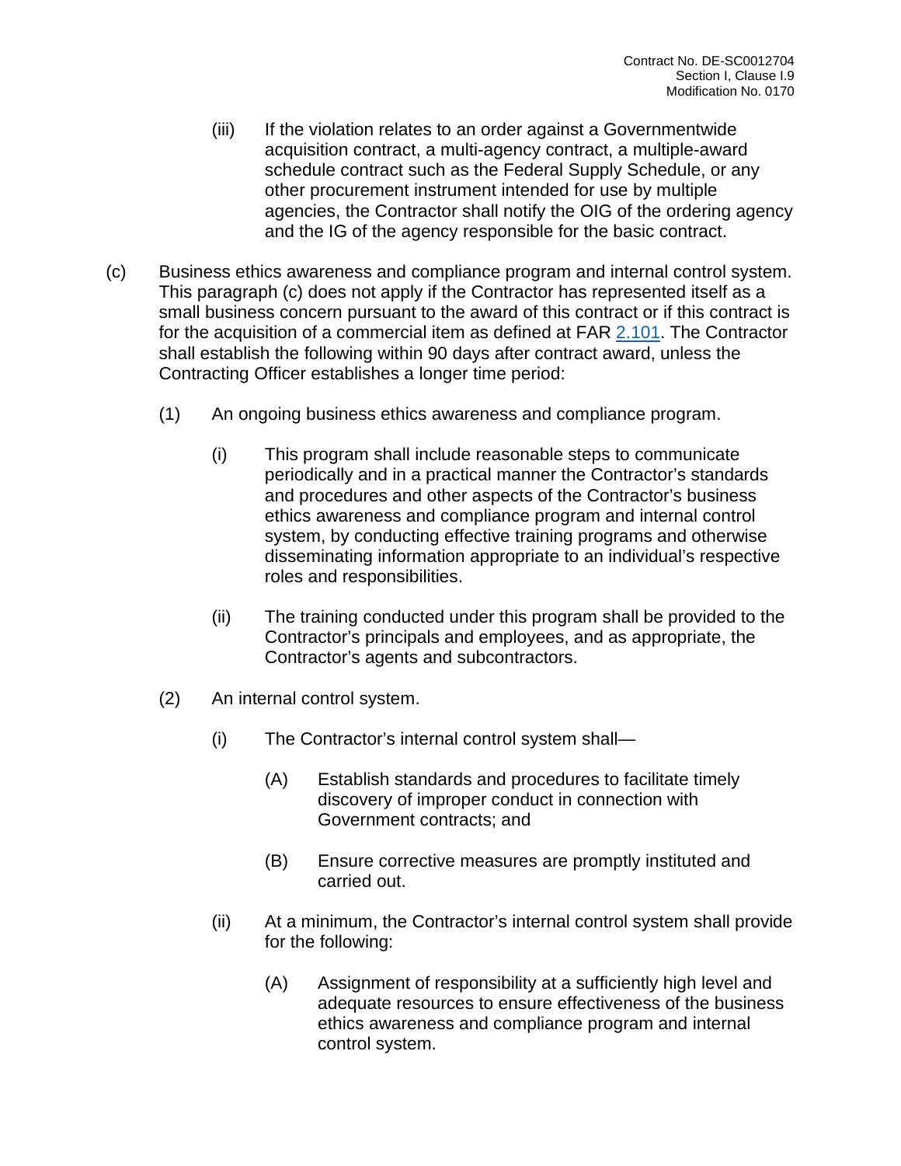- (iii) If the violation relates to an order against a Governmentwide acquisition contract, a multi-agency contract, a multiple-award schedule contract such as the Federal Supply Schedule, or any other procurement instrument intended for use by multiple agencies, the Contractor shall notify the OIG of the ordering agency and the IG of the agency responsible for the basic contract.
- (c) Business ethics awareness and compliance program and internal control system. This paragraph (c) does not apply if the Contractor has represented itself as a small business concern pursuant to the award of this contract or if this contract is for the acquisition of a commercial item as defined at FAR [2.101.](https://www.acquisition.gov/content/2101-definitions#i1125359) The Contractor shall establish the following within 90 days after contract award, unless the Contracting Officer establishes a longer time period:
	- (1) An ongoing business ethics awareness and compliance program.
		- (i) This program shall include reasonable steps to communicate periodically and in a practical manner the Contractor's standards and procedures and other aspects of the Contractor's business ethics awareness and compliance program and internal control system, by conducting effective training programs and otherwise disseminating information appropriate to an individual's respective roles and responsibilities.
		- (ii) The training conducted under this program shall be provided to the Contractor's principals and employees, and as appropriate, the Contractor's agents and subcontractors.
	- (2) An internal control system.
		- (i) The Contractor's internal control system shall—
			- (A) Establish standards and procedures to facilitate timely discovery of improper conduct in connection with Government contracts; and
			- (B) Ensure corrective measures are promptly instituted and carried out.
		- (ii) At a minimum, the Contractor's internal control system shall provide for the following:
			- (A) Assignment of responsibility at a sufficiently high level and adequate resources to ensure effectiveness of the business ethics awareness and compliance program and internal control system.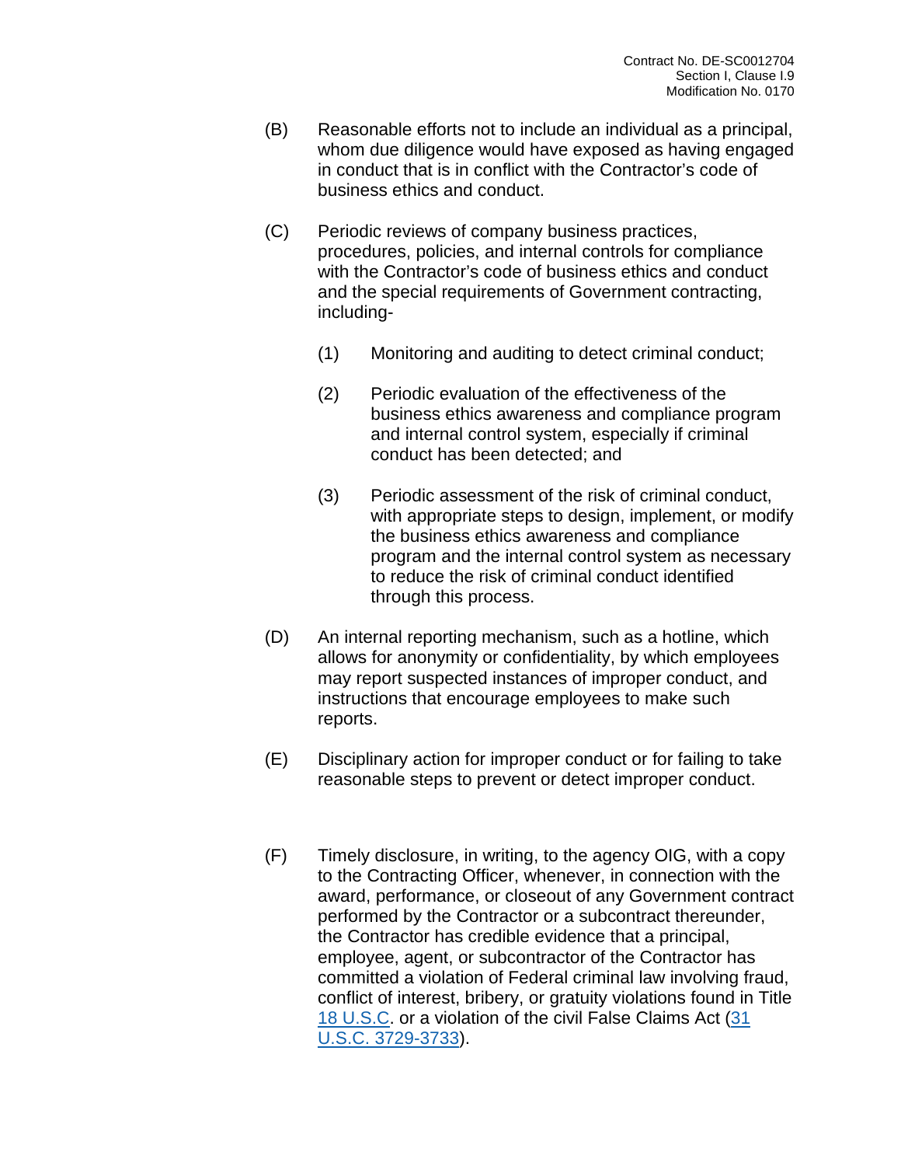- (B) Reasonable efforts not to include an individual as a principal, whom due diligence would have exposed as having engaged in conduct that is in conflict with the Contractor's code of business ethics and conduct.
- (C) Periodic reviews of company business practices, procedures, policies, and internal controls for compliance with the Contractor's code of business ethics and conduct and the special requirements of Government contracting, including-
	- (1) Monitoring and auditing to detect criminal conduct;
	- (2) Periodic evaluation of the effectiveness of the business ethics awareness and compliance program and internal control system, especially if criminal conduct has been detected; and
	- (3) Periodic assessment of the risk of criminal conduct, with appropriate steps to design, implement, or modify the business ethics awareness and compliance program and the internal control system as necessary to reduce the risk of criminal conduct identified through this process.
- (D) An internal reporting mechanism, such as a hotline, which allows for anonymity or confidentiality, by which employees may report suspected instances of improper conduct, and instructions that encourage employees to make such reports.
- (E) Disciplinary action for improper conduct or for failing to take reasonable steps to prevent or detect improper conduct.
- (F) Timely disclosure, in writing, to the agency OIG, with a copy to the Contracting Officer, whenever, in connection with the award, performance, or closeout of any Government contract performed by the Contractor or a subcontract thereunder, the Contractor has credible evidence that a principal, employee, agent, or subcontractor of the Contractor has committed a violation of Federal criminal law involving fraud, conflict of interest, bribery, or gratuity violations found in Title 18 [U.S.C.](http://uscode.house.gov/browse.xhtml;jsessionid=114A3287C7B3359E597506A31FC855B3) or a violation of the civil False Claims Act [\(31](http://uscode.house.gov/browse.xhtml;jsessionid=114A3287C7B3359E597506A31FC855B3) U.S.C. [3729-3733\)](http://uscode.house.gov/browse.xhtml;jsessionid=114A3287C7B3359E597506A31FC855B3).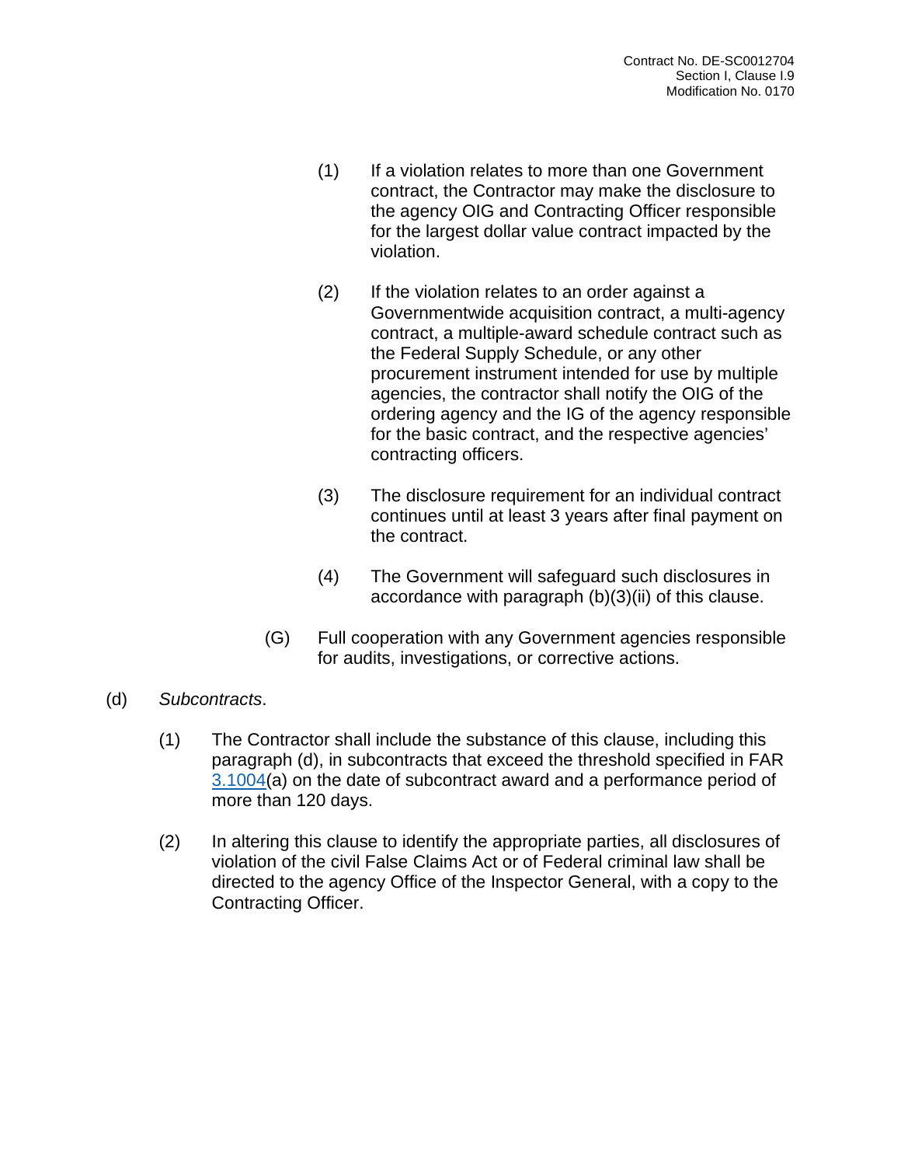- (1) If a violation relates to more than one Government contract, the Contractor may make the disclosure to the agency OIG and Contracting Officer responsible for the largest dollar value contract impacted by the violation.
- (2) If the violation relates to an order against a Governmentwide acquisition contract, a multi-agency contract, a multiple-award schedule contract such as the Federal Supply Schedule, or any other procurement instrument intended for use by multiple agencies, the contractor shall notify the OIG of the ordering agency and the IG of the agency responsible for the basic contract, and the respective agencies' contracting officers.
- (3) The disclosure requirement for an individual contract continues until at least 3 years after final payment on the contract.
- (4) The Government will safeguard such disclosures in accordance with paragraph (b)(3)(ii) of this clause.
- (G) Full cooperation with any Government agencies responsible for audits, investigations, or corrective actions.
- (d) *Subcontracts*.
	- (1) The Contractor shall include the substance of this clause, including this paragraph (d), in subcontracts that exceed the threshold specified in FAR [3.1004\(](https://www.acquisition.gov/content/31004-contract-clauses#i1123740)a) on the date of subcontract award and a performance period of more than 120 days.
	- (2) In altering this clause to identify the appropriate parties, all disclosures of violation of the civil False Claims Act or of Federal criminal law shall be directed to the agency Office of the Inspector General, with a copy to the Contracting Officer.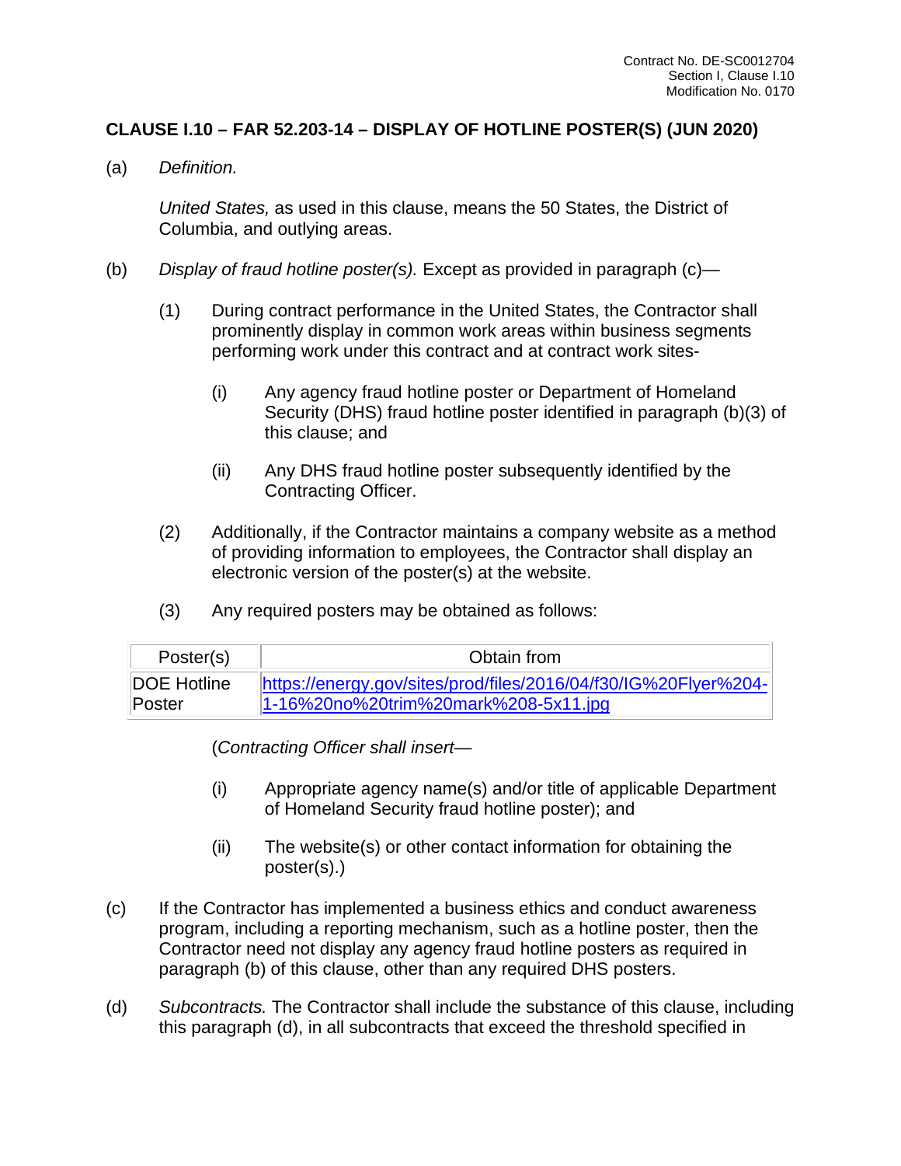## **CLAUSE I.10 – FAR 52.203-14 – DISPLAY OF HOTLINE POSTER(S) (JUN 2020)**

(a) *Definition.*

*United States,* as used in this clause, means the 50 States, the District of Columbia, and outlying areas.

- (b) *Display of fraud hotline poster(s).* Except as provided in paragraph (c)—
	- (1) During contract performance in the United States, the Contractor shall prominently display in common work areas within business segments performing work under this contract and at contract work sites-
		- (i) Any agency fraud hotline poster or Department of Homeland Security (DHS) fraud hotline poster identified in paragraph (b)(3) of this clause; and
		- (ii) Any DHS fraud hotline poster subsequently identified by the Contracting Officer.
	- (2) Additionally, if the Contractor maintains a company website as a method of providing information to employees, the Contractor shall display an electronic version of the poster(s) at the website.
	- (3) Any required posters may be obtained as follows:

| Poster(s)          | Obtain from                                                     |
|--------------------|-----------------------------------------------------------------|
| <b>DOE Hotline</b> | https://energy.gov/sites/prod/files/2016/04/f30/IG%20Flyer%204- |
| ∣Poster            | 1-16%20no%20trim%20mark%208-5x11.jpg                            |

(*Contracting Officer shall insert—*

- (i) Appropriate agency name(s) and/or title of applicable Department of Homeland Security fraud hotline poster); and
- (ii) The website(s) or other contact information for obtaining the poster(s).)
- (c) If the Contractor has implemented a business ethics and conduct awareness program, including a reporting mechanism, such as a hotline poster, then the Contractor need not display any agency fraud hotline posters as required in paragraph (b) of this clause, other than any required DHS posters.
- (d) *Subcontracts.* The Contractor shall include the substance of this clause, including this paragraph (d), in all subcontracts that exceed the threshold specified in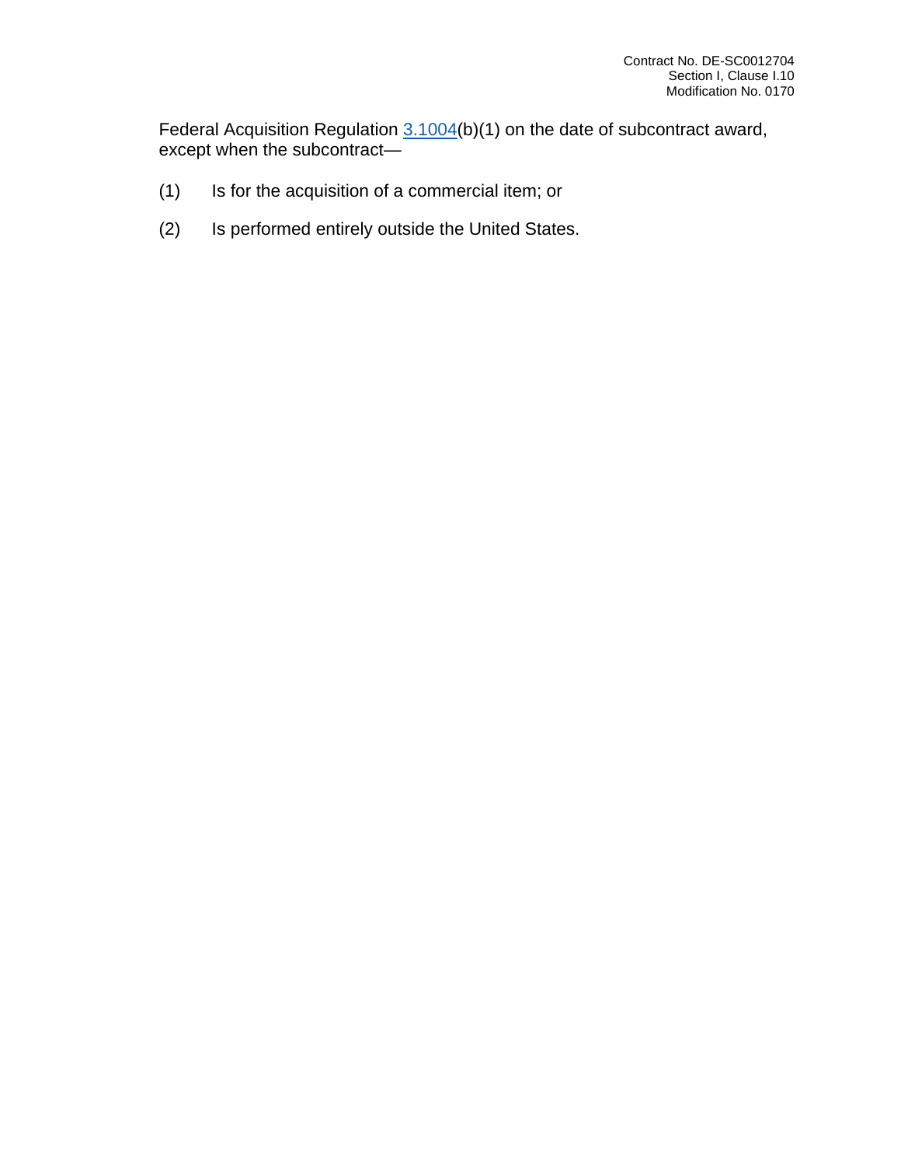Federal Acquisition Regulation [3.1004\(](https://www.acquisition.gov/content/31004-contract-clauses#i1123740)b)(1) on the date of subcontract award, except when the subcontract—

- (1) Is for the acquisition of a commercial item; or
- (2) Is performed entirely outside the United States.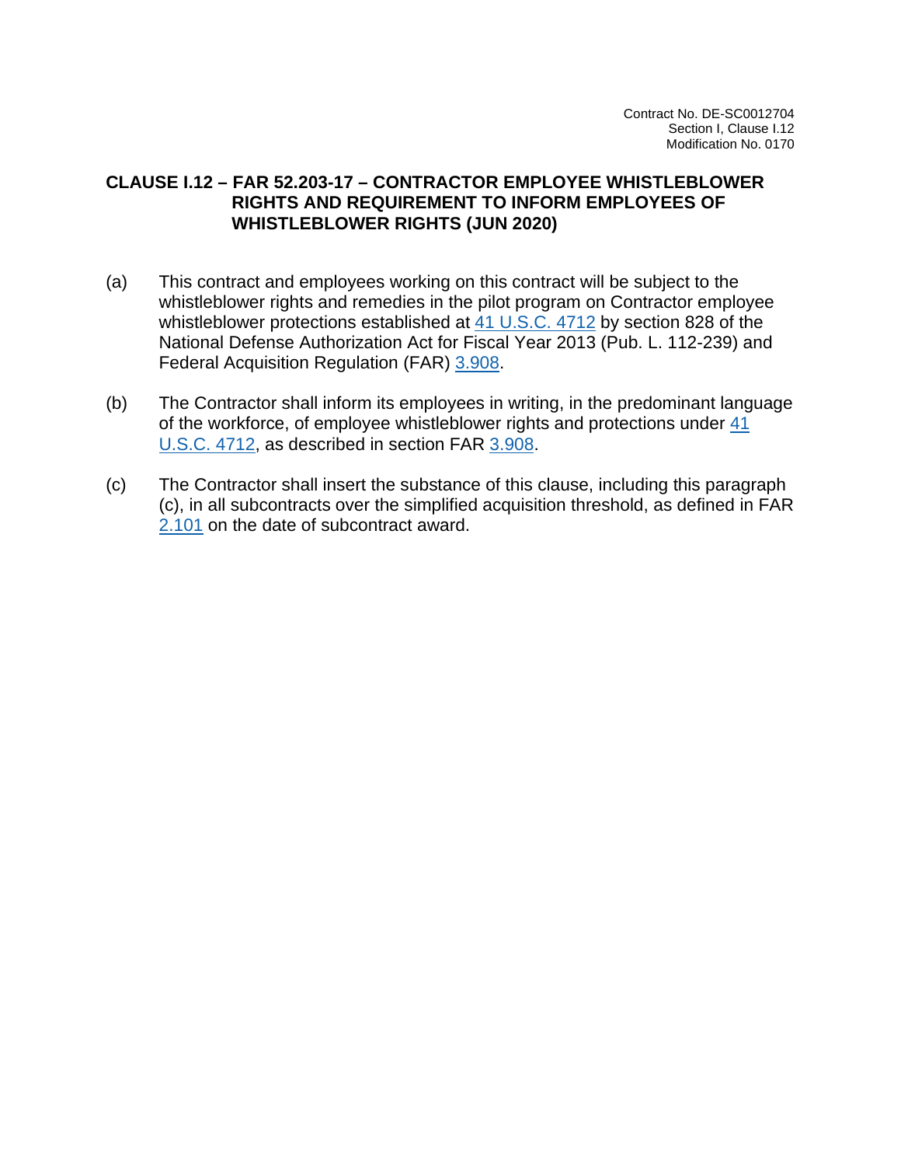## **CLAUSE I.12 – FAR 52.203-17 – CONTRACTOR EMPLOYEE WHISTLEBLOWER RIGHTS AND REQUIREMENT TO INFORM EMPLOYEES OF WHISTLEBLOWER RIGHTS (JUN 2020)**

- (a) This contract and employees working on this contract will be subject to the whistleblower rights and remedies in the pilot program on Contractor employee whistleblower protections established at 41 [U.S.C.](http://uscode.house.gov/browse.xhtml;jsessionid=114A3287C7B3359E597506A31FC855B3) 4712 by section 828 of the National Defense Authorization Act for Fiscal Year 2013 (Pub. L. 112-239) and Federal Acquisition Regulation (FAR) [3.908.](https://www.acquisition.gov/content/3908-pilot-program-enhancement-contractor-employee-whistleblower-protections#i1123923)
- (b) The Contractor shall inform its employees in writing, in the predominant language of the workforce, of employee whistleblower rights and protections under [41](http://uscode.house.gov/browse.xhtml;jsessionid=114A3287C7B3359E597506A31FC855B3) [U.S.C.](http://uscode.house.gov/browse.xhtml;jsessionid=114A3287C7B3359E597506A31FC855B3) 4712, as described in section FAR [3.908.](https://www.acquisition.gov/content/3908-pilot-program-enhancement-contractor-employee-whistleblower-protections#i1123923)
- (c) The Contractor shall insert the substance of this clause, including this paragraph (c), in all subcontracts over the simplified acquisition threshold, as defined in FAR [2.101](https://www.acquisition.gov/content/2101-definitions#i1125359) on the date of subcontract award.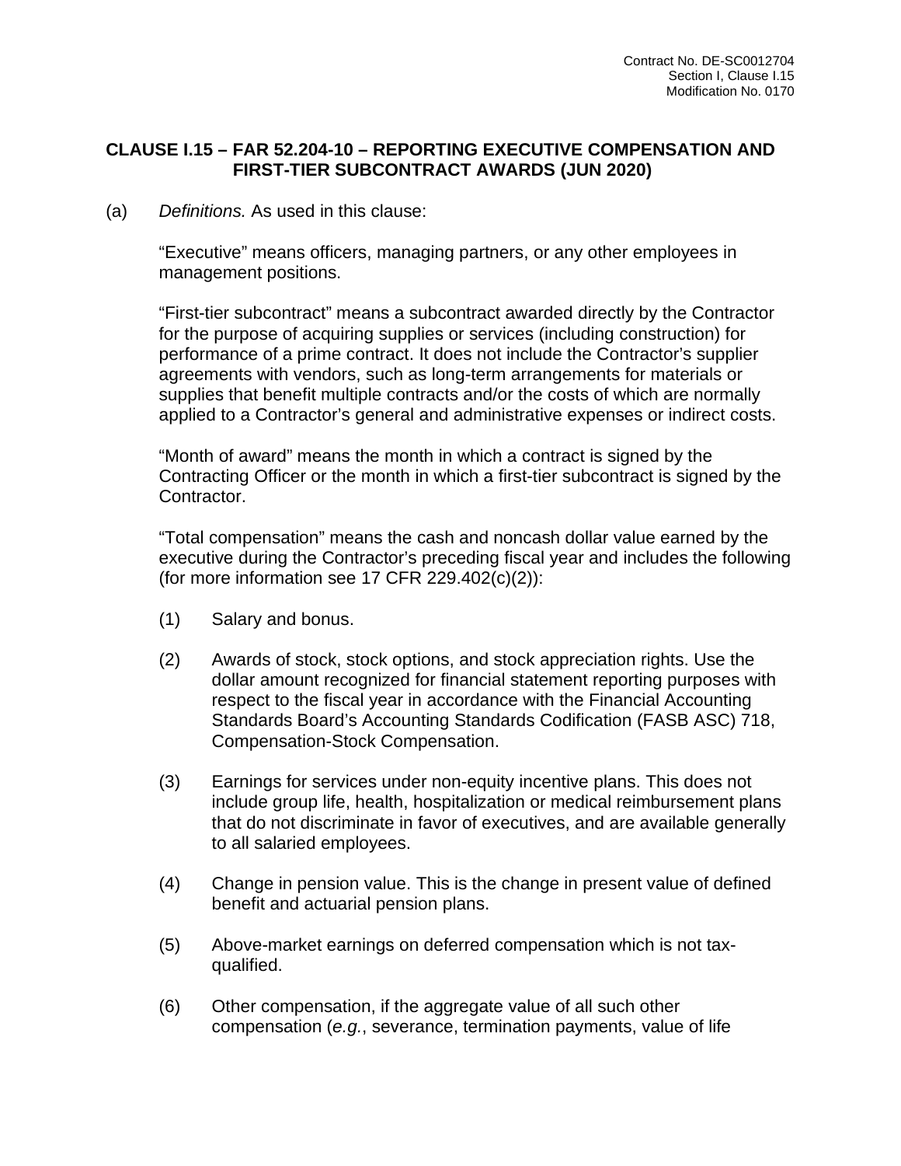## **CLAUSE I.15 – FAR 52.204-10 – REPORTING EXECUTIVE COMPENSATION AND FIRST-TIER SUBCONTRACT AWARDS (JUN 2020)**

(a) *Definitions.* As used in this clause:

"Executive" means officers, managing partners, or any other employees in management positions.

"First-tier subcontract" means a subcontract awarded directly by the Contractor for the purpose of acquiring supplies or services (including construction) for performance of a prime contract. It does not include the Contractor's supplier agreements with vendors, such as long-term arrangements for materials or supplies that benefit multiple contracts and/or the costs of which are normally applied to a Contractor's general and administrative expenses or indirect costs.

"Month of award" means the month in which a contract is signed by the Contracting Officer or the month in which a first-tier subcontract is signed by the Contractor.

"Total compensation" means the cash and noncash dollar value earned by the executive during the Contractor's preceding fiscal year and includes the following (for more information see 17 CFR  $229.402(c)(2)$ ):

- (1) Salary and bonus.
- (2) Awards of stock, stock options, and stock appreciation rights. Use the dollar amount recognized for financial statement reporting purposes with respect to the fiscal year in accordance with the Financial Accounting Standards Board's Accounting Standards Codification (FASB ASC) 718, Compensation-Stock Compensation.
- (3) Earnings for services under non-equity incentive plans. This does not include group life, health, hospitalization or medical reimbursement plans that do not discriminate in favor of executives, and are available generally to all salaried employees.
- (4) Change in pension value. This is the change in present value of defined benefit and actuarial pension plans.
- (5) Above-market earnings on deferred compensation which is not taxqualified.
- (6) Other compensation, if the aggregate value of all such other compensation (*e.g.*, severance, termination payments, value of life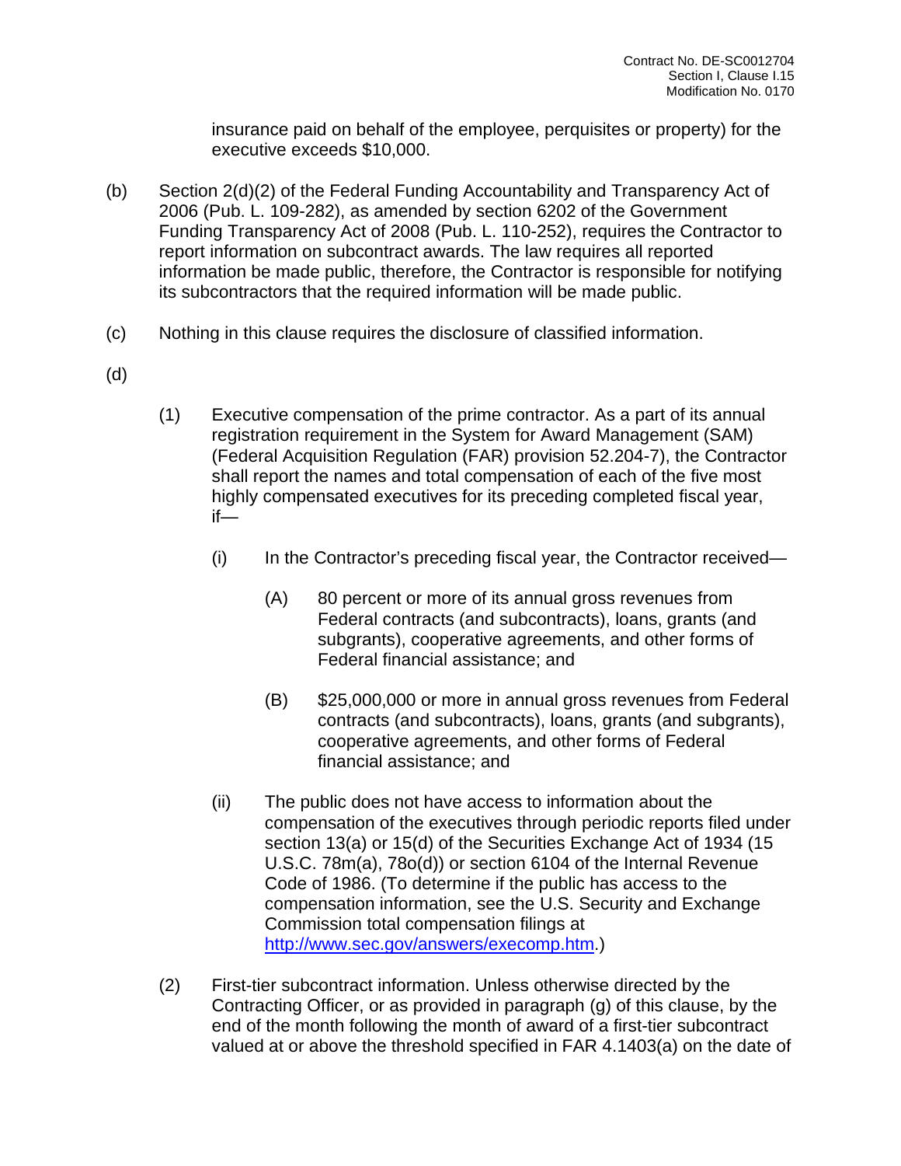insurance paid on behalf of the employee, perquisites or property) for the executive exceeds \$10,000.

- (b) Section 2(d)(2) of the Federal Funding Accountability and Transparency Act of 2006 (Pub. L. 109-282), as amended by section 6202 of the Government Funding Transparency Act of 2008 (Pub. L. 110-252), requires the Contractor to report information on subcontract awards. The law requires all reported information be made public, therefore, the Contractor is responsible for notifying its subcontractors that the required information will be made public.
- (c) Nothing in this clause requires the disclosure of classified information.
- (d)
- (1) Executive compensation of the prime contractor. As a part of its annual registration requirement in the System for Award Management (SAM) (Federal Acquisition Regulation (FAR) provision 52.204-7), the Contractor shall report the names and total compensation of each of the five most highly compensated executives for its preceding completed fiscal year, if—
	- (i) In the Contractor's preceding fiscal year, the Contractor received—
		- (A) 80 percent or more of its annual gross revenues from Federal contracts (and subcontracts), loans, grants (and subgrants), cooperative agreements, and other forms of Federal financial assistance; and
		- (B) \$25,000,000 or more in annual gross revenues from Federal contracts (and subcontracts), loans, grants (and subgrants), cooperative agreements, and other forms of Federal financial assistance; and
	- (ii) The public does not have access to information about the compensation of the executives through periodic reports filed under section 13(a) or 15(d) of the Securities Exchange Act of 1934 (15 U.S.C. 78m(a), 78o(d)) or section 6104 of the Internal Revenue Code of 1986. (To determine if the public has access to the compensation information, see the U.S. Security and Exchange Commission total compensation filings at [http://www.sec.gov/answers/execomp.htm.](http://www.sec.gov/answers/execomp.htm))
- (2) First-tier subcontract information. Unless otherwise directed by the Contracting Officer, or as provided in paragraph (g) of this clause, by the end of the month following the month of award of a first-tier subcontract valued at or above the threshold specified in FAR 4.1403(a) on the date of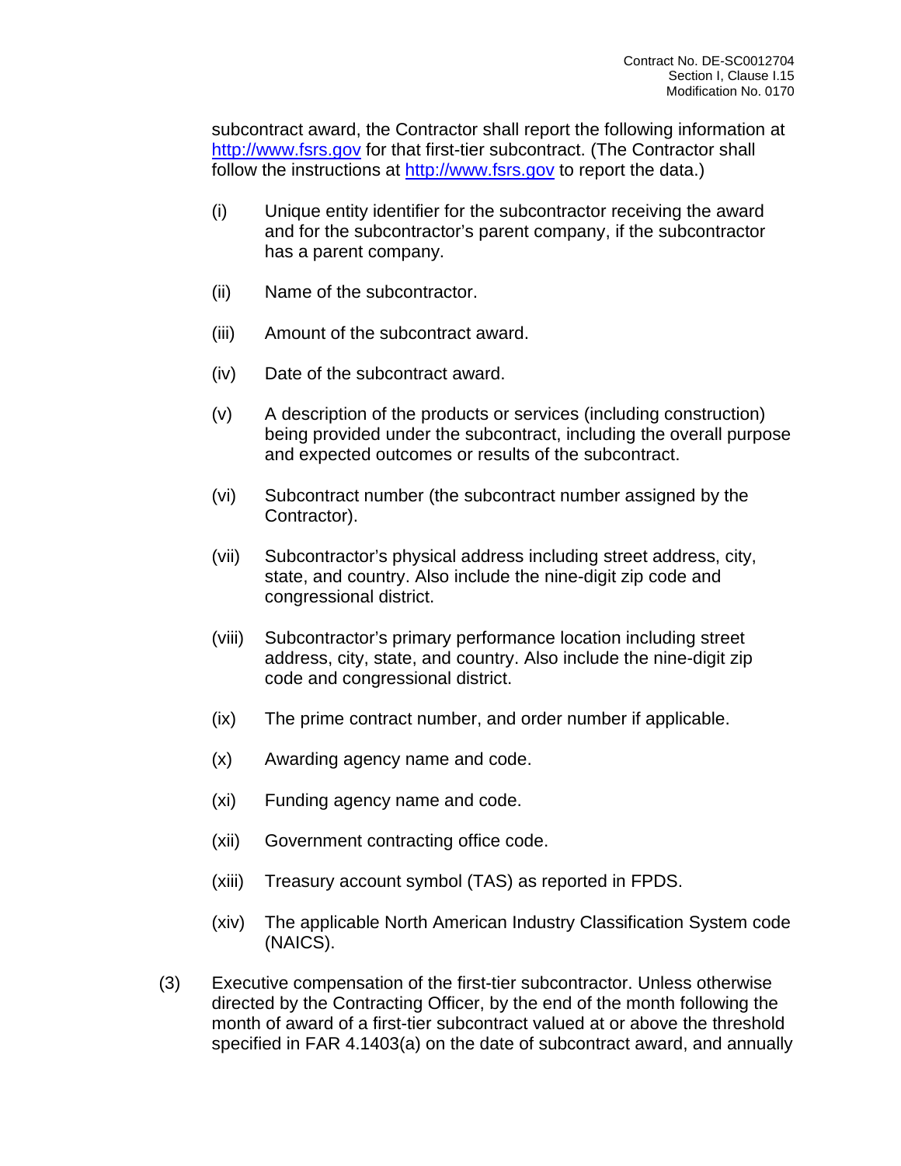subcontract award, the Contractor shall report the following information at [http://www.fsrs.gov](http://www.fsrs.gov/) for that first-tier subcontract. (The Contractor shall follow the instructions at [http://www.fsrs.gov](http://www.fsrs.gov/) to report the data.)

- (i) Unique entity identifier for the subcontractor receiving the award and for the subcontractor's parent company, if the subcontractor has a parent company.
- (ii) Name of the subcontractor.
- (iii) Amount of the subcontract award.
- (iv) Date of the subcontract award.
- (v) A description of the products or services (including construction) being provided under the subcontract, including the overall purpose and expected outcomes or results of the subcontract.
- (vi) Subcontract number (the subcontract number assigned by the Contractor).
- (vii) Subcontractor's physical address including street address, city, state, and country. Also include the nine-digit zip code and congressional district.
- (viii) Subcontractor's primary performance location including street address, city, state, and country. Also include the nine-digit zip code and congressional district.
- (ix) The prime contract number, and order number if applicable.
- (x) Awarding agency name and code.
- (xi) Funding agency name and code.
- (xii) Government contracting office code.
- (xiii) Treasury account symbol (TAS) as reported in FPDS.
- (xiv) The applicable North American Industry Classification System code (NAICS).
- (3) Executive compensation of the first-tier subcontractor. Unless otherwise directed by the Contracting Officer, by the end of the month following the month of award of a first-tier subcontract valued at or above the threshold specified in FAR 4.1403(a) on the date of subcontract award, and annually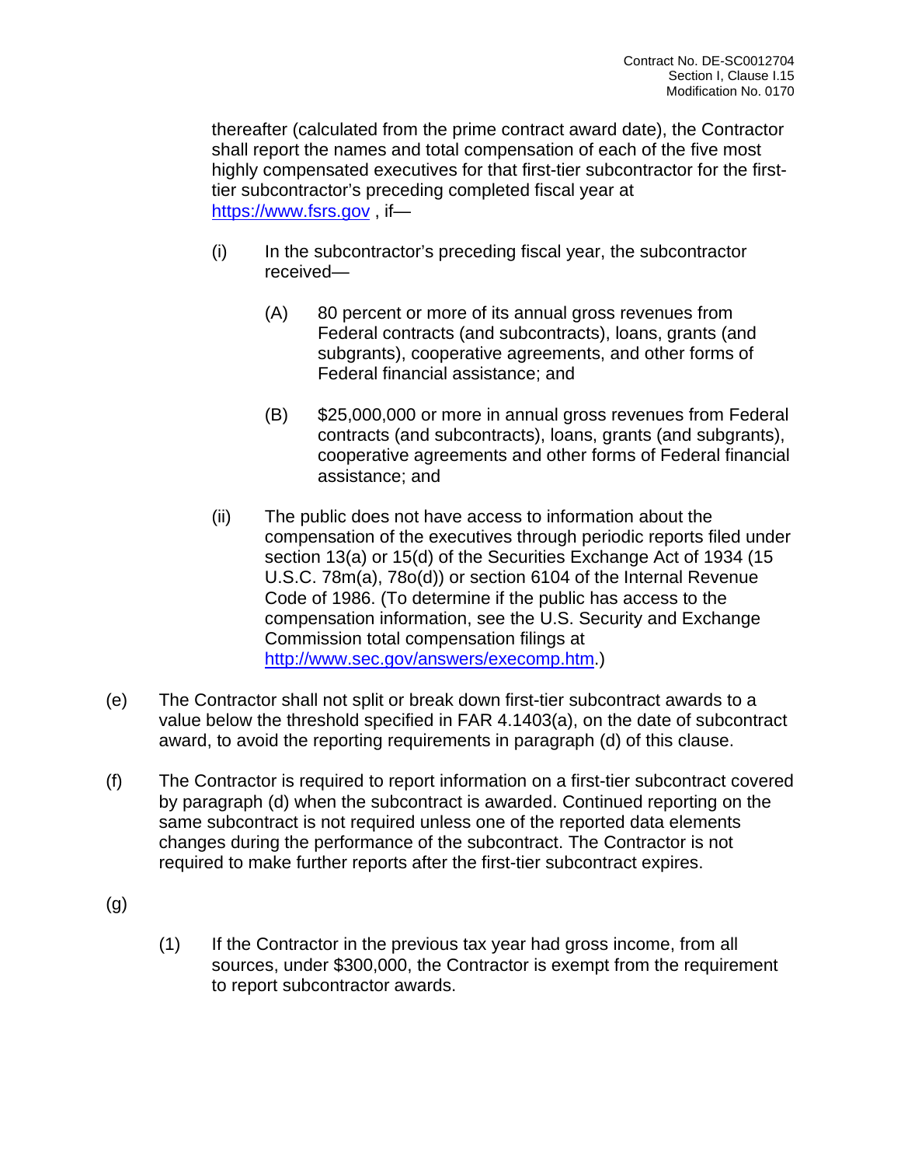thereafter (calculated from the prime contract award date), the Contractor shall report the names and total compensation of each of the five most highly compensated executives for that first-tier subcontractor for the firsttier subcontractor's preceding completed fiscal year at [https://www.fsrs.gov](https://www.fsrs.gov/) , if—

- (i) In the subcontractor's preceding fiscal year, the subcontractor received—
	- (A) 80 percent or more of its annual gross revenues from Federal contracts (and subcontracts), loans, grants (and subgrants), cooperative agreements, and other forms of Federal financial assistance; and
	- (B) \$25,000,000 or more in annual gross revenues from Federal contracts (and subcontracts), loans, grants (and subgrants), cooperative agreements and other forms of Federal financial assistance; and
- (ii) The public does not have access to information about the compensation of the executives through periodic reports filed under section 13(a) or 15(d) of the Securities Exchange Act of 1934 (15 U.S.C. 78m(a), 78o(d)) or section 6104 of the Internal Revenue Code of 1986. (To determine if the public has access to the compensation information, see the U.S. Security and Exchange Commission total compensation filings at [http://www.sec.gov/answers/execomp.htm.](http://www.sec.gov/answers/execomp.htm))
- (e) The Contractor shall not split or break down first-tier subcontract awards to a value below the threshold specified in FAR 4.1403(a), on the date of subcontract award, to avoid the reporting requirements in paragraph (d) of this clause.
- (f) The Contractor is required to report information on a first-tier subcontract covered by paragraph (d) when the subcontract is awarded. Continued reporting on the same subcontract is not required unless one of the reported data elements changes during the performance of the subcontract. The Contractor is not required to make further reports after the first-tier subcontract expires.
- (g)
- (1) If the Contractor in the previous tax year had gross income, from all sources, under \$300,000, the Contractor is exempt from the requirement to report subcontractor awards.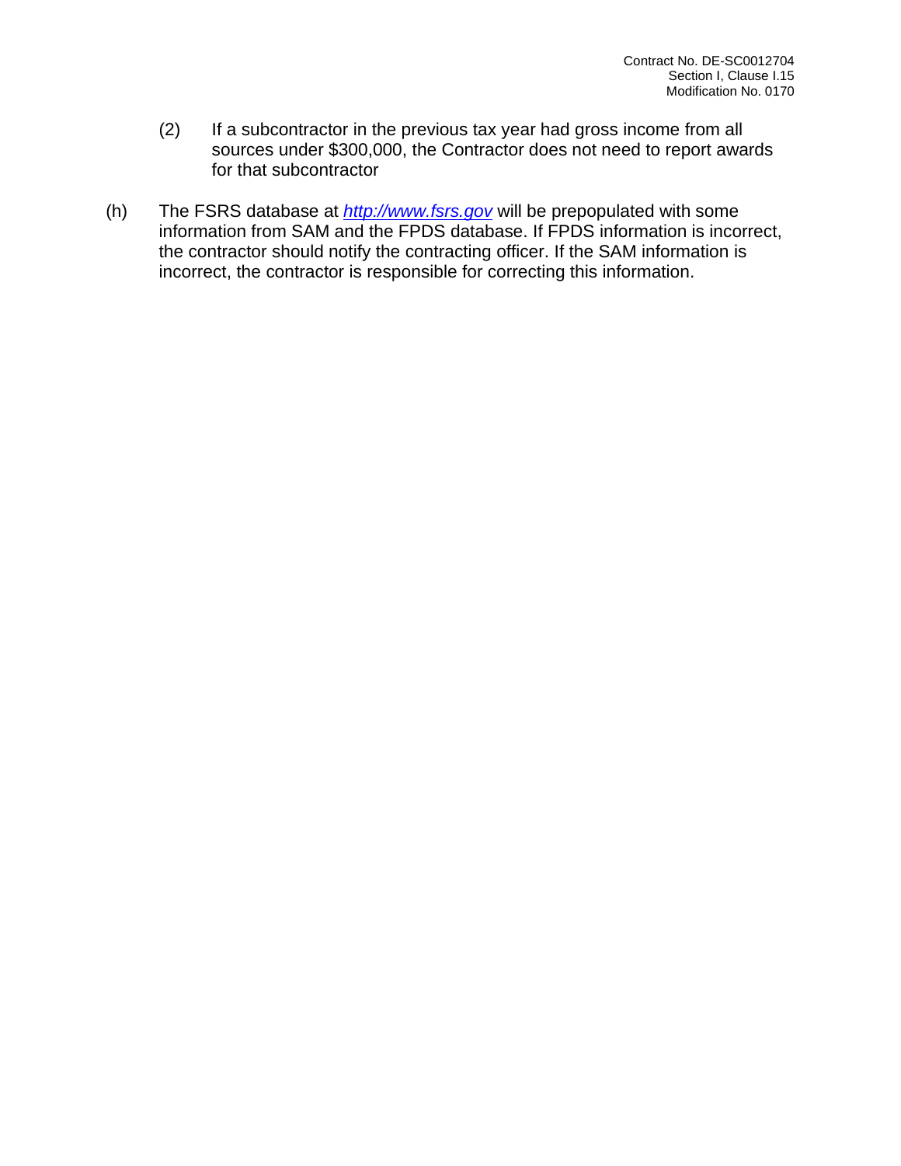- (2) If a subcontractor in the previous tax year had gross income from all sources under \$300,000, the Contractor does not need to report awards for that subcontractor
- (h) The FSRS database at *[http://www.fsrs.gov](http://www.fsrs.gov/)* will be prepopulated with some information from SAM and the FPDS database. If FPDS information is incorrect, the contractor should notify the contracting officer. If the SAM information is incorrect, the contractor is responsible for correcting this information.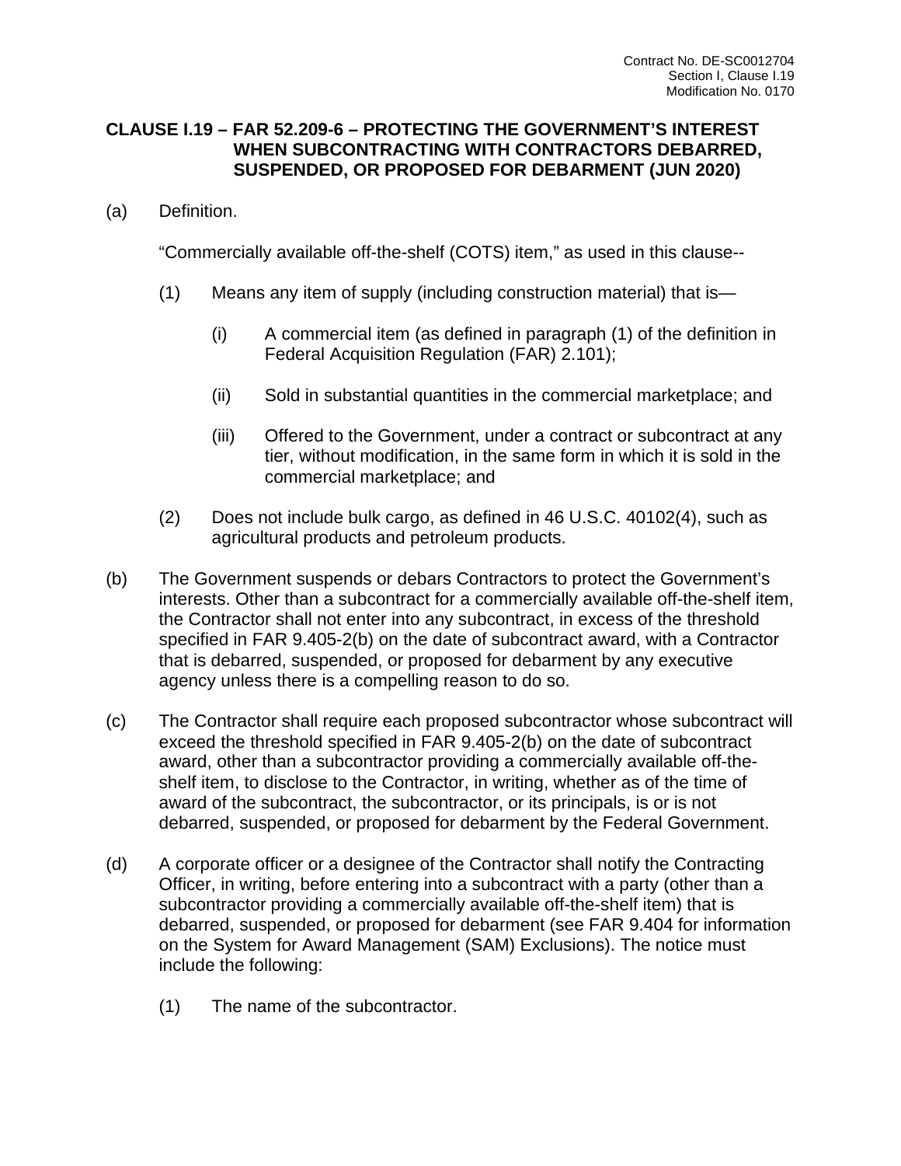#### **CLAUSE I.19 – FAR 52.209-6 – PROTECTING THE GOVERNMENT'S INTEREST WHEN SUBCONTRACTING WITH CONTRACTORS DEBARRED, SUSPENDED, OR PROPOSED FOR DEBARMENT (JUN 2020)**

#### (a) Definition.

"Commercially available off-the-shelf (COTS) item," as used in this clause--

- (1) Means any item of supply (including construction material) that is—
	- (i) A commercial item (as defined in paragraph (1) of the definition in Federal Acquisition Regulation (FAR) 2.101);
	- (ii) Sold in substantial quantities in the commercial marketplace; and
	- (iii) Offered to the Government, under a contract or subcontract at any tier, without modification, in the same form in which it is sold in the commercial marketplace; and
- (2) Does not include bulk cargo, as defined in 46 U.S.C. 40102(4), such as agricultural products and petroleum products.
- (b) The Government suspends or debars Contractors to protect the Government's interests. Other than a subcontract for a commercially available off-the-shelf item, the Contractor shall not enter into any subcontract, in excess of the threshold specified in FAR 9.405-2(b) on the date of subcontract award, with a Contractor that is debarred, suspended, or proposed for debarment by any executive agency unless there is a compelling reason to do so.
- (c) The Contractor shall require each proposed subcontractor whose subcontract will exceed the threshold specified in FAR 9.405-2(b) on the date of subcontract award, other than a subcontractor providing a commercially available off-theshelf item, to disclose to the Contractor, in writing, whether as of the time of award of the subcontract, the subcontractor, or its principals, is or is not debarred, suspended, or proposed for debarment by the Federal Government.
- (d) A corporate officer or a designee of the Contractor shall notify the Contracting Officer, in writing, before entering into a subcontract with a party (other than a subcontractor providing a commercially available off-the-shelf item) that is debarred, suspended, or proposed for debarment (see FAR 9.404 for information on the System for Award Management (SAM) Exclusions). The notice must include the following:
	- (1) The name of the subcontractor.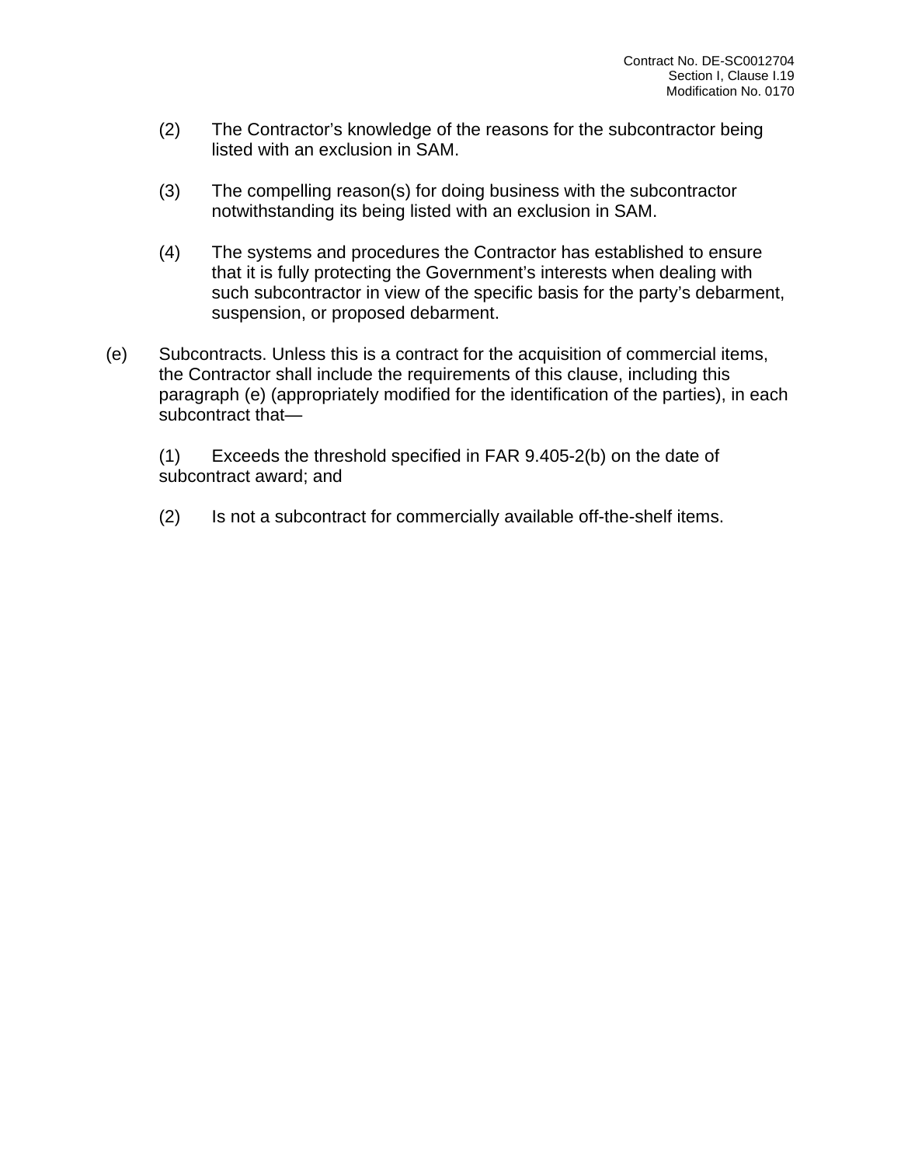- (2) The Contractor's knowledge of the reasons for the subcontractor being listed with an exclusion in SAM.
- (3) The compelling reason(s) for doing business with the subcontractor notwithstanding its being listed with an exclusion in SAM.
- (4) The systems and procedures the Contractor has established to ensure that it is fully protecting the Government's interests when dealing with such subcontractor in view of the specific basis for the party's debarment, suspension, or proposed debarment.
- (e) Subcontracts. Unless this is a contract for the acquisition of commercial items, the Contractor shall include the requirements of this clause, including this paragraph (e) (appropriately modified for the identification of the parties), in each subcontract that—

(1) Exceeds the threshold specified in FAR 9.405-2(b) on the date of subcontract award; and

(2) Is not a subcontract for commercially available off-the-shelf items.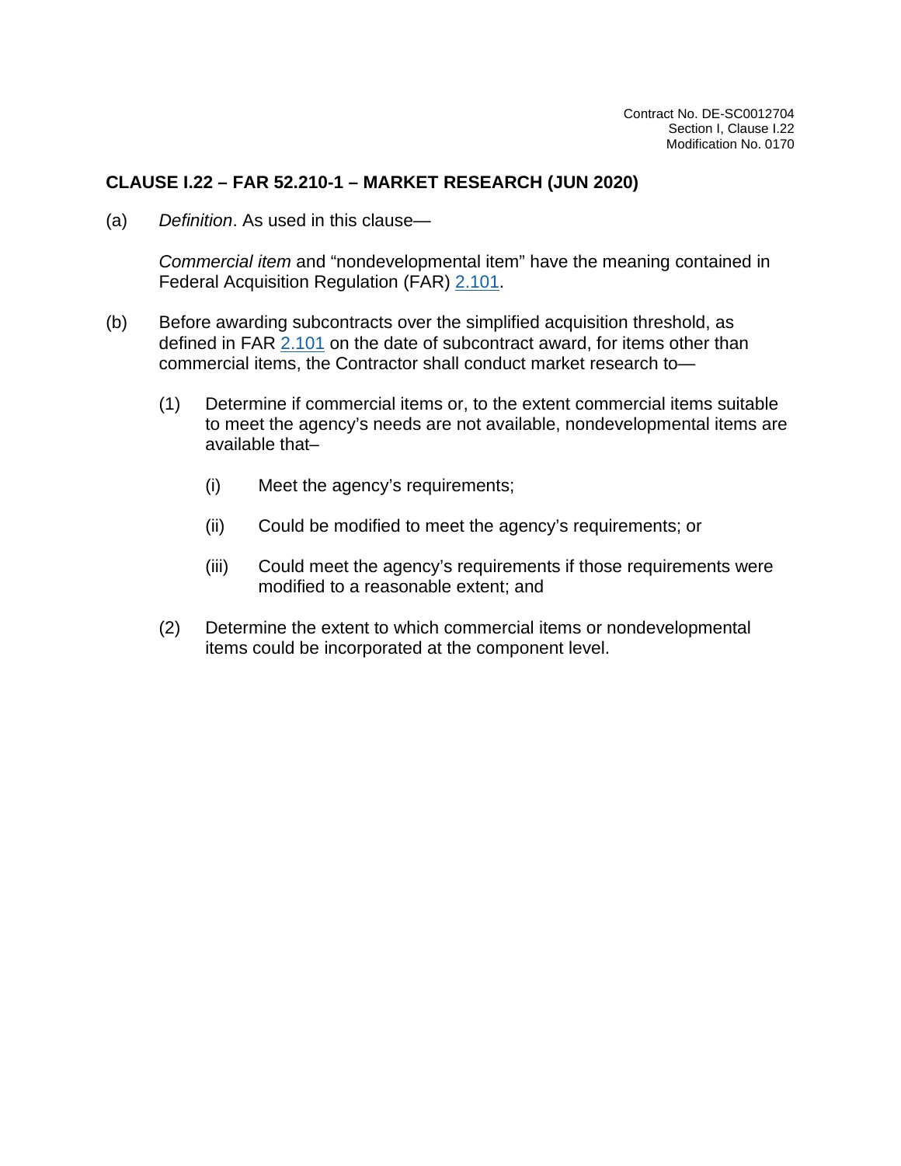#### **CLAUSE I.22 – FAR 52.210-1 – MARKET RESEARCH (JUN 2020)**

(a) *Definition*. As used in this clause—

*Commercial item* and "nondevelopmental item" have the meaning contained in Federal Acquisition Regulation (FAR) [2.101.](https://www.acquisition.gov/content/2101-definitions#i1125359)

- (b) Before awarding subcontracts over the simplified acquisition threshold, as defined in FAR [2.101](https://www.acquisition.gov/content/2101-definitions#i1125359) on the date of subcontract award, for items other than commercial items, the Contractor shall conduct market research to—
	- (1) Determine if commercial items or, to the extent commercial items suitable to meet the agency's needs are not available, nondevelopmental items are available that–
		- (i) Meet the agency's requirements;
		- (ii) Could be modified to meet the agency's requirements; or
		- (iii) Could meet the agency's requirements if those requirements were modified to a reasonable extent; and
	- (2) Determine the extent to which commercial items or nondevelopmental items could be incorporated at the component level.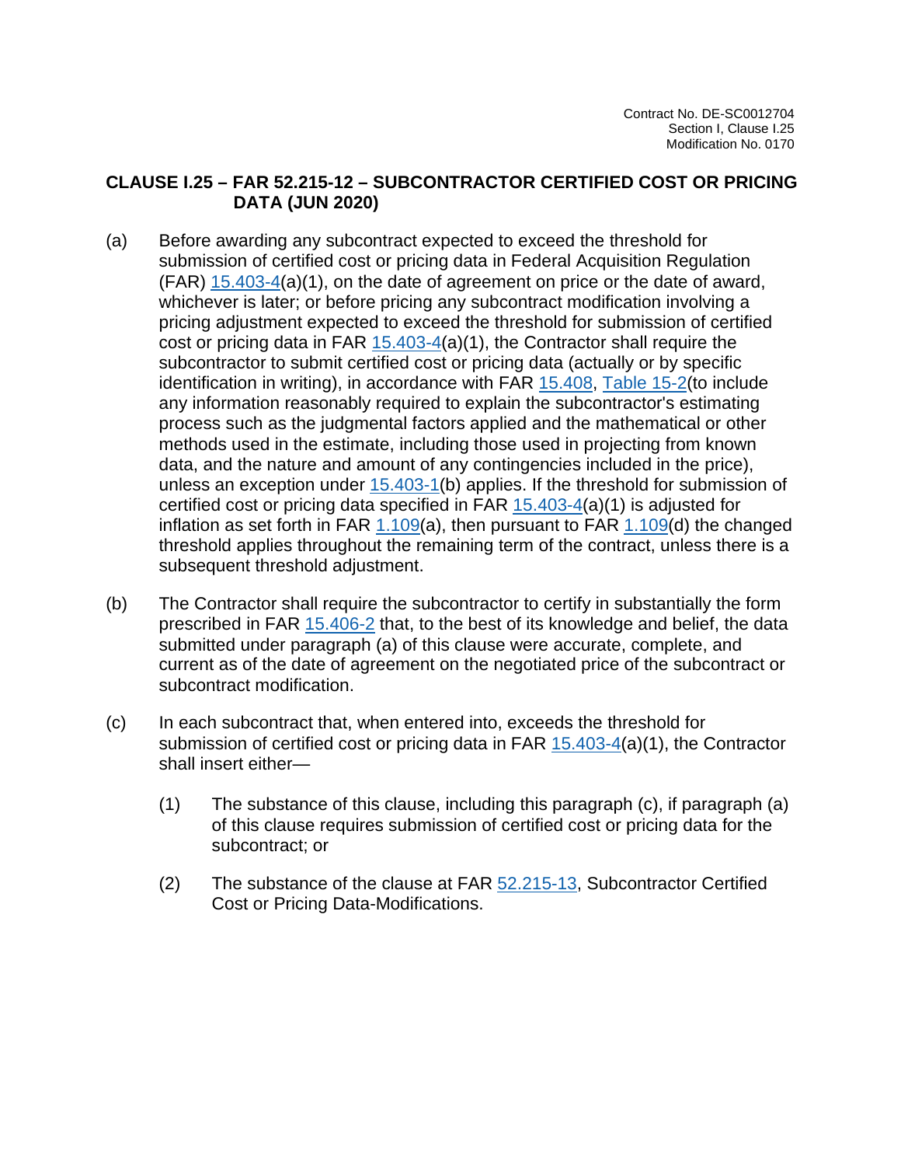## **CLAUSE I.25 – FAR 52.215-12 – SUBCONTRACTOR CERTIFIED COST OR PRICING DATA (JUN 2020)**

- (a) Before awarding any subcontract expected to exceed the threshold for submission of certified cost or pricing data in Federal Acquisition Regulation (FAR) [15.403-4\(](https://www.acquisition.gov/content/15403-4-requiring-certified-cost-or-pricing-data-10-usc-2306a-and-41-usc-chapter-35#i1106066)a)(1), on the date of agreement on price or the date of award, whichever is later; or before pricing any subcontract modification involving a pricing adjustment expected to exceed the threshold for submission of certified cost or pricing data in FAR [15.403-4\(](https://www.acquisition.gov/content/15403-4-requiring-certified-cost-or-pricing-data-10-usc-2306a-and-41-usc-chapter-35#i1106066)a)(1), the Contractor shall require the subcontractor to submit certified cost or pricing data (actually or by specific identification in writing), in accordance with FAR [15.408,](https://www.acquisition.gov/content/15408-solicitation-provisions-and-contract-clauses#i1106593) [Table](https://www.acquisition.gov/content/15408-solicitation-provisions-and-contract-clauses#i1106593__i1106753) 15-2(to include any information reasonably required to explain the subcontractor's estimating process such as the judgmental factors applied and the mathematical or other methods used in the estimate, including those used in projecting from known data, and the nature and amount of any contingencies included in the price), unless an exception under [15.403-1\(](https://www.acquisition.gov/content/15403-1-prohibition-obtaining-certified-cost-or-pricing-data-10-usc-2306-and-41-usc-chapter-35#i1105936)b) applies. If the threshold for submission of certified cost or pricing data specified in FAR [15.403-4\(](https://www.acquisition.gov/content/15403-4-requiring-certified-cost-or-pricing-data-10-usc-2306a-and-41-usc-chapter-35#i1106066)a)(1) is adjusted for inflation as set forth in FAR  $1.109(a)$  $1.109(a)$ , then pursuant to FAR  $1.109(d)$  the changed threshold applies throughout the remaining term of the contract, unless there is a subsequent threshold adjustment.
- (b) The Contractor shall require the subcontractor to certify in substantially the form prescribed in FAR [15.406-2](https://www.acquisition.gov/content/15406-2-certificate-current-cost-or-pricing-data#i1106384) that, to the best of its knowledge and belief, the data submitted under paragraph (a) of this clause were accurate, complete, and current as of the date of agreement on the negotiated price of the subcontract or subcontract modification.
- (c) In each subcontract that, when entered into, exceeds the threshold for submission of certified cost or pricing data in FAR [15.403-4\(](https://www.acquisition.gov/content/15403-4-requiring-certified-cost-or-pricing-data-10-usc-2306a-and-41-usc-chapter-35#i1106066)a)(1), the Contractor shall insert either—
	- (1) The substance of this clause, including this paragraph (c), if paragraph (a) of this clause requires submission of certified cost or pricing data for the subcontract; or
	- (2) The substance of the clause at FAR [52.215-13,](https://www.acquisition.gov/content/52215-13-subcontractor-certified-cost-or-pricing-data-modifications#i1059437) Subcontractor Certified Cost or Pricing Data-Modifications.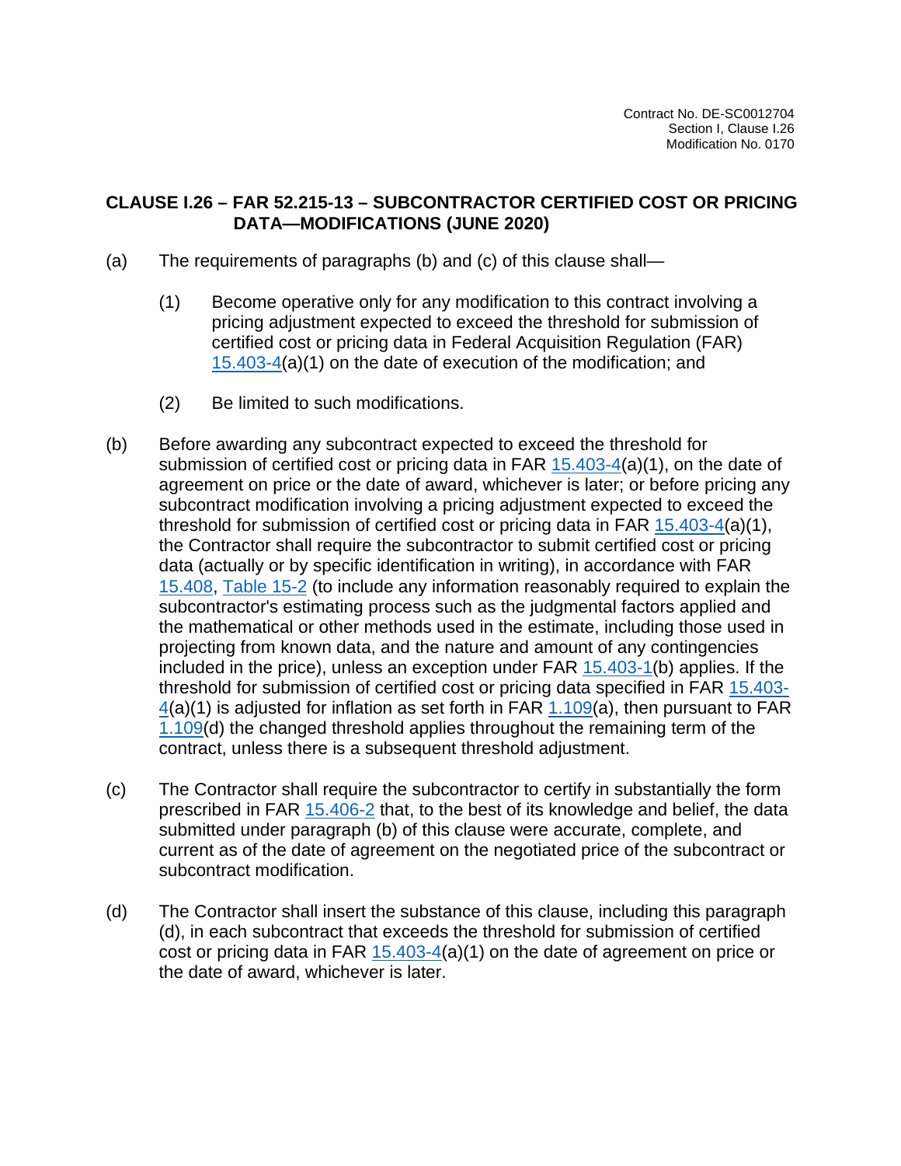## **CLAUSE I.26 – FAR 52.215-13 – SUBCONTRACTOR CERTIFIED COST OR PRICING DATA—MODIFICATIONS (JUNE 2020)**

- (a) The requirements of paragraphs (b) and (c) of this clause shall—
	- (1) Become operative only for any modification to this contract involving a pricing adjustment expected to exceed the threshold for submission of certified cost or pricing data in Federal Acquisition Regulation (FAR) [15.403-4\(](https://www.acquisition.gov/content/15403-4-requiring-certified-cost-or-pricing-data-10-usc-2306a-and-41-usc-chapter-35#i1106066)a)(1) on the date of execution of the modification; and
	- (2) Be limited to such modifications.
- (b) Before awarding any subcontract expected to exceed the threshold for submission of certified cost or pricing data in FAR [15.403-4\(](https://www.acquisition.gov/content/15403-4-requiring-certified-cost-or-pricing-data-10-usc-2306a-and-41-usc-chapter-35#i1106066)a)(1), on the date of agreement on price or the date of award, whichever is later; or before pricing any subcontract modification involving a pricing adjustment expected to exceed the threshold for submission of certified cost or pricing data in FAR [15.403-4\(](https://www.acquisition.gov/content/15403-4-requiring-certified-cost-or-pricing-data-10-usc-2306a-and-41-usc-chapter-35#i1106066)a)(1), the Contractor shall require the subcontractor to submit certified cost or pricing data (actually or by specific identification in writing), in accordance with FAR [15.408,](https://www.acquisition.gov/content/15408-solicitation-provisions-and-contract-clauses#i1106593) [Table](https://www.acquisition.gov/content/15408-solicitation-provisions-and-contract-clauses#i1106593__i1106753) 15-2 (to include any information reasonably required to explain the subcontractor's estimating process such as the judgmental factors applied and the mathematical or other methods used in the estimate, including those used in projecting from known data, and the nature and amount of any contingencies included in the price), unless an exception under FAR [15.403-1\(](https://www.acquisition.gov/content/15403-1-prohibition-obtaining-certified-cost-or-pricing-data-10-usc-2306-and-41-usc-chapter-35#i1105936)b) applies. If the threshold for submission of certified cost or pricing data specified in FAR [15.403-](https://www.acquisition.gov/content/15403-4-requiring-certified-cost-or-pricing-data-10-usc-2306a-and-41-usc-chapter-35#i1106066)  $4(a)(1)$  $4(a)(1)$  is adjusted for inflation as set forth in FAR [1.109\(](https://www.acquisition.gov/content/1109-statutory-acquisition%E2%80%93related-dollar-thresholds-adjustment-inflation#id1617MD00FX5)a), then pursuant to FAR [1.109\(](https://www.acquisition.gov/content/1109-statutory-acquisition%E2%80%93related-dollar-thresholds-adjustment-inflation#id1617MD00FX5)d) the changed threshold applies throughout the remaining term of the contract, unless there is a subsequent threshold adjustment.
- (c) The Contractor shall require the subcontractor to certify in substantially the form prescribed in FAR [15.406-2](https://www.acquisition.gov/content/15406-2-certificate-current-cost-or-pricing-data#i1106384) that, to the best of its knowledge and belief, the data submitted under paragraph (b) of this clause were accurate, complete, and current as of the date of agreement on the negotiated price of the subcontract or subcontract modification.
- (d) The Contractor shall insert the substance of this clause, including this paragraph (d), in each subcontract that exceeds the threshold for submission of certified cost or pricing data in FAR  $15.403 - 4(a)(1)$  on the date of agreement on price or the date of award, whichever is later.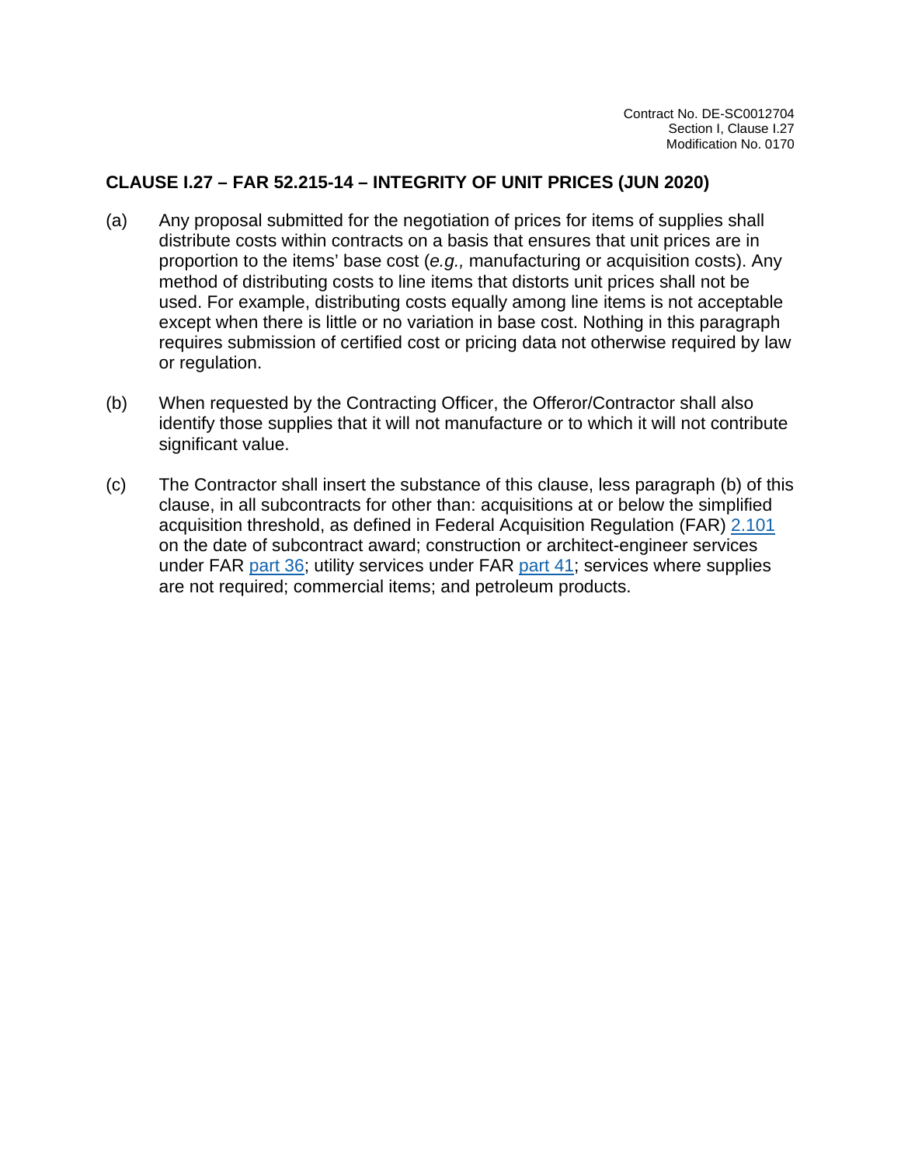## **CLAUSE I.27 – FAR 52.215-14 – INTEGRITY OF UNIT PRICES (JUN 2020)**

- (a) Any proposal submitted for the negotiation of prices for items of supplies shall distribute costs within contracts on a basis that ensures that unit prices are in proportion to the items' base cost (*e.g.,* manufacturing or acquisition costs). Any method of distributing costs to line items that distorts unit prices shall not be used. For example, distributing costs equally among line items is not acceptable except when there is little or no variation in base cost. Nothing in this paragraph requires submission of certified cost or pricing data not otherwise required by law or regulation.
- (b) When requested by the Contracting Officer, the Offeror/Contractor shall also identify those supplies that it will not manufacture or to which it will not contribute significant value.
- (c) The Contractor shall insert the substance of this clause, less paragraph (b) of this clause, in all subcontracts for other than: acquisitions at or below the simplified acquisition threshold, as defined in Federal Acquisition Regulation (FAR) [2.101](https://www.acquisition.gov/content/2101-definitions#i1125359) on the date of subcontract award; construction or architect-engineer services under FAR [part](https://www.acquisition.gov/content/part-41-acquisition-utility-services#i1076909) 36; utility services under FAR part 41; services where supplies are not required; commercial items; and petroleum products.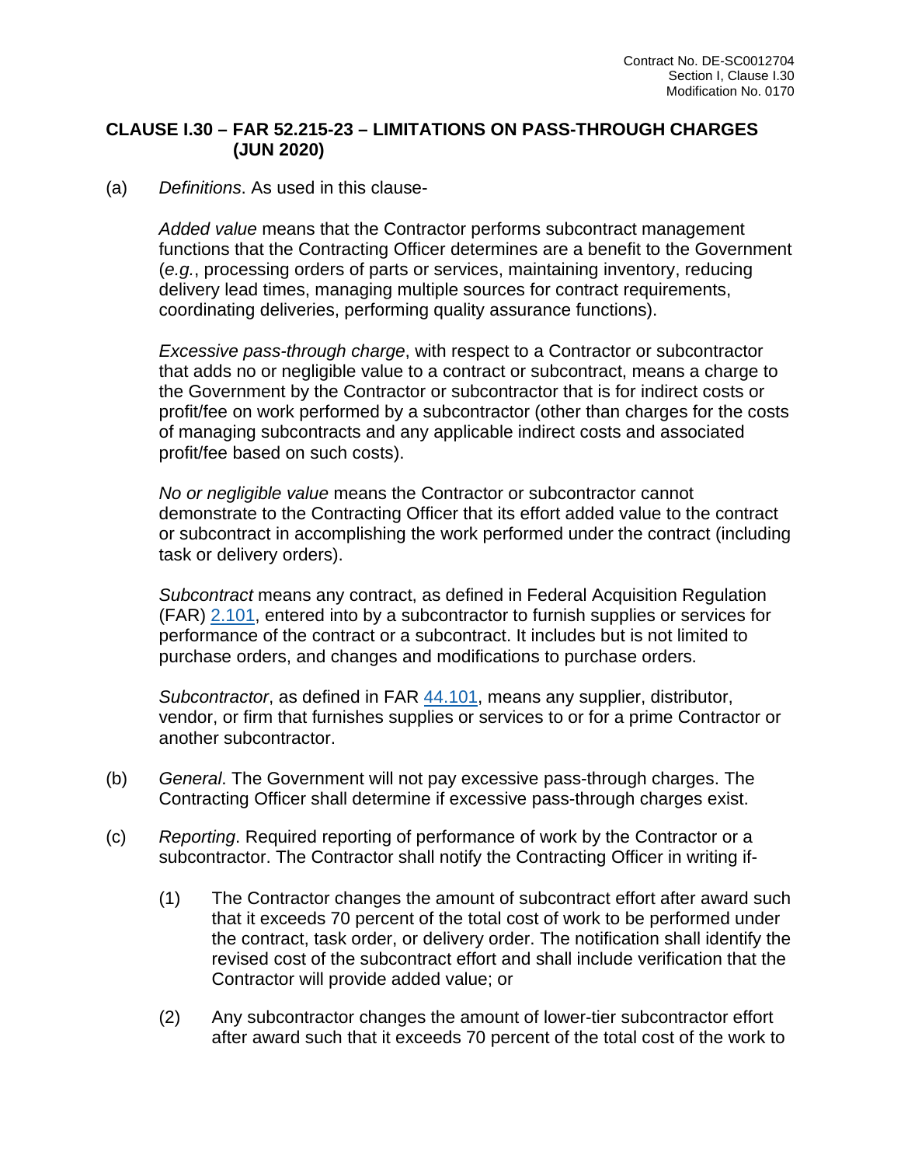#### **CLAUSE I.30 – FAR 52.215-23 – LIMITATIONS ON PASS-THROUGH CHARGES (JUN 2020)**

(a) *Definitions*. As used in this clause-

*Added value* means that the Contractor performs subcontract management functions that the Contracting Officer determines are a benefit to the Government (*e.g.*, processing orders of parts or services, maintaining inventory, reducing delivery lead times, managing multiple sources for contract requirements, coordinating deliveries, performing quality assurance functions).

*Excessive pass-through charge*, with respect to a Contractor or subcontractor that adds no or negligible value to a contract or subcontract, means a charge to the Government by the Contractor or subcontractor that is for indirect costs or profit/fee on work performed by a subcontractor (other than charges for the costs of managing subcontracts and any applicable indirect costs and associated profit/fee based on such costs).

*No or negligible value* means the Contractor or subcontractor cannot demonstrate to the Contracting Officer that its effort added value to the contract or subcontract in accomplishing the work performed under the contract (including task or delivery orders).

*Subcontract* means any contract, as defined in Federal Acquisition Regulation (FAR) [2.101,](https://www.acquisition.gov/content/2101-definitions#i1125359) entered into by a subcontractor to furnish supplies or services for performance of the contract or a subcontract. It includes but is not limited to purchase orders, and changes and modifications to purchase orders.

*Subcontractor*, as defined in FAR [44.101,](https://www.acquisition.gov/content/44101-definitions#i1073689) means any supplier, distributor, vendor, or firm that furnishes supplies or services to or for a prime Contractor or another subcontractor.

- (b) *General*. The Government will not pay excessive pass-through charges. The Contracting Officer shall determine if excessive pass-through charges exist.
- (c) *Reporting*. Required reporting of performance of work by the Contractor or a subcontractor. The Contractor shall notify the Contracting Officer in writing if-
	- (1) The Contractor changes the amount of subcontract effort after award such that it exceeds 70 percent of the total cost of work to be performed under the contract, task order, or delivery order. The notification shall identify the revised cost of the subcontract effort and shall include verification that the Contractor will provide added value; or
	- (2) Any subcontractor changes the amount of lower-tier subcontractor effort after award such that it exceeds 70 percent of the total cost of the work to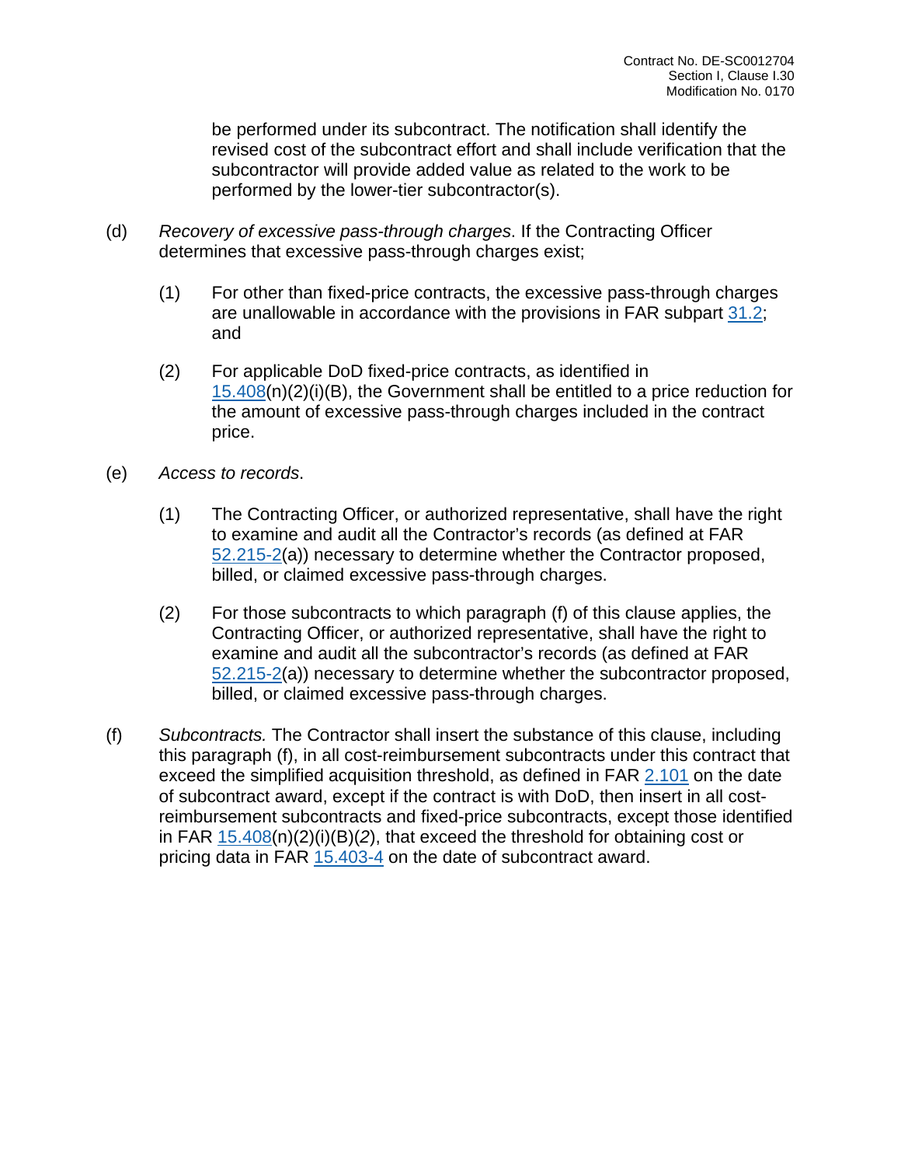be performed under its subcontract. The notification shall identify the revised cost of the subcontract effort and shall include verification that the subcontractor will provide added value as related to the work to be performed by the lower-tier subcontractor(s).

- (d) *Recovery of excessive pass-through charges*. If the Contracting Officer determines that excessive pass-through charges exist;
	- (1) For other than fixed-price contracts, the excessive pass-through charges are unallowable in accordance with the provisions in FAR subpart [31.2;](https://www.acquisition.gov/content/subpart-312-contracts-commercial-organizations#i1084539) and
	- (2) For applicable DoD fixed-price contracts, as identified in [15.408\(](https://www.acquisition.gov/content/15408-solicitation-provisions-and-contract-clauses#i1106593)n)(2)(i)(B), the Government shall be entitled to a price reduction for the amount of excessive pass-through charges included in the contract price.
- (e) *Access to records*.
	- (1) The Contracting Officer, or authorized representative, shall have the right to examine and audit all the Contractor's records (as defined at FAR [52.215-2\(](https://www.acquisition.gov/content/52215-2-audit-and-records-negotiation#i1059150)a)) necessary to determine whether the Contractor proposed, billed, or claimed excessive pass-through charges.
	- (2) For those subcontracts to which paragraph (f) of this clause applies, the Contracting Officer, or authorized representative, shall have the right to examine and audit all the subcontractor's records (as defined at FAR [52.215-2\(](https://www.acquisition.gov/content/52215-2-audit-and-records-negotiation#i1059150)a)) necessary to determine whether the subcontractor proposed, billed, or claimed excessive pass-through charges.
- (f) *Subcontracts.* The Contractor shall insert the substance of this clause, including this paragraph (f), in all cost-reimbursement subcontracts under this contract that exceed the simplified acquisition threshold, as defined in FAR [2.101](https://www.acquisition.gov/content/2101-definitions#i1125359) on the date of subcontract award, except if the contract is with DoD, then insert in all costreimbursement subcontracts and fixed-price subcontracts, except those identified in FAR [15.408\(](https://www.acquisition.gov/content/15408-solicitation-provisions-and-contract-clauses#i1106593)n)(2)(i)(B)(*2*), that exceed the threshold for obtaining cost or pricing data in FAR [15.403-4](https://www.acquisition.gov/content/15403-4-requiring-certified-cost-or-pricing-data-10-usc-2306a-and-41-usc-chapter-35#i1106066) on the date of subcontract award.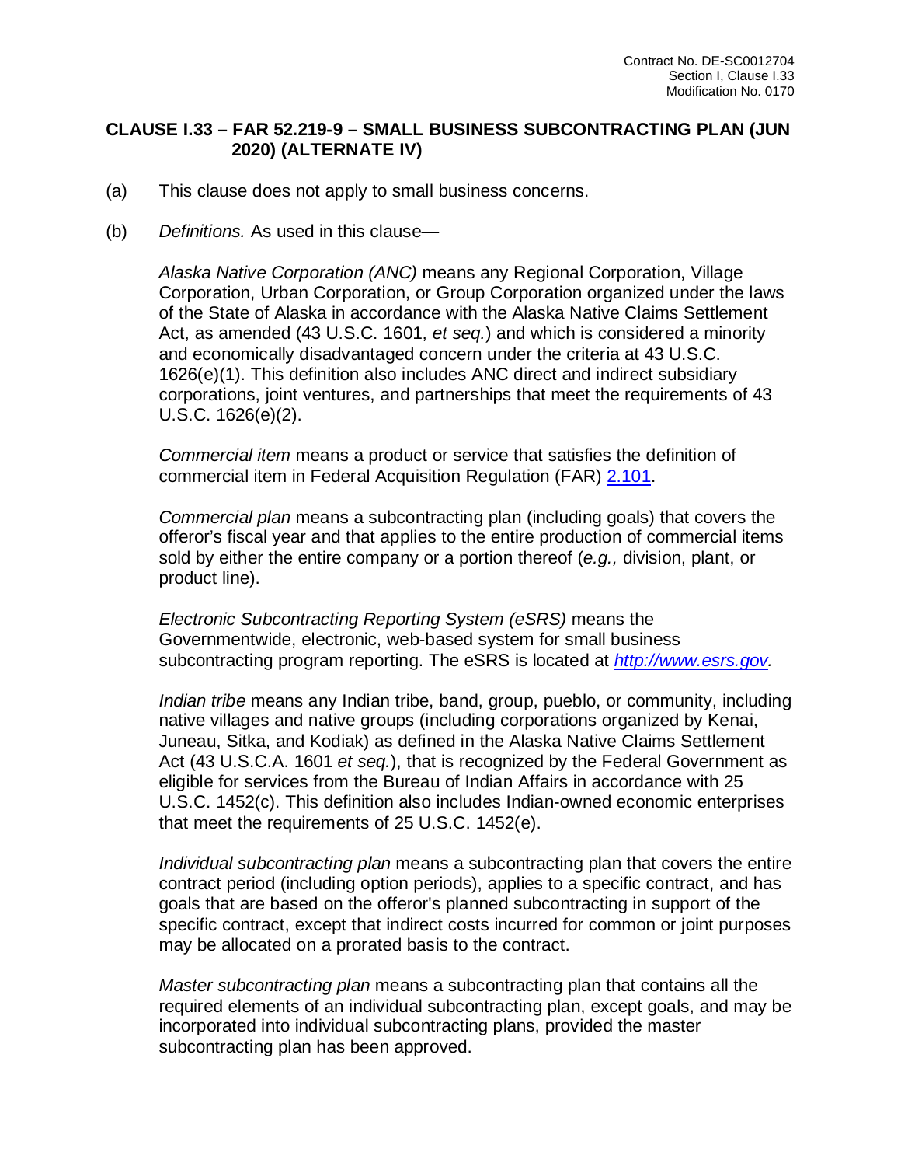#### **CLAUSE I.33 – FAR 52.219-9 – SMALL BUSINESS SUBCONTRACTING PLAN (JUN 2020) (ALTERNATE IV)**

- (a) This clause does not apply to small business concerns.
- (b) *Definitions.* As used in this clause—

*Alaska Native Corporation (ANC)* means any Regional Corporation, Village Corporation, Urban Corporation, or Group Corporation organized under the laws of the State of Alaska in accordance with the Alaska Native Claims Settlement Act, as amended (43 U.S.C. 1601, *et seq.*) and which is considered a minority and economically disadvantaged concern under the criteria at 43 U.S.C. 1626(e)(1). This definition also includes ANC direct and indirect subsidiary corporations, joint ventures, and partnerships that meet the requirements of 43 U.S.C. 1626(e)(2).

*Commercial item* means a product or service that satisfies the definition of commercial item in Federal Acquisition Regulation (FAR) [2.101.](https://www.acquisition.gov/content/2101-definitions#i1125359)

*Commercial plan* means a subcontracting plan (including goals) that covers the offeror's fiscal year and that applies to the entire production of commercial items sold by either the entire company or a portion thereof (*e.g.,* division, plant, or product line).

*Electronic Subcontracting Reporting System (eSRS)* means the Governmentwide, electronic, web-based system for small business subcontracting program reporting. The eSRS is located at *[http://www.esrs.gov.](http://www.esrs.gov/)*

*Indian tribe* means any Indian tribe, band, group, pueblo, or community, including native villages and native groups (including corporations organized by Kenai, Juneau, Sitka, and Kodiak) as defined in the Alaska Native Claims Settlement Act (43 U.S.C.A. 1601 *et seq.*), that is recognized by the Federal Government as eligible for services from the Bureau of Indian Affairs in accordance with 25 U.S.C. 1452(c). This definition also includes Indian-owned economic enterprises that meet the requirements of 25 U.S.C. 1452(e).

*Individual subcontracting plan* means a subcontracting plan that covers the entire contract period (including option periods), applies to a specific contract, and has goals that are based on the offeror's planned subcontracting in support of the specific contract, except that indirect costs incurred for common or joint purposes may be allocated on a prorated basis to the contract.

*Master subcontracting plan* means a subcontracting plan that contains all the required elements of an individual subcontracting plan, except goals, and may be incorporated into individual subcontracting plans, provided the master subcontracting plan has been approved.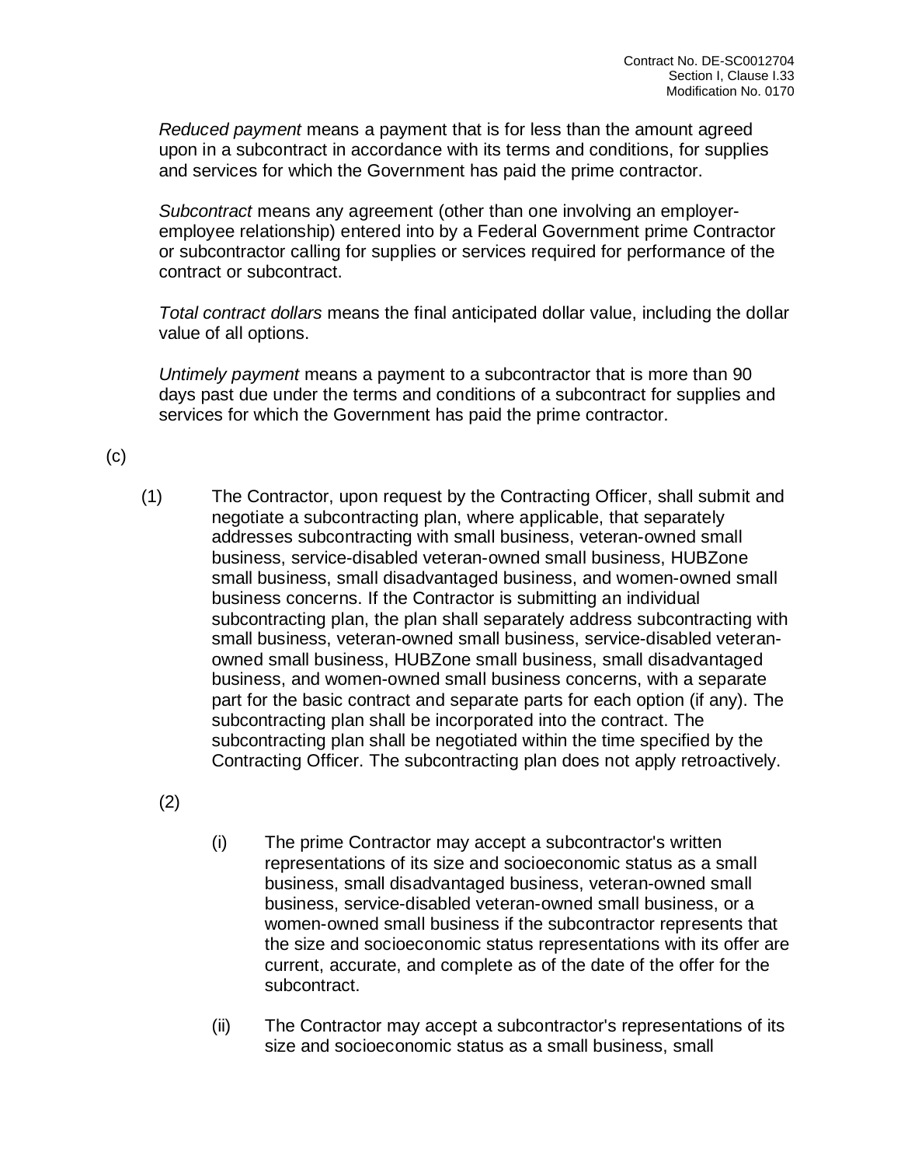*Reduced payment* means a payment that is for less than the amount agreed upon in a subcontract in accordance with its terms and conditions, for supplies and services for which the Government has paid the prime contractor.

*Subcontract* means any agreement (other than one involving an employeremployee relationship) entered into by a Federal Government prime Contractor or subcontractor calling for supplies or services required for performance of the contract or subcontract.

*Total contract dollars* means the final anticipated dollar value, including the dollar value of all options.

*Untimely payment* means a payment to a subcontractor that is more than 90 days past due under the terms and conditions of a subcontract for supplies and services for which the Government has paid the prime contractor.

(c)

(1) The Contractor, upon request by the Contracting Officer, shall submit and negotiate a subcontracting plan, where applicable, that separately addresses subcontracting with small business, veteran-owned small business, service-disabled veteran-owned small business, HUBZone small business, small disadvantaged business, and women-owned small business concerns. If the Contractor is submitting an individual subcontracting plan, the plan shall separately address subcontracting with small business, veteran-owned small business, service-disabled veteranowned small business, HUBZone small business, small disadvantaged business, and women-owned small business concerns, with a separate part for the basic contract and separate parts for each option (if any). The subcontracting plan shall be incorporated into the contract. The subcontracting plan shall be negotiated within the time specified by the Contracting Officer. The subcontracting plan does not apply retroactively.

(2)

- (i) The prime Contractor may accept a subcontractor's written representations of its size and socioeconomic status as a small business, small disadvantaged business, veteran-owned small business, service-disabled veteran-owned small business, or a women-owned small business if the subcontractor represents that the size and socioeconomic status representations with its offer are current, accurate, and complete as of the date of the offer for the subcontract.
- (ii) The Contractor may accept a subcontractor's representations of its size and socioeconomic status as a small business, small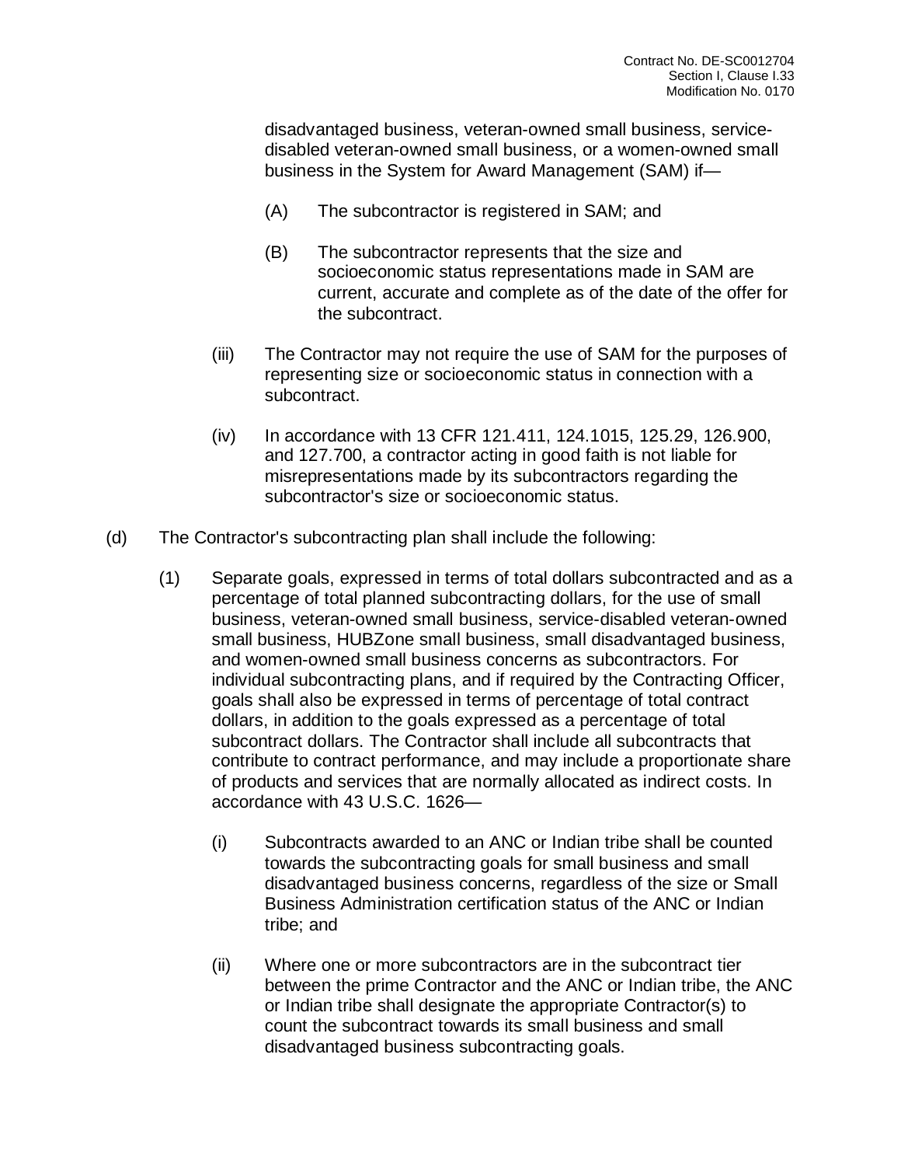disadvantaged business, veteran-owned small business, servicedisabled veteran-owned small business, or a women-owned small business in the System for Award Management (SAM) if—

- (A) The subcontractor is registered in SAM; and
- (B) The subcontractor represents that the size and socioeconomic status representations made in SAM are current, accurate and complete as of the date of the offer for the subcontract.
- (iii) The Contractor may not require the use of SAM for the purposes of representing size or socioeconomic status in connection with a subcontract.
- (iv) In accordance with 13 CFR 121.411, 124.1015, 125.29, 126.900, and 127.700, a contractor acting in good faith is not liable for misrepresentations made by its subcontractors regarding the subcontractor's size or socioeconomic status.
- (d) The Contractor's subcontracting plan shall include the following:
	- (1) Separate goals, expressed in terms of total dollars subcontracted and as a percentage of total planned subcontracting dollars, for the use of small business, veteran-owned small business, service-disabled veteran-owned small business, HUBZone small business, small disadvantaged business, and women-owned small business concerns as subcontractors. For individual subcontracting plans, and if required by the Contracting Officer, goals shall also be expressed in terms of percentage of total contract dollars, in addition to the goals expressed as a percentage of total subcontract dollars. The Contractor shall include all subcontracts that contribute to contract performance, and may include a proportionate share of products and services that are normally allocated as indirect costs. In accordance with 43 U.S.C. 1626—
		- (i) Subcontracts awarded to an ANC or Indian tribe shall be counted towards the subcontracting goals for small business and small disadvantaged business concerns, regardless of the size or Small Business Administration certification status of the ANC or Indian tribe; and
		- (ii) Where one or more subcontractors are in the subcontract tier between the prime Contractor and the ANC or Indian tribe, the ANC or Indian tribe shall designate the appropriate Contractor(s) to count the subcontract towards its small business and small disadvantaged business subcontracting goals.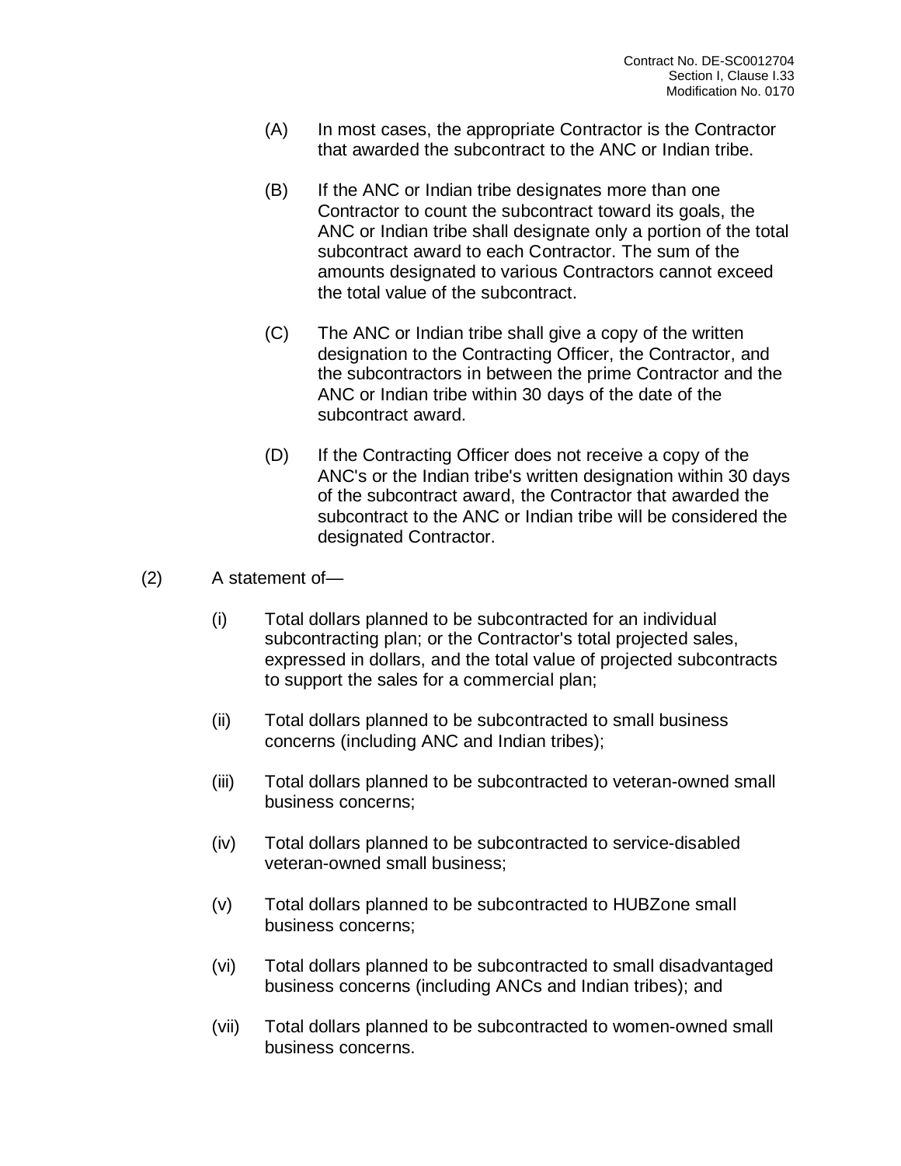- (A) In most cases, the appropriate Contractor is the Contractor that awarded the subcontract to the ANC or Indian tribe.
- (B) If the ANC or Indian tribe designates more than one Contractor to count the subcontract toward its goals, the ANC or Indian tribe shall designate only a portion of the total subcontract award to each Contractor. The sum of the amounts designated to various Contractors cannot exceed the total value of the subcontract.
- (C) The ANC or Indian tribe shall give a copy of the written designation to the Contracting Officer, the Contractor, and the subcontractors in between the prime Contractor and the ANC or Indian tribe within 30 days of the date of the subcontract award.
- (D) If the Contracting Officer does not receive a copy of the ANC's or the Indian tribe's written designation within 30 days of the subcontract award, the Contractor that awarded the subcontract to the ANC or Indian tribe will be considered the designated Contractor.
- (2) A statement of—
	- (i) Total dollars planned to be subcontracted for an individual subcontracting plan; or the Contractor's total projected sales, expressed in dollars, and the total value of projected subcontracts to support the sales for a commercial plan;
	- (ii) Total dollars planned to be subcontracted to small business concerns (including ANC and Indian tribes);
	- (iii) Total dollars planned to be subcontracted to veteran-owned small business concerns;
	- (iv) Total dollars planned to be subcontracted to service-disabled veteran-owned small business;
	- (v) Total dollars planned to be subcontracted to HUBZone small business concerns;
	- (vi) Total dollars planned to be subcontracted to small disadvantaged business concerns (including ANCs and Indian tribes); and
	- (vii) Total dollars planned to be subcontracted to women-owned small business concerns.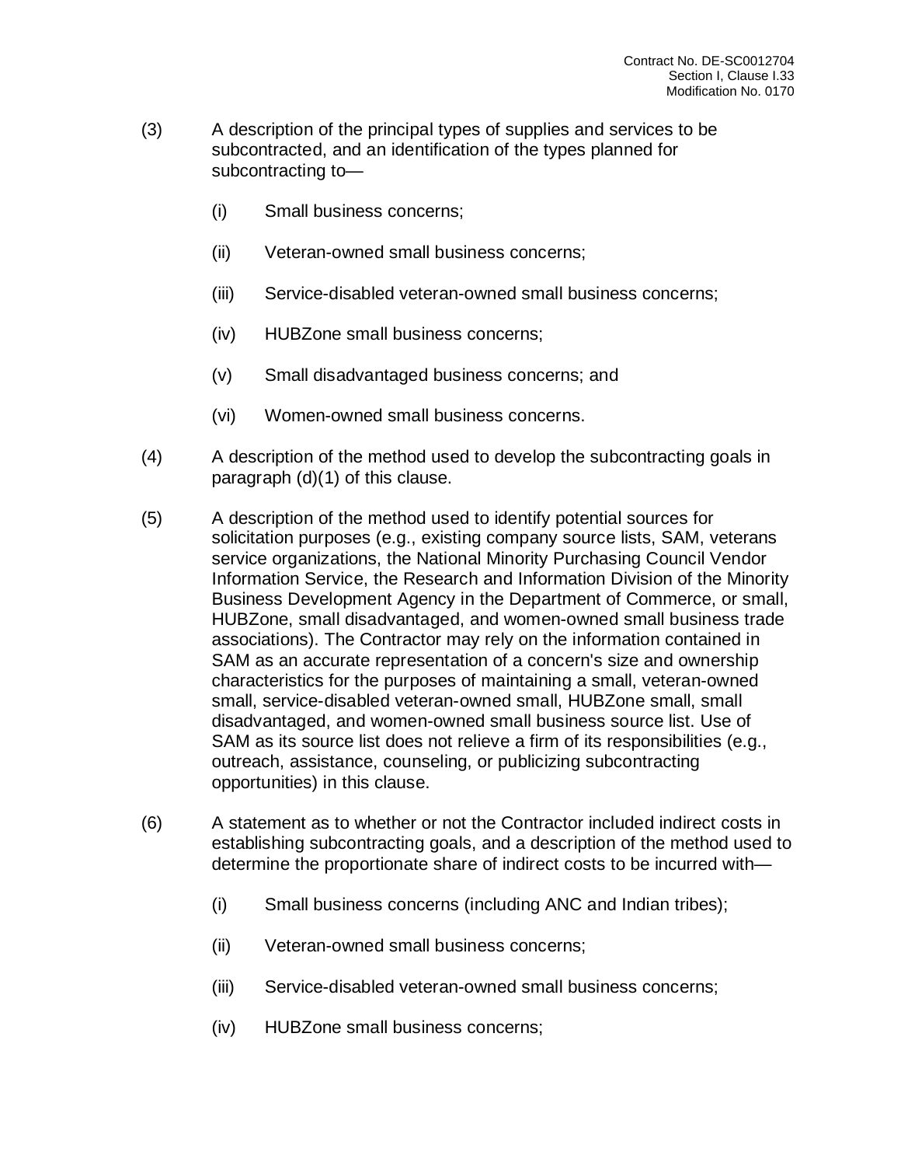- (3) A description of the principal types of supplies and services to be subcontracted, and an identification of the types planned for subcontracting to—
	- (i) Small business concerns;
	- (ii) Veteran-owned small business concerns;
	- (iii) Service-disabled veteran-owned small business concerns;
	- (iv) HUBZone small business concerns;
	- (v) Small disadvantaged business concerns; and
	- (vi) Women-owned small business concerns.
- (4) A description of the method used to develop the subcontracting goals in paragraph (d)(1) of this clause.
- (5) A description of the method used to identify potential sources for solicitation purposes (e.g., existing company source lists, SAM, veterans service organizations, the National Minority Purchasing Council Vendor Information Service, the Research and Information Division of the Minority Business Development Agency in the Department of Commerce, or small, HUBZone, small disadvantaged, and women-owned small business trade associations). The Contractor may rely on the information contained in SAM as an accurate representation of a concern's size and ownership characteristics for the purposes of maintaining a small, veteran-owned small, service-disabled veteran-owned small, HUBZone small, small disadvantaged, and women-owned small business source list. Use of SAM as its source list does not relieve a firm of its responsibilities (e.g., outreach, assistance, counseling, or publicizing subcontracting opportunities) in this clause.
- (6) A statement as to whether or not the Contractor included indirect costs in establishing subcontracting goals, and a description of the method used to determine the proportionate share of indirect costs to be incurred with—
	- (i) Small business concerns (including ANC and Indian tribes);
	- (ii) Veteran-owned small business concerns;
	- (iii) Service-disabled veteran-owned small business concerns;
	- (iv) HUBZone small business concerns;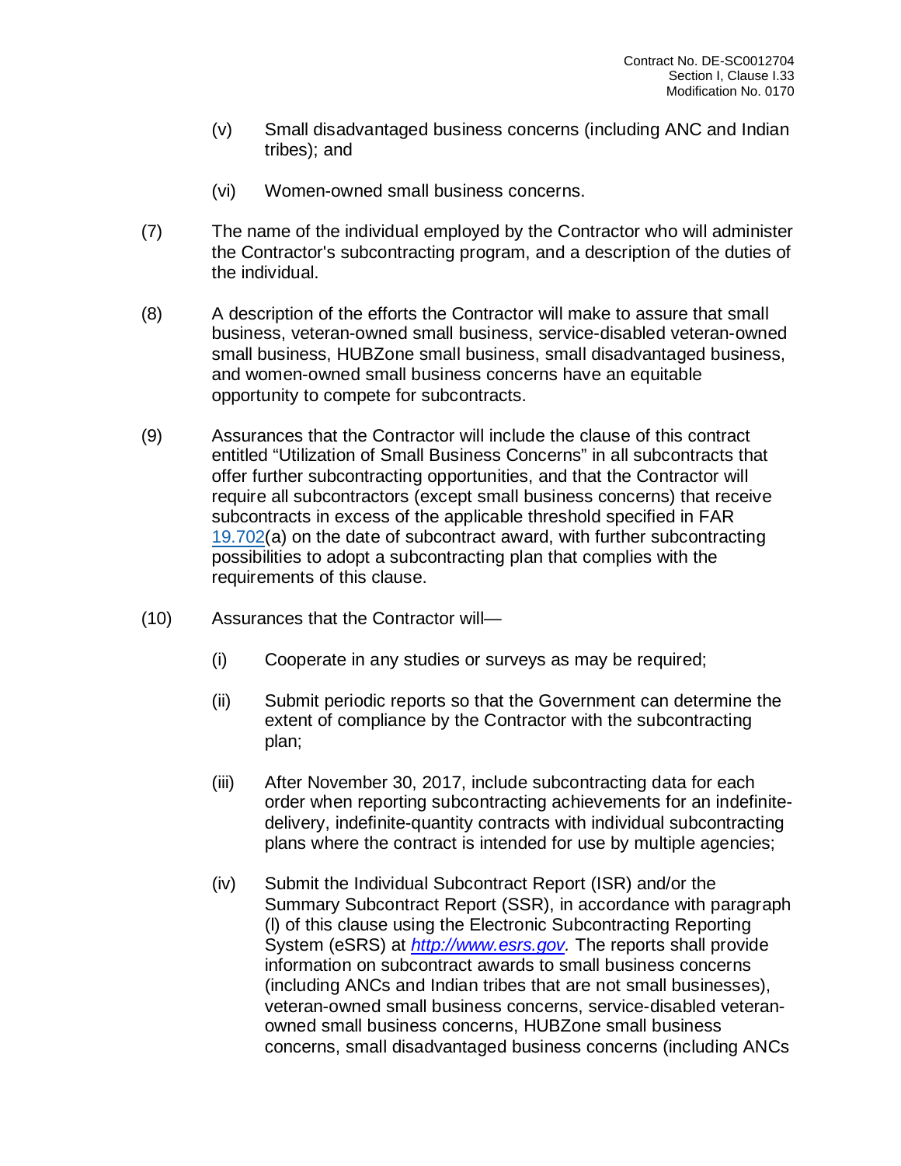- (v) Small disadvantaged business concerns (including ANC and Indian tribes); and
- (vi) Women-owned small business concerns.
- (7) The name of the individual employed by the Contractor who will administer the Contractor's subcontracting program, and a description of the duties of the individual.
- (8) A description of the efforts the Contractor will make to assure that small business, veteran-owned small business, service-disabled veteran-owned small business, HUBZone small business, small disadvantaged business, and women-owned small business concerns have an equitable opportunity to compete for subcontracts.
- (9) Assurances that the Contractor will include the clause of this contract entitled "Utilization of Small Business Concerns" in all subcontracts that offer further subcontracting opportunities, and that the Contractor will require all subcontractors (except small business concerns) that receive subcontracts in excess of the applicable threshold specified in FAR 19.702(a) on the date of subcontract award, with further subcontracting possibilities to adopt a subcontracting plan that complies with the requirements of this clause.
- (10) Assurances that the Contractor will—
	- (i) Cooperate in any studies or surveys as may be required;
	- (ii) Submit periodic reports so that the Government can determine the extent of compliance by the Contractor with the subcontracting plan;
	- (iii) After November 30, 2017, include subcontracting data for each order when reporting subcontracting achievements for an indefinitedelivery, indefinite-quantity contracts with individual subcontracting plans where the contract is intended for use by multiple agencies;
	- (iv) Submit the Individual Subcontract Report (ISR) and/or the Summary Subcontract Report (SSR), in accordance with paragraph (l) of this clause using the Electronic Subcontracting Reporting System (eSRS) at *[http://www.esrs.gov.](http://www.esrs.gov/)* The reports shall provide information on subcontract awards to small business concerns (including ANCs and Indian tribes that are not small businesses), veteran-owned small business concerns, service-disabled veteranowned small business concerns, HUBZone small business concerns, small disadvantaged business concerns (including ANCs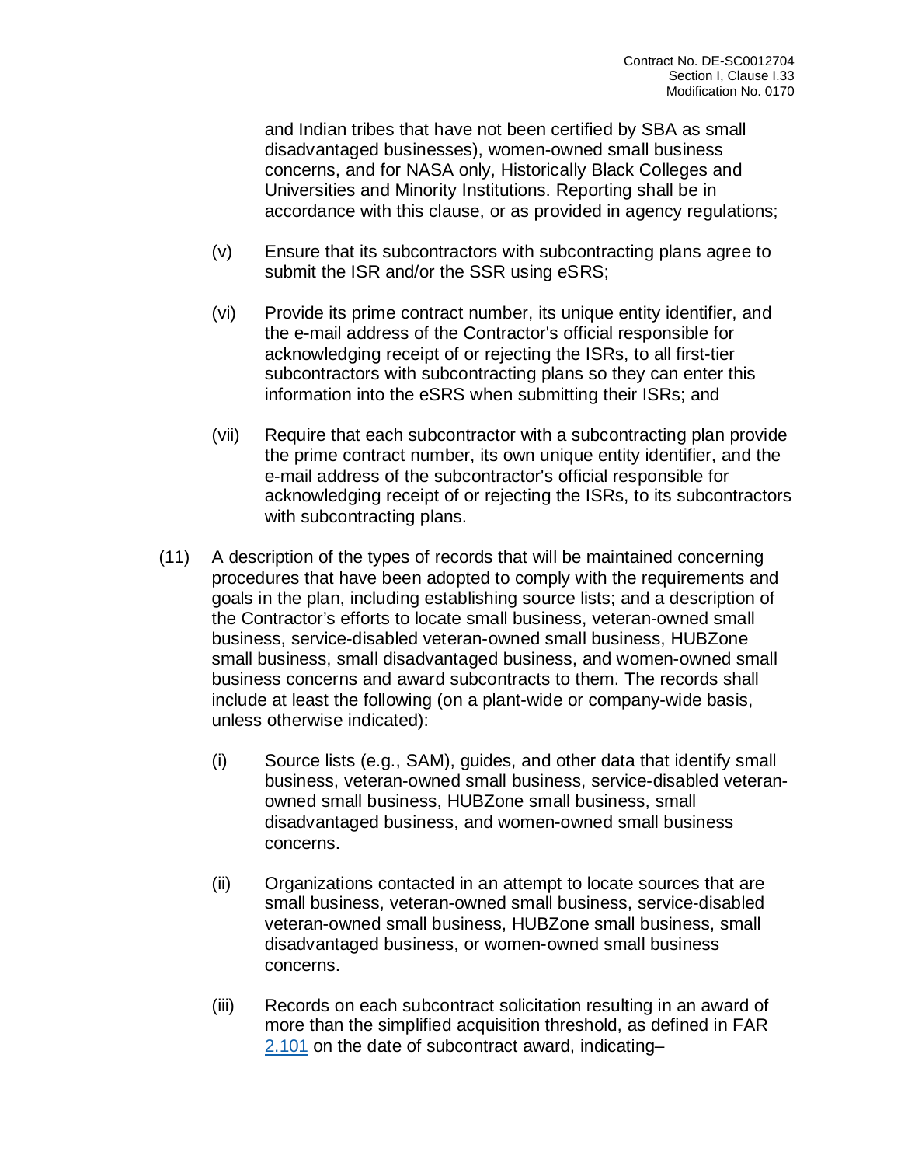and Indian tribes that have not been certified by SBA as small disadvantaged businesses), women-owned small business concerns, and for NASA only, Historically Black Colleges and Universities and Minority Institutions. Reporting shall be in accordance with this clause, or as provided in agency regulations;

- (v) Ensure that its subcontractors with subcontracting plans agree to submit the ISR and/or the SSR using eSRS;
- (vi) Provide its prime contract number, its unique entity identifier, and the e-mail address of the Contractor's official responsible for acknowledging receipt of or rejecting the ISRs, to all first-tier subcontractors with subcontracting plans so they can enter this information into the eSRS when submitting their ISRs; and
- (vii) Require that each subcontractor with a subcontracting plan provide the prime contract number, its own unique entity identifier, and the e-mail address of the subcontractor's official responsible for acknowledging receipt of or rejecting the ISRs, to its subcontractors with subcontracting plans.
- (11) A description of the types of records that will be maintained concerning procedures that have been adopted to comply with the requirements and goals in the plan, including establishing source lists; and a description of the Contractor's efforts to locate small business, veteran-owned small business, service-disabled veteran-owned small business, HUBZone small business, small disadvantaged business, and women-owned small business concerns and award subcontracts to them. The records shall include at least the following (on a plant-wide or company-wide basis, unless otherwise indicated):
	- (i) Source lists (e.g., SAM), guides, and other data that identify small business, veteran-owned small business, service-disabled veteranowned small business, HUBZone small business, small disadvantaged business, and women-owned small business concerns.
	- (ii) Organizations contacted in an attempt to locate sources that are small business, veteran-owned small business, service-disabled veteran-owned small business, HUBZone small business, small disadvantaged business, or women-owned small business concerns.
	- (iii) Records on each subcontract solicitation resulting in an award of more than the simplified acquisition threshold, as defined in FAR 2.101 on the date of subcontract award, indicating–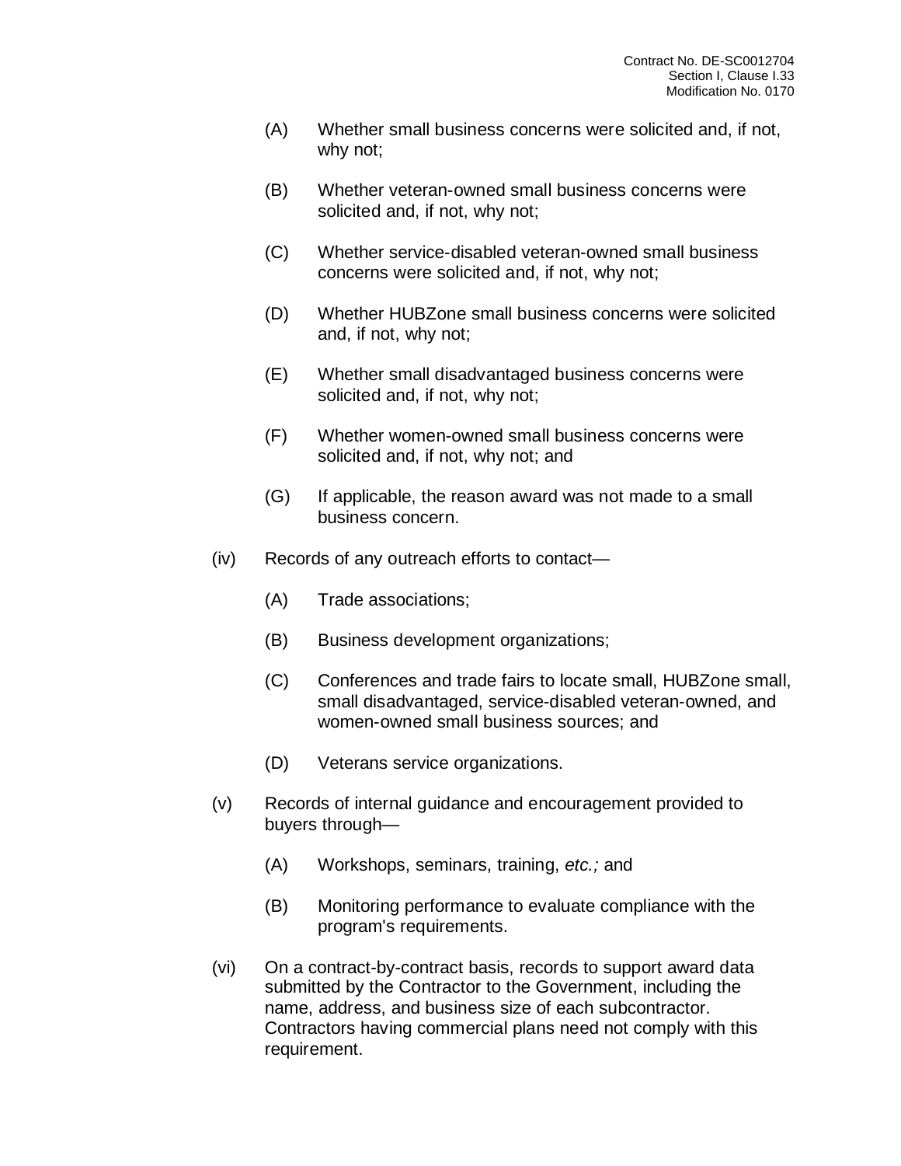- (A) Whether small business concerns were solicited and, if not, why not;
- (B) Whether veteran-owned small business concerns were solicited and, if not, why not;
- (C) Whether service-disabled veteran-owned small business concerns were solicited and, if not, why not;
- (D) Whether HUBZone small business concerns were solicited and, if not, why not;
- (E) Whether small disadvantaged business concerns were solicited and, if not, why not;
- (F) Whether women-owned small business concerns were solicited and, if not, why not; and
- (G) If applicable, the reason award was not made to a small business concern.
- (iv) Records of any outreach efforts to contact—
	- (A) Trade associations;
	- (B) Business development organizations;
	- (C) Conferences and trade fairs to locate small, HUBZone small, small disadvantaged, service-disabled veteran-owned, and women-owned small business sources; and
	- (D) Veterans service organizations.
- (v) Records of internal guidance and encouragement provided to buyers through—
	- (A) Workshops, seminars, training, *etc.;* and
	- (B) Monitoring performance to evaluate compliance with the program's requirements.
- (vi) On a contract-by-contract basis, records to support award data submitted by the Contractor to the Government, including the name, address, and business size of each subcontractor. Contractors having commercial plans need not comply with this requirement.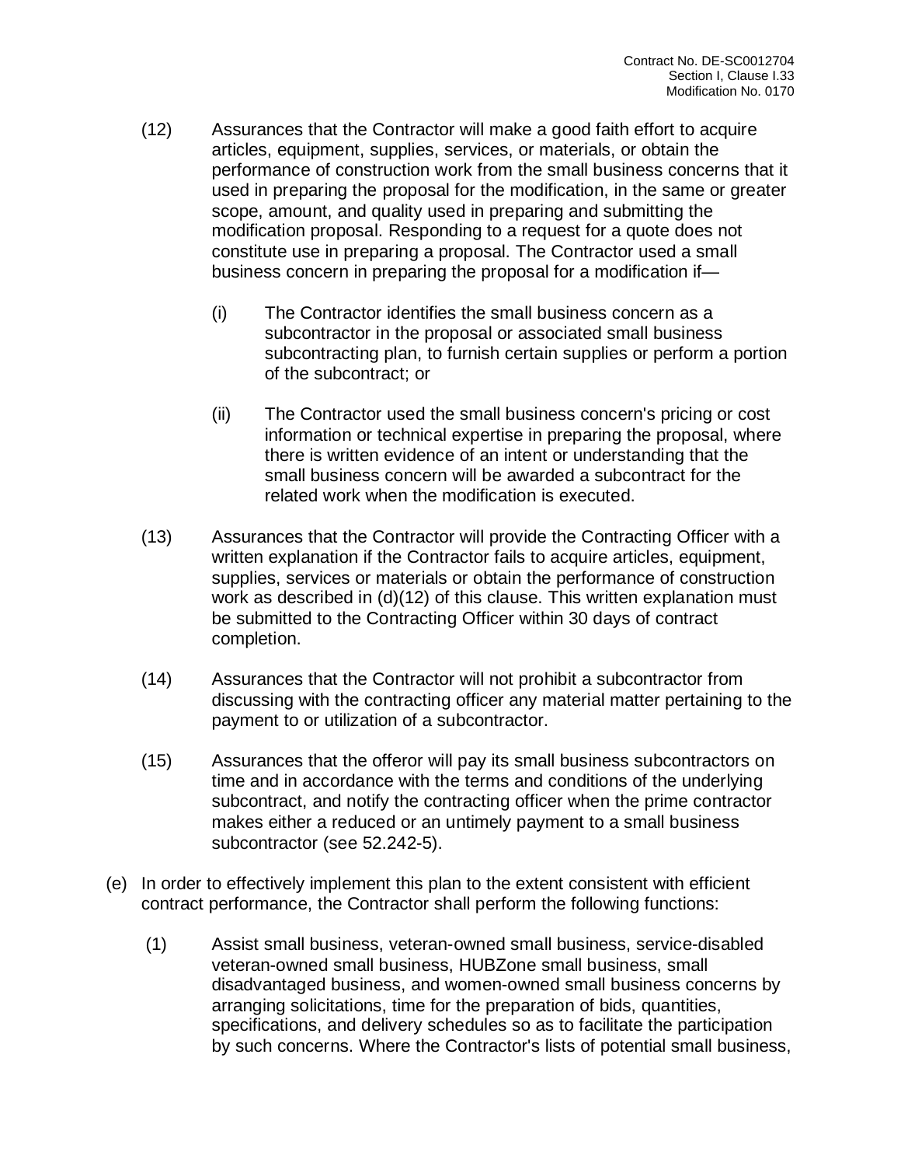- (12) Assurances that the Contractor will make a good faith effort to acquire articles, equipment, supplies, services, or materials, or obtain the performance of construction work from the small business concerns that it used in preparing the proposal for the modification, in the same or greater scope, amount, and quality used in preparing and submitting the modification proposal. Responding to a request for a quote does not constitute use in preparing a proposal. The Contractor used a small business concern in preparing the proposal for a modification if—
	- (i) The Contractor identifies the small business concern as a subcontractor in the proposal or associated small business subcontracting plan, to furnish certain supplies or perform a portion of the subcontract; or
	- (ii) The Contractor used the small business concern's pricing or cost information or technical expertise in preparing the proposal, where there is written evidence of an intent or understanding that the small business concern will be awarded a subcontract for the related work when the modification is executed.
- (13) Assurances that the Contractor will provide the Contracting Officer with a written explanation if the Contractor fails to acquire articles, equipment, supplies, services or materials or obtain the performance of construction work as described in (d)(12) of this clause. This written explanation must be submitted to the Contracting Officer within 30 days of contract completion.
- (14) Assurances that the Contractor will not prohibit a subcontractor from discussing with the contracting officer any material matter pertaining to the payment to or utilization of a subcontractor.
- (15) Assurances that the offeror will pay its small business subcontractors on time and in accordance with the terms and conditions of the underlying subcontract, and notify the contracting officer when the prime contractor makes either a reduced or an untimely payment to a small business subcontractor (see 52.242-5).
- (e) In order to effectively implement this plan to the extent consistent with efficient contract performance, the Contractor shall perform the following functions:
	- (1) Assist small business, veteran-owned small business, service-disabled veteran-owned small business, HUBZone small business, small disadvantaged business, and women-owned small business concerns by arranging solicitations, time for the preparation of bids, quantities, specifications, and delivery schedules so as to facilitate the participation by such concerns. Where the Contractor's lists of potential small business,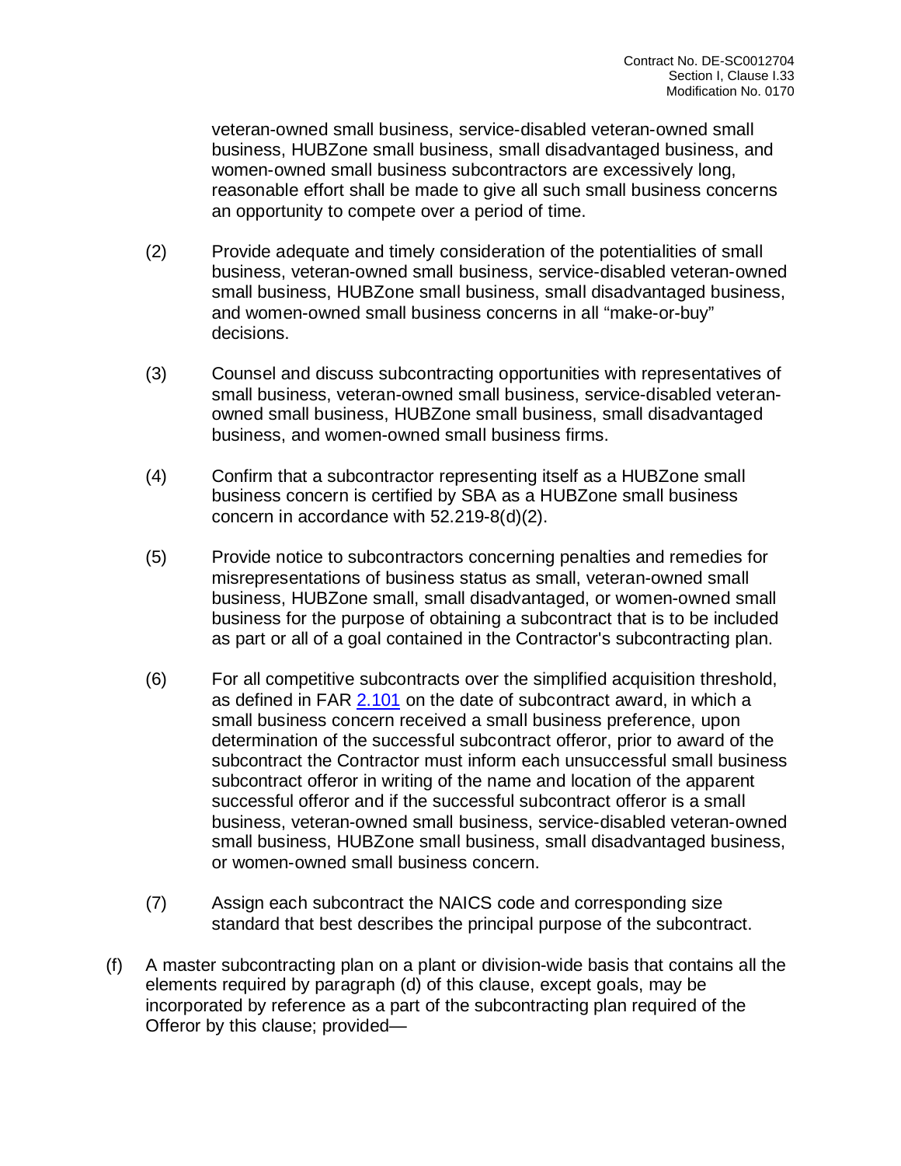veteran-owned small business, service-disabled veteran-owned small business, HUBZone small business, small disadvantaged business, and women-owned small business subcontractors are excessively long, reasonable effort shall be made to give all such small business concerns an opportunity to compete over a period of time.

- (2) Provide adequate and timely consideration of the potentialities of small business, veteran-owned small business, service-disabled veteran-owned small business, HUBZone small business, small disadvantaged business, and women-owned small business concerns in all "make-or-buy" decisions.
- (3) Counsel and discuss subcontracting opportunities with representatives of small business, veteran-owned small business, service-disabled veteranowned small business, HUBZone small business, small disadvantaged business, and women-owned small business firms.
- (4) Confirm that a subcontractor representing itself as a HUBZone small business concern is certified by SBA as a HUBZone small business concern in accordance with 52.219-8(d)(2).
- (5) Provide notice to subcontractors concerning penalties and remedies for misrepresentations of business status as small, veteran-owned small business, HUBZone small, small disadvantaged, or women-owned small business for the purpose of obtaining a subcontract that is to be included as part or all of a goal contained in the Contractor's subcontracting plan.
- (6) For all competitive subcontracts over the simplified acquisition threshold, as defined in FAR [2.101](https://www.acquisition.gov/content/2101-definitions#i1125359) on the date of subcontract award, in which a small business concern received a small business preference, upon determination of the successful subcontract offeror, prior to award of the subcontract the Contractor must inform each unsuccessful small business subcontract offeror in writing of the name and location of the apparent successful offeror and if the successful subcontract offeror is a small business, veteran-owned small business, service-disabled veteran-owned small business, HUBZone small business, small disadvantaged business, or women-owned small business concern.
- (7) Assign each subcontract the NAICS code and corresponding size standard that best describes the principal purpose of the subcontract.
- (f) A master subcontracting plan on a plant or division-wide basis that contains all the elements required by paragraph (d) of this clause, except goals, may be incorporated by reference as a part of the subcontracting plan required of the Offeror by this clause; provided—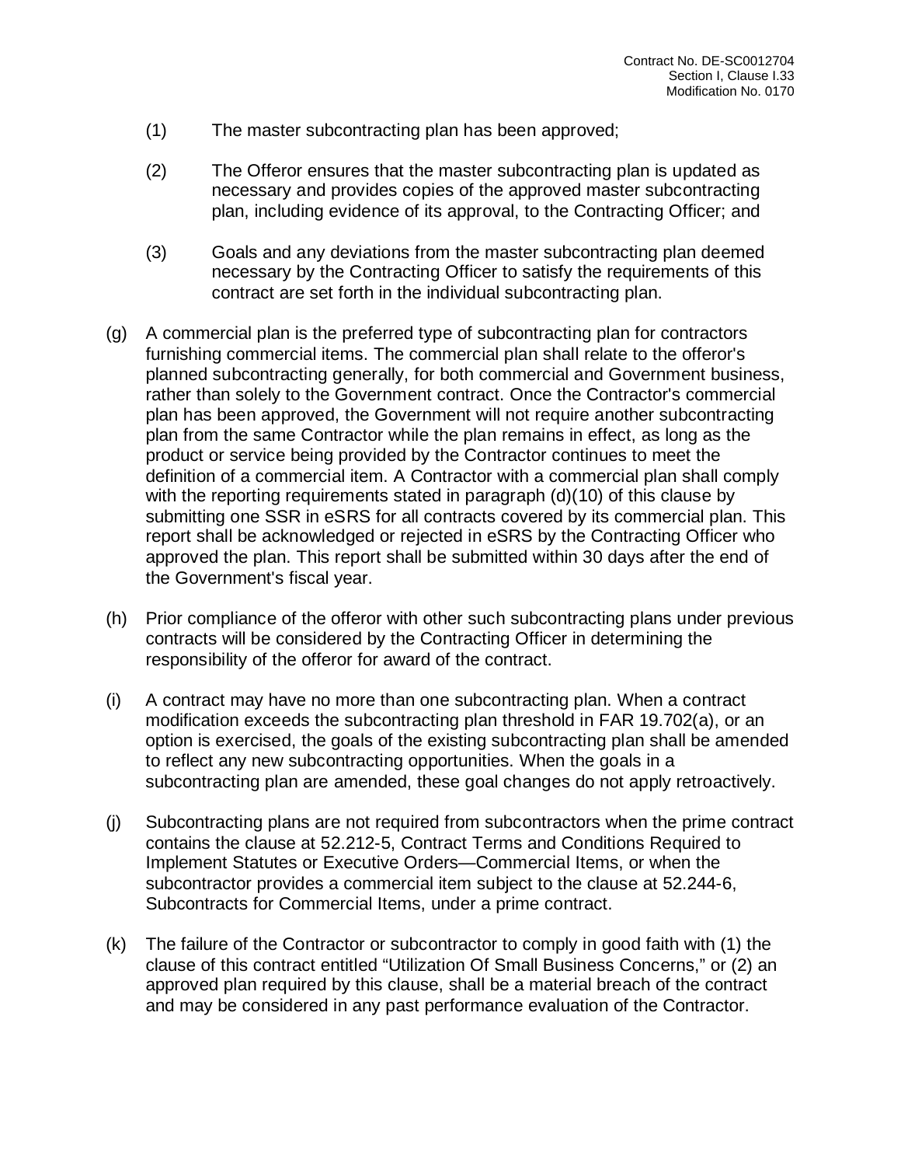- (1) The master subcontracting plan has been approved;
- (2) The Offeror ensures that the master subcontracting plan is updated as necessary and provides copies of the approved master subcontracting plan, including evidence of its approval, to the Contracting Officer; and
- (3) Goals and any deviations from the master subcontracting plan deemed necessary by the Contracting Officer to satisfy the requirements of this contract are set forth in the individual subcontracting plan.
- (g) A commercial plan is the preferred type of subcontracting plan for contractors furnishing commercial items. The commercial plan shall relate to the offeror's planned subcontracting generally, for both commercial and Government business, rather than solely to the Government contract. Once the Contractor's commercial plan has been approved, the Government will not require another subcontracting plan from the same Contractor while the plan remains in effect, as long as the product or service being provided by the Contractor continues to meet the definition of a commercial item. A Contractor with a commercial plan shall comply with the reporting requirements stated in paragraph (d)(10) of this clause by submitting one SSR in eSRS for all contracts covered by its commercial plan. This report shall be acknowledged or rejected in eSRS by the Contracting Officer who approved the plan. This report shall be submitted within 30 days after the end of the Government's fiscal year.
- (h) Prior compliance of the offeror with other such subcontracting plans under previous contracts will be considered by the Contracting Officer in determining the responsibility of the offeror for award of the contract.
- (i) A contract may have no more than one subcontracting plan. When a contract modification exceeds the subcontracting plan threshold in FAR 19.702(a), or an option is exercised, the goals of the existing subcontracting plan shall be amended to reflect any new subcontracting opportunities. When the goals in a subcontracting plan are amended, these goal changes do not apply retroactively.
- (j) Subcontracting plans are not required from subcontractors when the prime contract contains the clause at 52.212-5, Contract Terms and Conditions Required to Implement Statutes or Executive Orders—Commercial Items, or when the subcontractor provides a commercial item subject to the clause at 52.244-6, Subcontracts for Commercial Items, under a prime contract.
- (k) The failure of the Contractor or subcontractor to comply in good faith with (1) the clause of this contract entitled "Utilization Of Small Business Concerns," or (2) an approved plan required by this clause, shall be a material breach of the contract and may be considered in any past performance evaluation of the Contractor.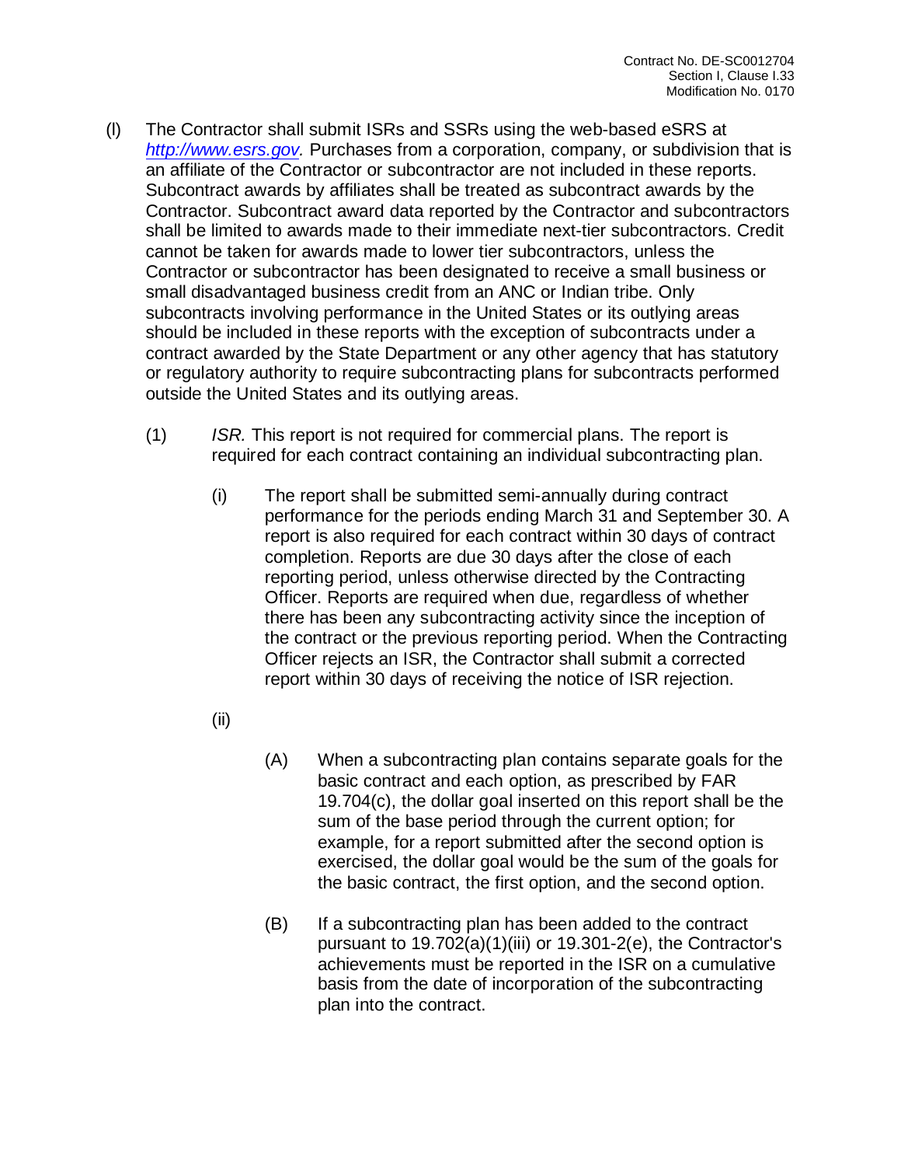- (l) The Contractor shall submit ISRs and SSRs using the web-based eSRS at *[http://www.esrs.gov.](http://www.esrs.gov/)* Purchases from a corporation, company, or subdivision that is an affiliate of the Contractor or subcontractor are not included in these reports. Subcontract awards by affiliates shall be treated as subcontract awards by the Contractor. Subcontract award data reported by the Contractor and subcontractors shall be limited to awards made to their immediate next-tier subcontractors. Credit cannot be taken for awards made to lower tier subcontractors, unless the Contractor or subcontractor has been designated to receive a small business or small disadvantaged business credit from an ANC or Indian tribe. Only subcontracts involving performance in the United States or its outlying areas should be included in these reports with the exception of subcontracts under a contract awarded by the State Department or any other agency that has statutory or regulatory authority to require subcontracting plans for subcontracts performed outside the United States and its outlying areas.
	- (1) *ISR.* This report is not required for commercial plans. The report is required for each contract containing an individual subcontracting plan.
		- (i) The report shall be submitted semi-annually during contract performance for the periods ending March 31 and September 30. A report is also required for each contract within 30 days of contract completion. Reports are due 30 days after the close of each reporting period, unless otherwise directed by the Contracting Officer. Reports are required when due, regardless of whether there has been any subcontracting activity since the inception of the contract or the previous reporting period. When the Contracting Officer rejects an ISR, the Contractor shall submit a corrected report within 30 days of receiving the notice of ISR rejection.
		- (ii)
- (A) When a subcontracting plan contains separate goals for the basic contract and each option, as prescribed by FAR 19.704(c), the dollar goal inserted on this report shall be the sum of the base period through the current option; for example, for a report submitted after the second option is exercised, the dollar goal would be the sum of the goals for the basic contract, the first option, and the second option.
- (B) If a subcontracting plan has been added to the contract pursuant to 19.702(a)(1)(iii) or 19.301-2(e), the Contractor's achievements must be reported in the ISR on a cumulative basis from the date of incorporation of the subcontracting plan into the contract.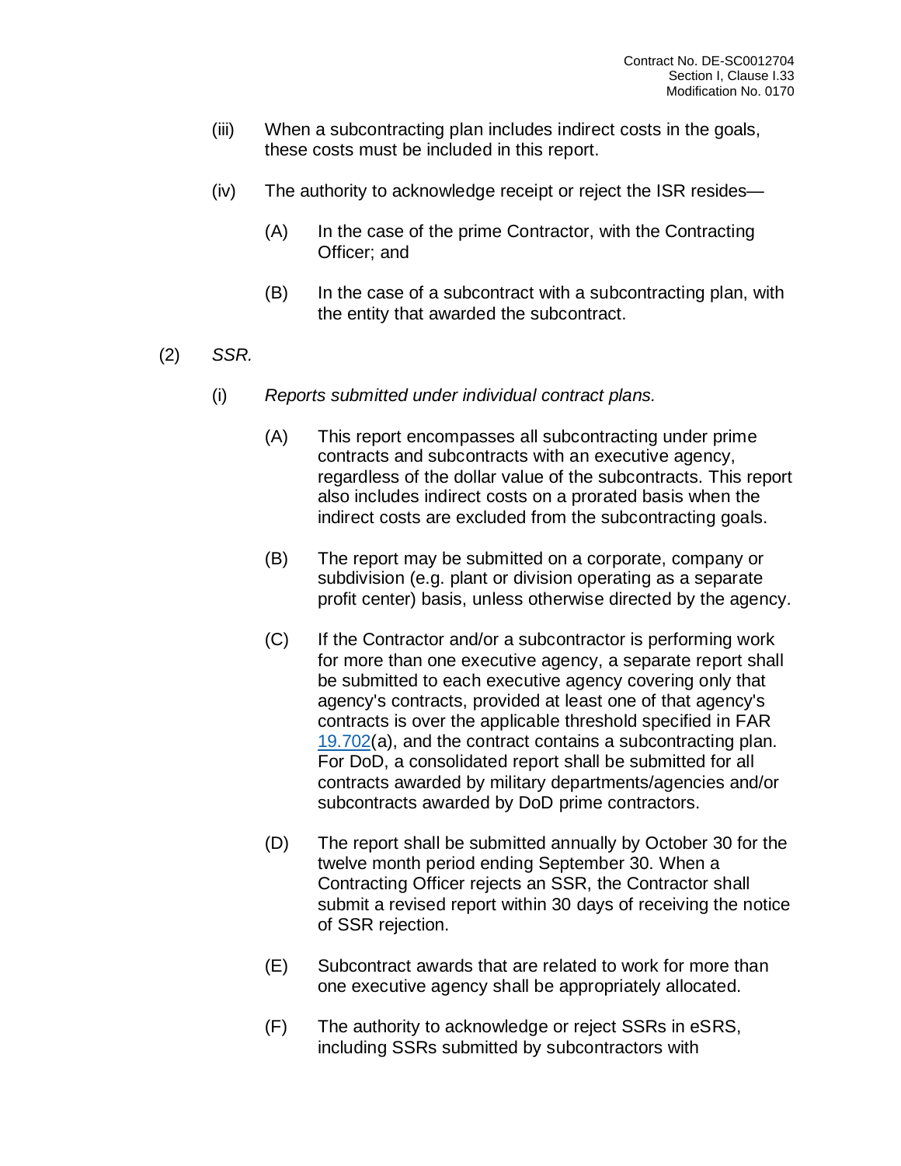- (iii) When a subcontracting plan includes indirect costs in the goals, these costs must be included in this report.
- (iv) The authority to acknowledge receipt or reject the ISR resides—
	- (A) In the case of the prime Contractor, with the Contracting Officer; and
	- (B) In the case of a subcontract with a subcontracting plan, with the entity that awarded the subcontract.
- (2) *SSR.*
	- (i) *Reports submitted under individual contract plans.*
		- (A) This report encompasses all subcontracting under prime contracts and subcontracts with an executive agency, regardless of the dollar value of the subcontracts. This report also includes indirect costs on a prorated basis when the indirect costs are excluded from the subcontracting goals.
		- (B) The report may be submitted on a corporate, company or subdivision (e.g. plant or division operating as a separate profit center) basis, unless otherwise directed by the agency.
		- (C) If the Contractor and/or a subcontractor is performing work for more than one executive agency, a separate report shall be submitted to each executive agency covering only that agency's contracts, provided at least one of that agency's contracts is over the applicable threshold specified in FAR 19.702(a), and the contract contains a subcontracting plan. For DoD, a consolidated report shall be submitted for all contracts awarded by military departments/agencies and/or subcontracts awarded by DoD prime contractors.
		- (D) The report shall be submitted annually by October 30 for the twelve month period ending September 30. When a Contracting Officer rejects an SSR, the Contractor shall submit a revised report within 30 days of receiving the notice of SSR rejection.
		- (E) Subcontract awards that are related to work for more than one executive agency shall be appropriately allocated.
		- (F) The authority to acknowledge or reject SSRs in eSRS, including SSRs submitted by subcontractors with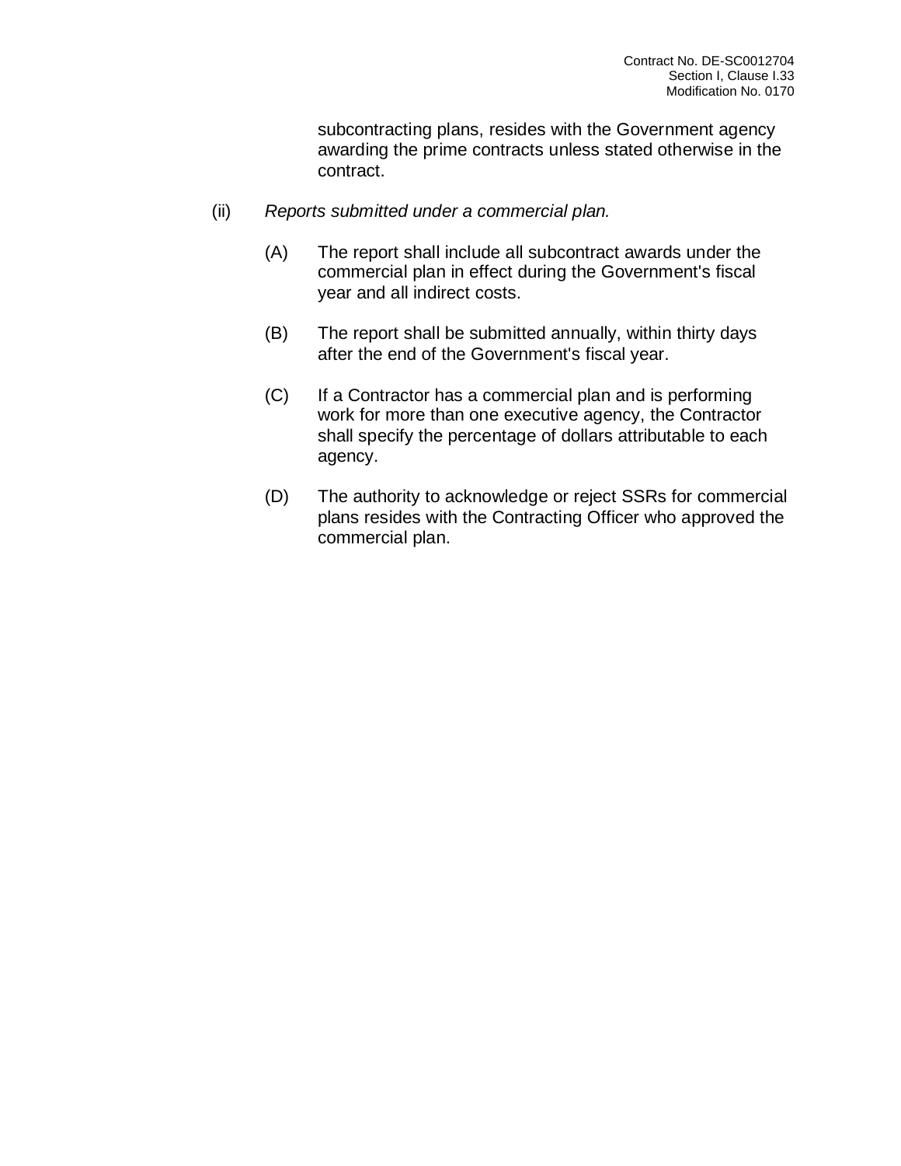subcontracting plans, resides with the Government agency awarding the prime contracts unless stated otherwise in the contract.

- (ii) *Reports submitted under a commercial plan.*
	- (A) The report shall include all subcontract awards under the commercial plan in effect during the Government's fiscal year and all indirect costs.
	- (B) The report shall be submitted annually, within thirty days after the end of the Government's fiscal year.
	- (C) If a Contractor has a commercial plan and is performing work for more than one executive agency, the Contractor shall specify the percentage of dollars attributable to each agency.
	- (D) The authority to acknowledge or reject SSRs for commercial plans resides with the Contracting Officer who approved the commercial plan.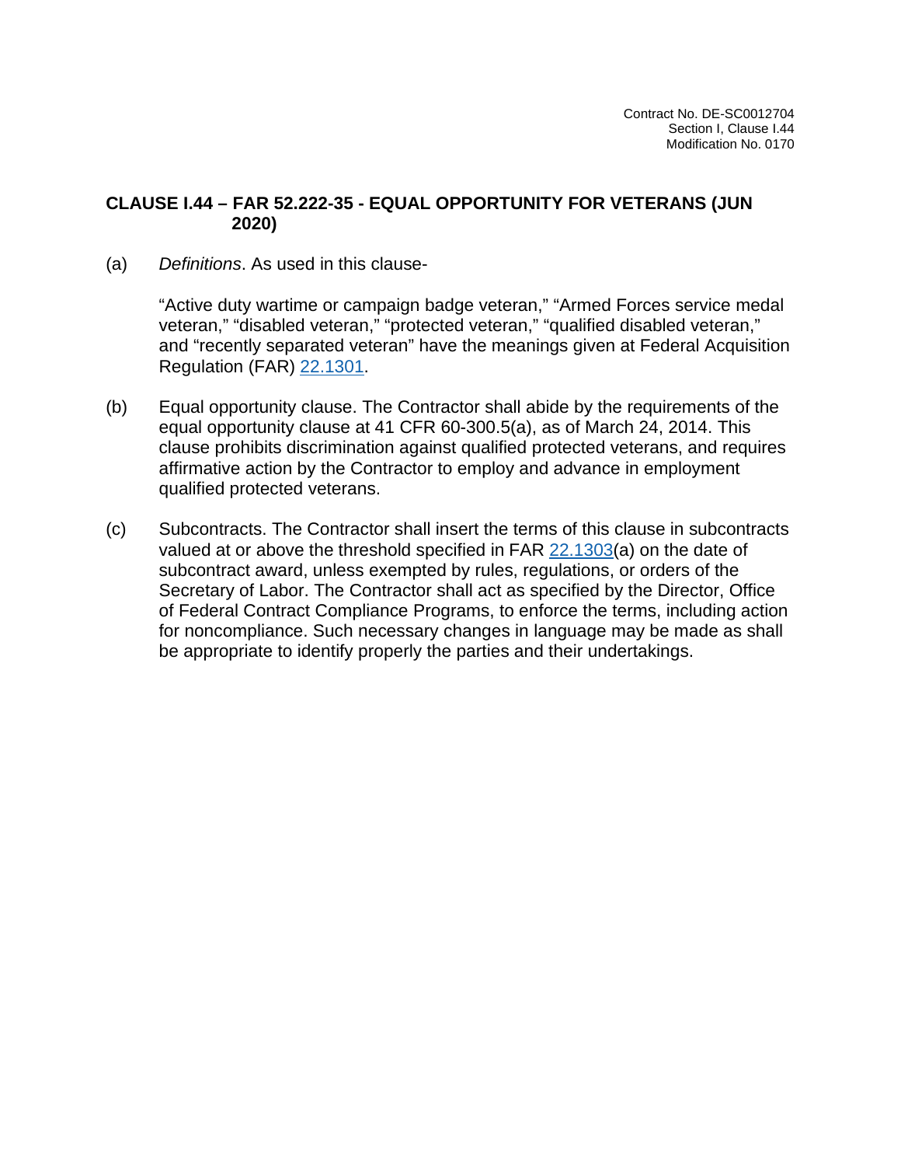## **CLAUSE I.44 – FAR 52.222-35 - EQUAL OPPORTUNITY FOR VETERANS (JUN 2020)**

(a) *Definitions*. As used in this clause-

"Active duty wartime or campaign badge veteran," "Armed Forces service medal veteran," "disabled veteran," "protected veteran," "qualified disabled veteran," and "recently separated veteran" have the meanings given at Federal Acquisition Regulation (FAR) [22.1301.](https://www.acquisition.gov/content/221301-definitions#i1096035)

- (b) Equal opportunity clause. The Contractor shall abide by the requirements of the equal opportunity clause at 41 CFR 60-300.5(a), as of March 24, 2014. This clause prohibits discrimination against qualified protected veterans, and requires affirmative action by the Contractor to employ and advance in employment qualified protected veterans.
- (c) Subcontracts. The Contractor shall insert the terms of this clause in subcontracts valued at or above the threshold specified in FAR [22.1303\(](https://www.acquisition.gov/content/221303-applicability#id1617MD05061)a) on the date of subcontract award, unless exempted by rules, regulations, or orders of the Secretary of Labor. The Contractor shall act as specified by the Director, Office of Federal Contract Compliance Programs, to enforce the terms, including action for noncompliance. Such necessary changes in language may be made as shall be appropriate to identify properly the parties and their undertakings.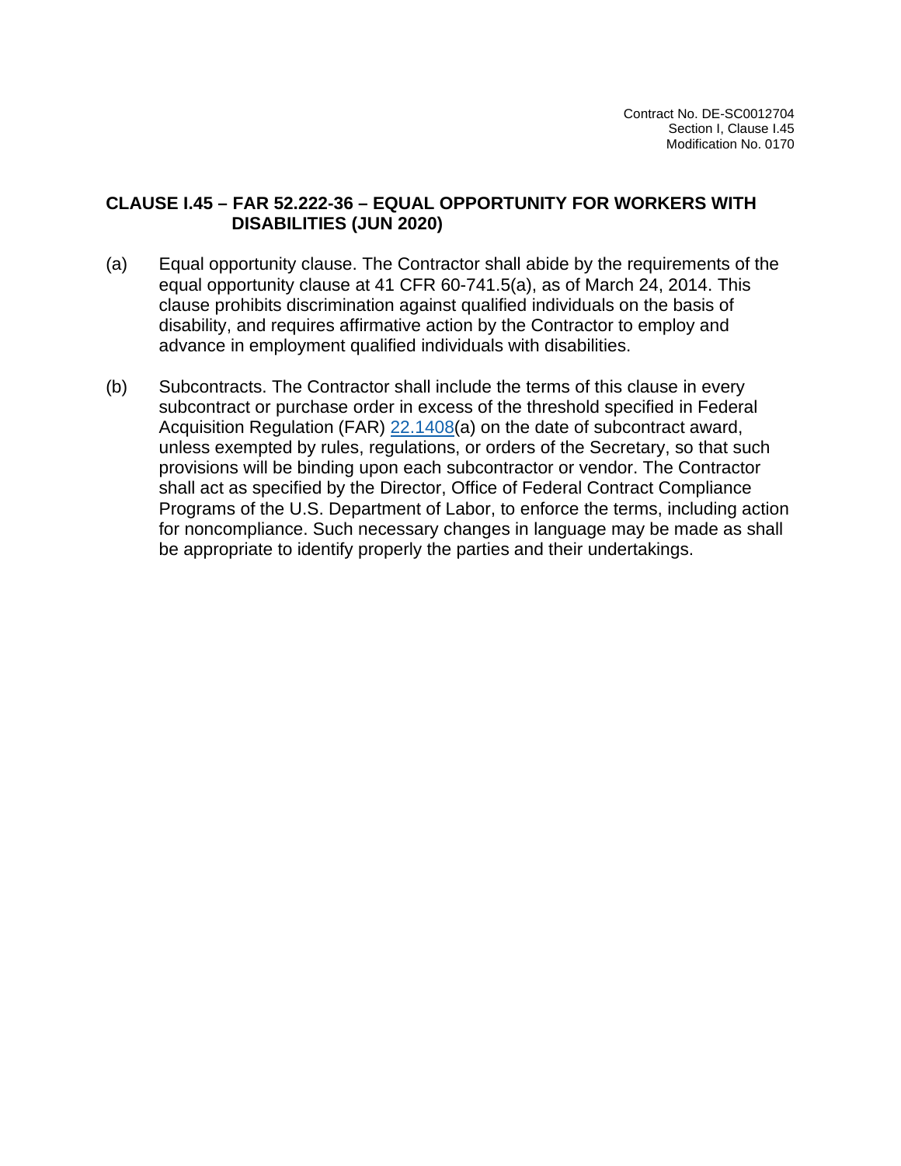## **CLAUSE I.45 – FAR 52.222-36 – EQUAL OPPORTUNITY FOR WORKERS WITH DISABILITIES (JUN 2020)**

- (a) Equal opportunity clause. The Contractor shall abide by the requirements of the equal opportunity clause at 41 CFR 60-741.5(a), as of March 24, 2014. This clause prohibits discrimination against qualified individuals on the basis of disability, and requires affirmative action by the Contractor to employ and advance in employment qualified individuals with disabilities.
- (b) Subcontracts. The Contractor shall include the terms of this clause in every subcontract or purchase order in excess of the threshold specified in Federal Acquisition Regulation (FAR) [22.1408\(](https://www.acquisition.gov/content/221408-contract-clause#i1095976)a) on the date of subcontract award, unless exempted by rules, regulations, or orders of the Secretary, so that such provisions will be binding upon each subcontractor or vendor. The Contractor shall act as specified by the Director, Office of Federal Contract Compliance Programs of the U.S. Department of Labor, to enforce the terms, including action for noncompliance. Such necessary changes in language may be made as shall be appropriate to identify properly the parties and their undertakings.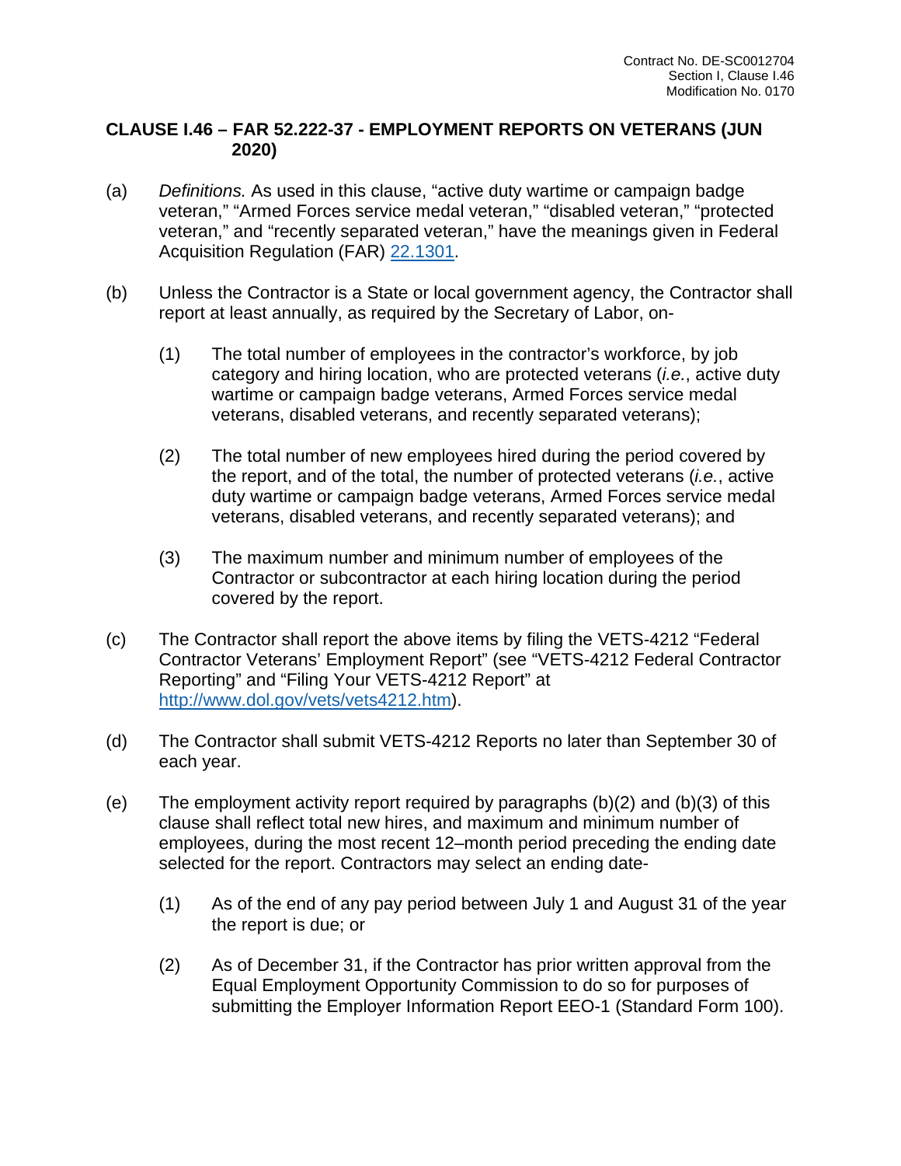#### **CLAUSE I.46 – FAR 52.222-37 - EMPLOYMENT REPORTS ON VETERANS (JUN 2020)**

- (a) *Definitions.* As used in this clause, "active duty wartime or campaign badge veteran," "Armed Forces service medal veteran," "disabled veteran," "protected veteran," and "recently separated veteran," have the meanings given in Federal Acquisition Regulation (FAR) [22.1301.](https://www.acquisition.gov/content/221301-definitions#i1096035)
- (b) Unless the Contractor is a State or local government agency, the Contractor shall report at least annually, as required by the Secretary of Labor, on-
	- (1) The total number of employees in the contractor's workforce, by job category and hiring location, who are protected veterans (*i.e.*, active duty wartime or campaign badge veterans, Armed Forces service medal veterans, disabled veterans, and recently separated veterans);
	- (2) The total number of new employees hired during the period covered by the report, and of the total, the number of protected veterans (*i.e.*, active duty wartime or campaign badge veterans, Armed Forces service medal veterans, disabled veterans, and recently separated veterans); and
	- (3) The maximum number and minimum number of employees of the Contractor or subcontractor at each hiring location during the period covered by the report.
- (c) The Contractor shall report the above items by filing the VETS-4212 "Federal Contractor Veterans' Employment Report" (see "VETS-4212 Federal Contractor Reporting" and "Filing Your VETS-4212 Report" at [http://www.dol.gov/vets/vets4212.htm\)](http://www.dol.gov/vets/vets4212.htm).
- (d) The Contractor shall submit VETS-4212 Reports no later than September 30 of each year.
- (e) The employment activity report required by paragraphs (b)(2) and (b)(3) of this clause shall reflect total new hires, and maximum and minimum number of employees, during the most recent 12–month period preceding the ending date selected for the report. Contractors may select an ending date-
	- (1) As of the end of any pay period between July 1 and August 31 of the year the report is due; or
	- (2) As of December 31, if the Contractor has prior written approval from the Equal Employment Opportunity Commission to do so for purposes of submitting the Employer Information Report EEO-1 (Standard Form 100).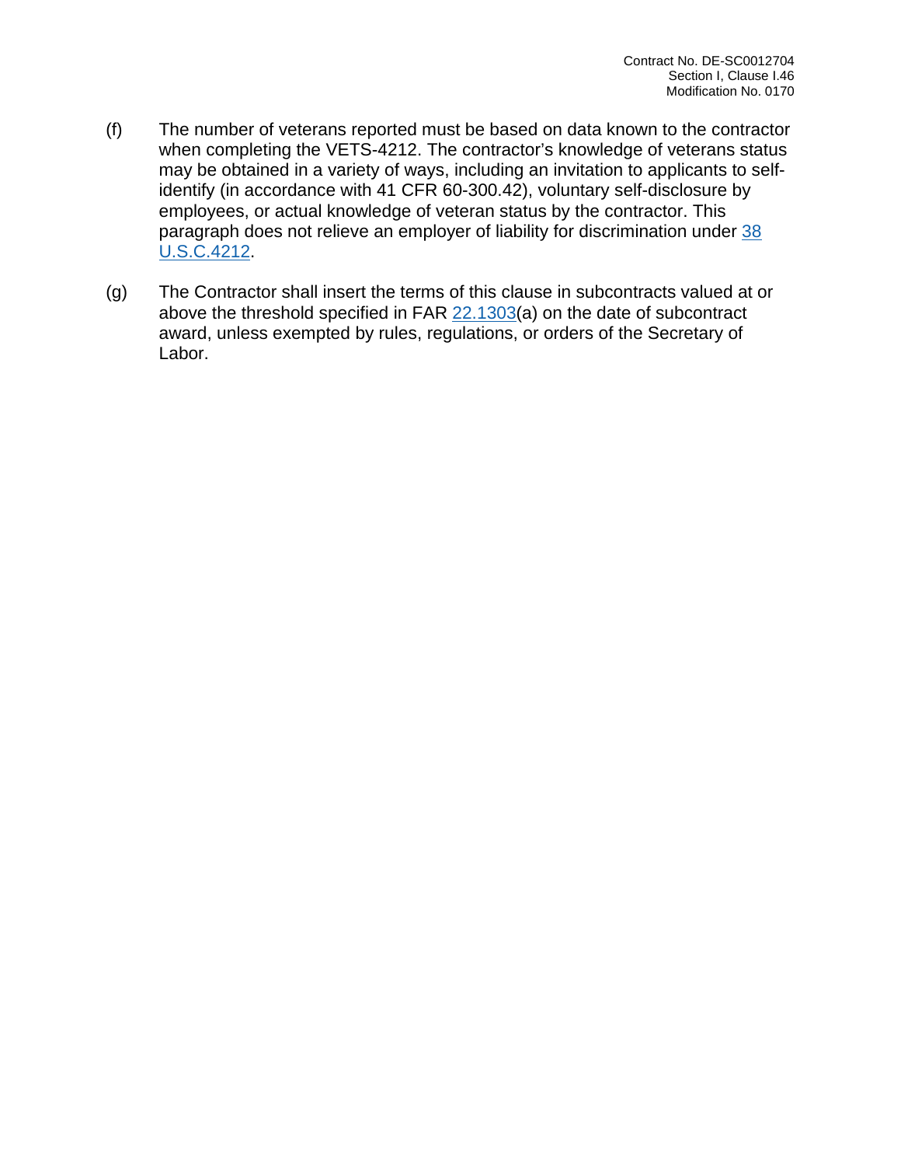- (f) The number of veterans reported must be based on data known to the contractor when completing the VETS-4212. The contractor's knowledge of veterans status may be obtained in a variety of ways, including an invitation to applicants to selfidentify (in accordance with 41 CFR 60-300.42), voluntary self-disclosure by employees, or actual knowledge of veteran status by the contractor. This paragraph does not relieve an employer of liability for discrimination under [38](http://uscode.house.gov/browse.xhtml;jsessionid=114A3287C7B3359E597506A31FC855B3) [U.S.C.4212.](http://uscode.house.gov/browse.xhtml;jsessionid=114A3287C7B3359E597506A31FC855B3)
- (g) The Contractor shall insert the terms of this clause in subcontracts valued at or above the threshold specified in FAR  $22.1303(a)$  $22.1303(a)$  on the date of subcontract award, unless exempted by rules, regulations, or orders of the Secretary of Labor.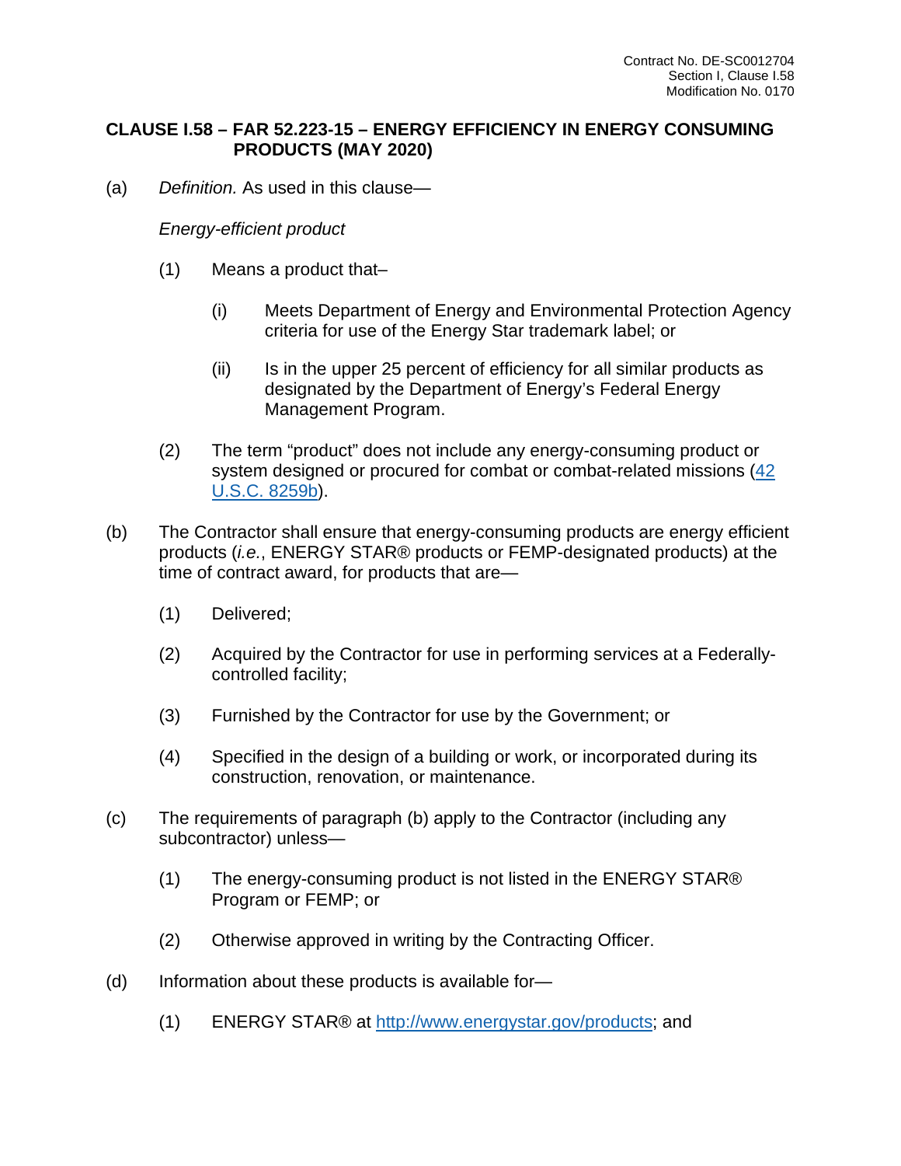#### **CLAUSE I.58 – FAR 52.223-15 – ENERGY EFFICIENCY IN ENERGY CONSUMING PRODUCTS (MAY 2020)**

(a) *Definition.* As used in this clause—

*Energy-efficient product*

- (1) Means a product that–
	- (i) Meets Department of Energy and Environmental Protection Agency criteria for use of the Energy Star trademark label; or
	- (ii) Is in the upper 25 percent of efficiency for all similar products as designated by the Department of Energy's Federal Energy Management Program.
- (2) The term "product" does not include any energy-consuming product or system designed or procured for combat or combat-related missions [\(42](http://uscode.house.gov/browse.xhtml;jsessionid=114A3287C7B3359E597506A31FC855B3) [U.S.C.](http://uscode.house.gov/browse.xhtml;jsessionid=114A3287C7B3359E597506A31FC855B3) 8259b).
- (b) The Contractor shall ensure that energy-consuming products are energy efficient products (*i.e.*, ENERGY STAR® products or FEMP-designated products) at the time of contract award, for products that are—
	- (1) Delivered;
	- (2) Acquired by the Contractor for use in performing services at a Federallycontrolled facility;
	- (3) Furnished by the Contractor for use by the Government; or
	- (4) Specified in the design of a building or work, or incorporated during its construction, renovation, or maintenance.
- (c) The requirements of paragraph (b) apply to the Contractor (including any subcontractor) unless—
	- (1) The energy-consuming product is not listed in the ENERGY STAR® Program or FEMP; or
	- (2) Otherwise approved in writing by the Contracting Officer.
- (d) Information about these products is available for—
	- (1) ENERGY STAR® at [http://www.energystar.gov/products;](http://www.energystar.gov/products) and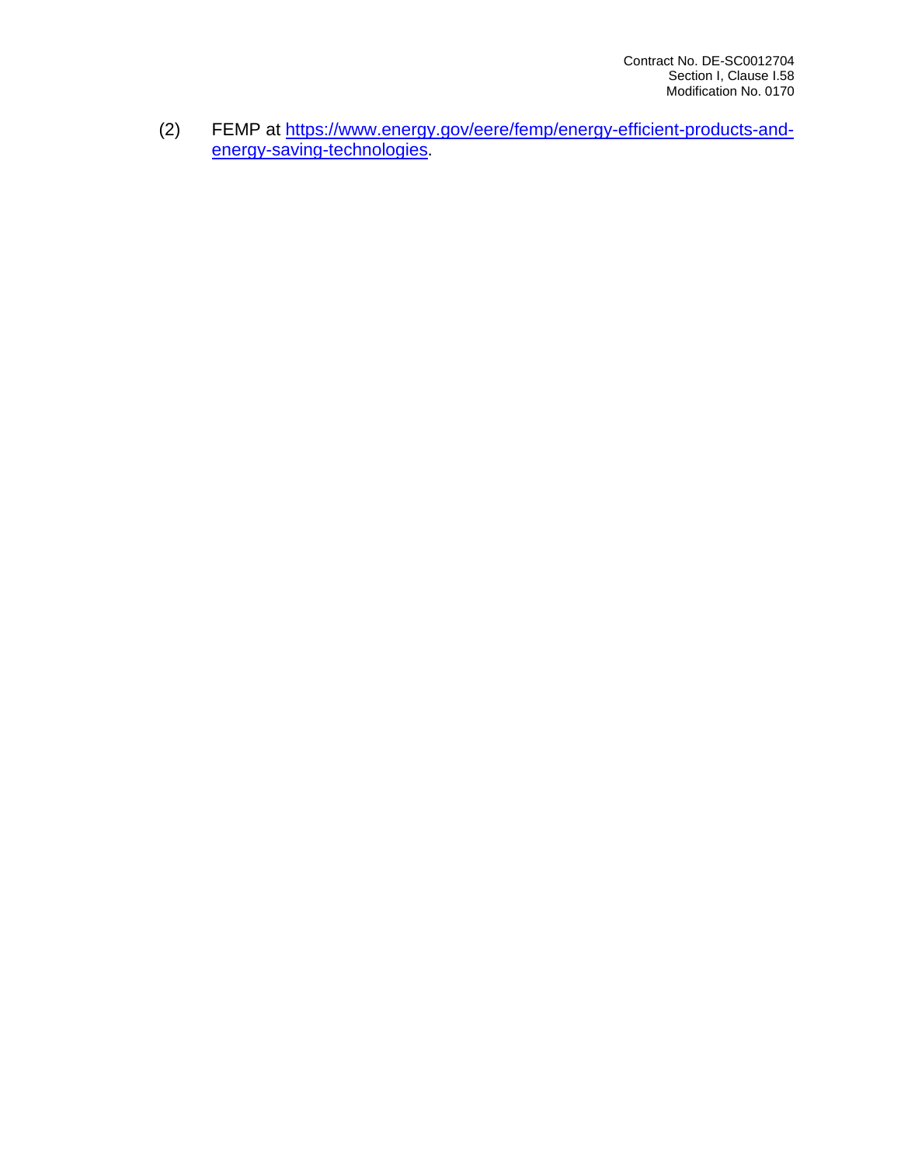(2) FEMP at [https://www.energy.gov/eere/femp/energy-efficient-products-and](https://www.energy.gov/eere/femp/energy-efficient-products-and-energy-saving-technologies)[energy-saving-technologies.](https://www.energy.gov/eere/femp/energy-efficient-products-and-energy-saving-technologies)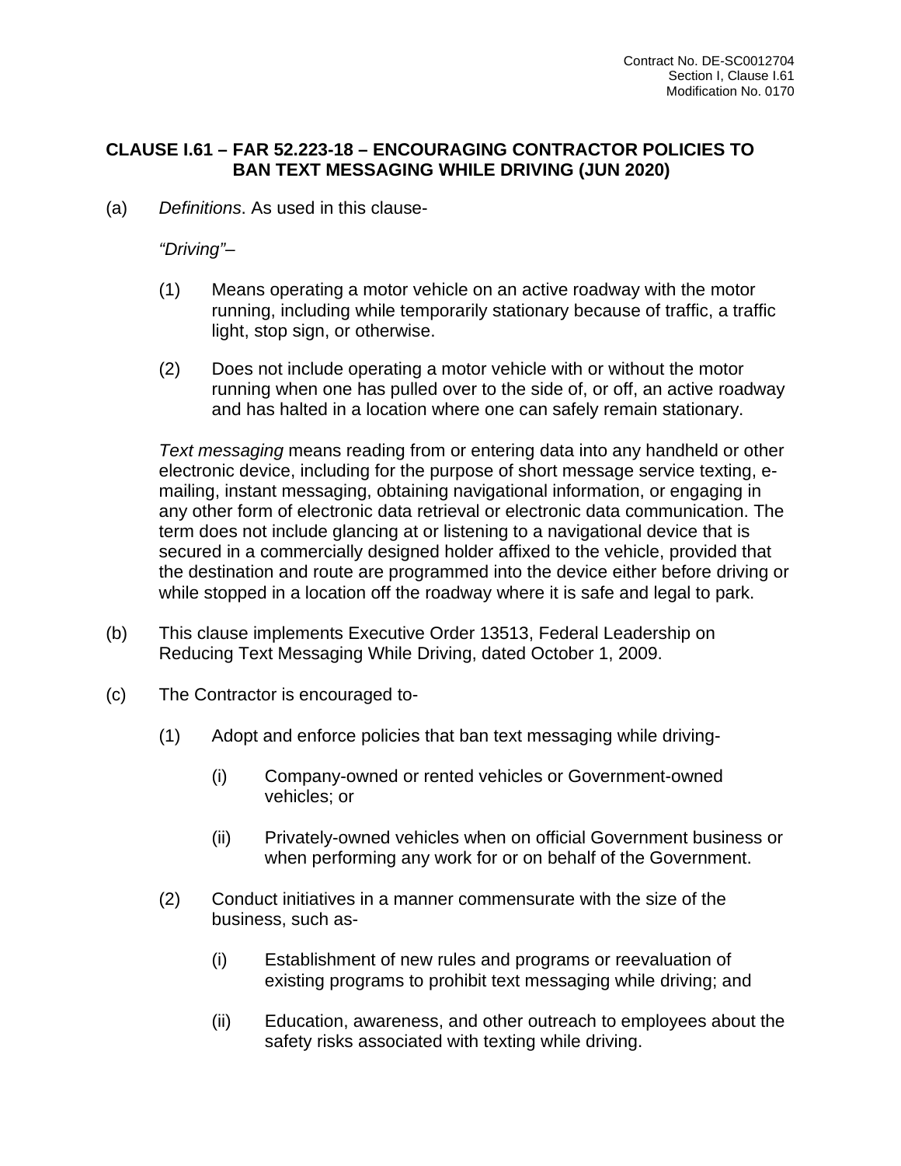## **CLAUSE I.61 – FAR 52.223-18 – ENCOURAGING CONTRACTOR POLICIES TO BAN TEXT MESSAGING WHILE DRIVING (JUN 2020)**

(a) *Definitions*. As used in this clause-

*"Driving"*–

- (1) Means operating a motor vehicle on an active roadway with the motor running, including while temporarily stationary because of traffic, a traffic light, stop sign, or otherwise.
- (2) Does not include operating a motor vehicle with or without the motor running when one has pulled over to the side of, or off, an active roadway and has halted in a location where one can safely remain stationary.

*Text messaging* means reading from or entering data into any handheld or other electronic device, including for the purpose of short message service texting, emailing, instant messaging, obtaining navigational information, or engaging in any other form of electronic data retrieval or electronic data communication. The term does not include glancing at or listening to a navigational device that is secured in a commercially designed holder affixed to the vehicle, provided that the destination and route are programmed into the device either before driving or while stopped in a location off the roadway where it is safe and legal to park.

- (b) This clause implements Executive Order 13513, Federal Leadership on Reducing Text Messaging While Driving, dated October 1, 2009.
- (c) The Contractor is encouraged to-
	- (1) Adopt and enforce policies that ban text messaging while driving-
		- (i) Company-owned or rented vehicles or Government-owned vehicles; or
		- (ii) Privately-owned vehicles when on official Government business or when performing any work for or on behalf of the Government.
	- (2) Conduct initiatives in a manner commensurate with the size of the business, such as-
		- (i) Establishment of new rules and programs or reevaluation of existing programs to prohibit text messaging while driving; and
		- (ii) Education, awareness, and other outreach to employees about the safety risks associated with texting while driving.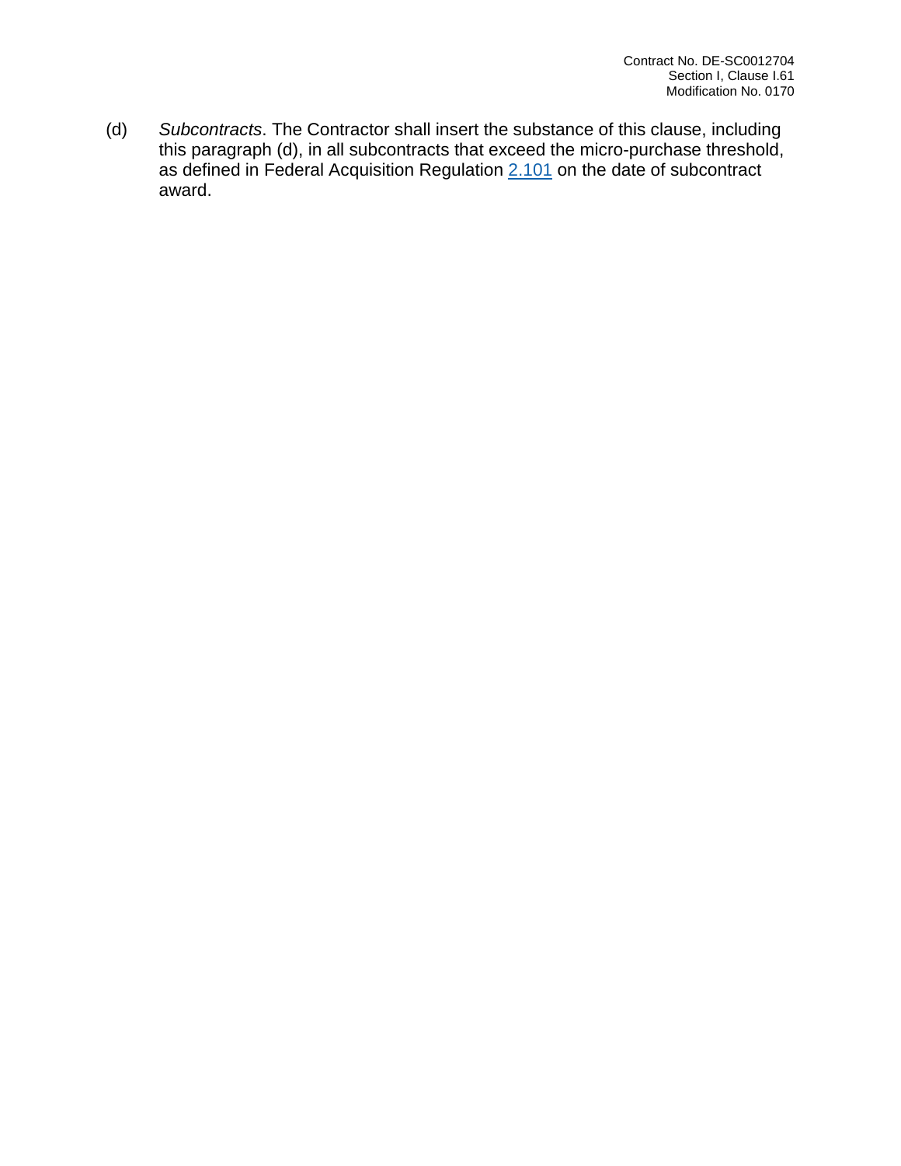(d) *Subcontracts*. The Contractor shall insert the substance of this clause, including this paragraph (d), in all subcontracts that exceed the micro-purchase threshold, as defined in Federal Acquisition Regulation [2.101](https://www.acquisition.gov/content/2101-definitions#i1125359) on the date of subcontract award.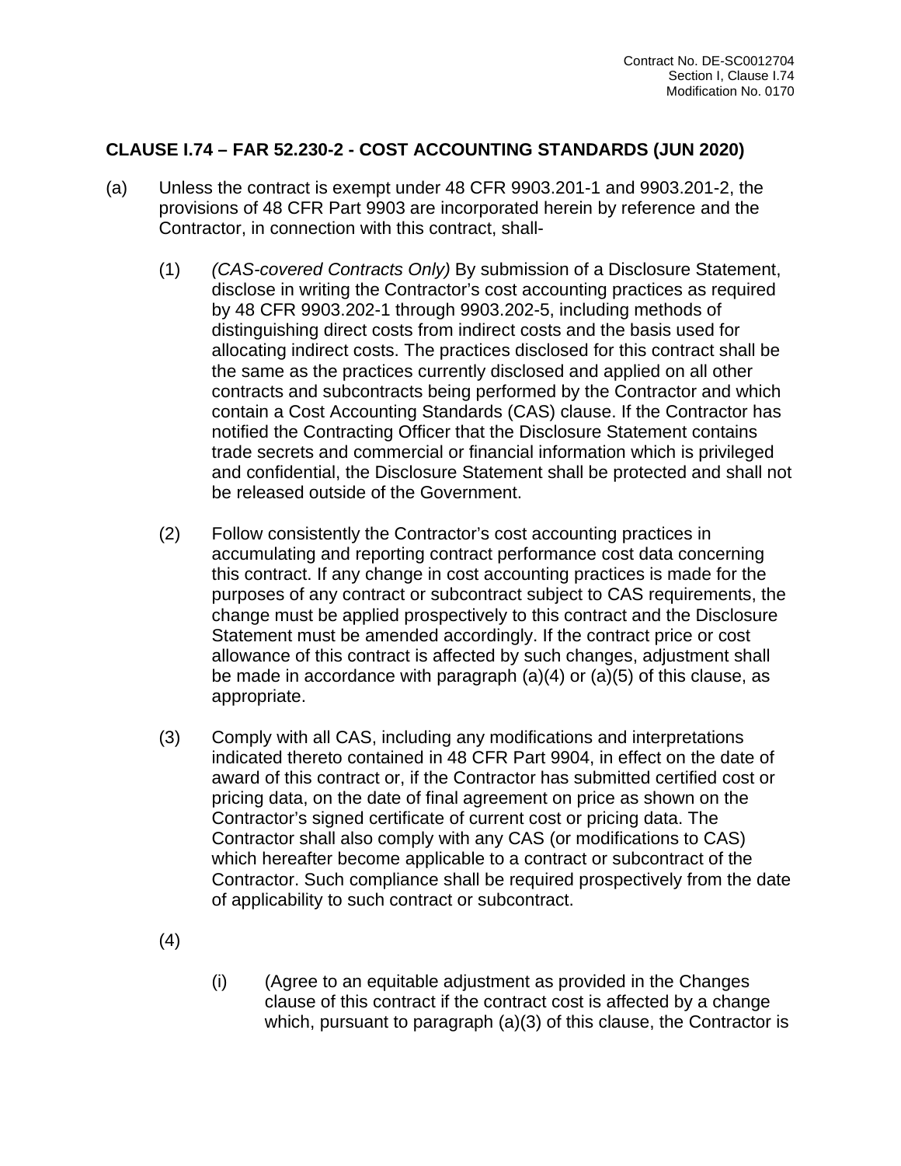## **CLAUSE I.74 – FAR 52.230-2 - COST ACCOUNTING STANDARDS (JUN 2020)**

- (a) Unless the contract is exempt under 48 CFR 9903.201-1 and 9903.201-2, the provisions of 48 CFR Part 9903 are incorporated herein by reference and the Contractor, in connection with this contract, shall-
	- (1) *(CAS-covered Contracts Only)* By submission of a Disclosure Statement, disclose in writing the Contractor's cost accounting practices as required by 48 CFR 9903.202-1 through 9903.202-5, including methods of distinguishing direct costs from indirect costs and the basis used for allocating indirect costs. The practices disclosed for this contract shall be the same as the practices currently disclosed and applied on all other contracts and subcontracts being performed by the Contractor and which contain a Cost Accounting Standards (CAS) clause. If the Contractor has notified the Contracting Officer that the Disclosure Statement contains trade secrets and commercial or financial information which is privileged and confidential, the Disclosure Statement shall be protected and shall not be released outside of the Government.
	- (2) Follow consistently the Contractor's cost accounting practices in accumulating and reporting contract performance cost data concerning this contract. If any change in cost accounting practices is made for the purposes of any contract or subcontract subject to CAS requirements, the change must be applied prospectively to this contract and the Disclosure Statement must be amended accordingly. If the contract price or cost allowance of this contract is affected by such changes, adjustment shall be made in accordance with paragraph (a)(4) or (a)(5) of this clause, as appropriate.
	- (3) Comply with all CAS, including any modifications and interpretations indicated thereto contained in 48 CFR Part 9904, in effect on the date of award of this contract or, if the Contractor has submitted certified cost or pricing data, on the date of final agreement on price as shown on the Contractor's signed certificate of current cost or pricing data. The Contractor shall also comply with any CAS (or modifications to CAS) which hereafter become applicable to a contract or subcontract of the Contractor. Such compliance shall be required prospectively from the date of applicability to such contract or subcontract.

(4)

(i) (Agree to an equitable adjustment as provided in the Changes clause of this contract if the contract cost is affected by a change which, pursuant to paragraph (a)(3) of this clause, the Contractor is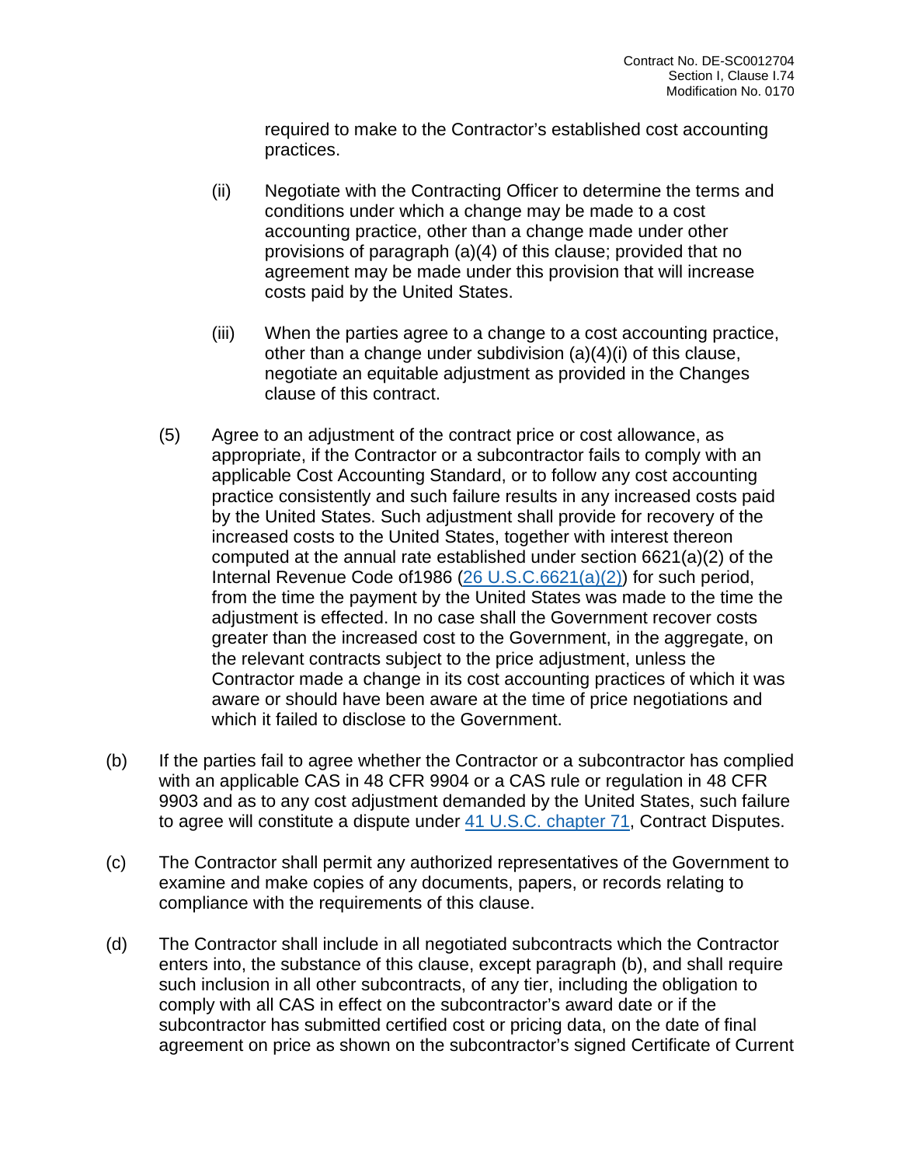required to make to the Contractor's established cost accounting practices.

- (ii) Negotiate with the Contracting Officer to determine the terms and conditions under which a change may be made to a cost accounting practice, other than a change made under other provisions of paragraph (a)(4) of this clause; provided that no agreement may be made under this provision that will increase costs paid by the United States.
- (iii) When the parties agree to a change to a cost accounting practice, other than a change under subdivision (a)(4)(i) of this clause, negotiate an equitable adjustment as provided in the Changes clause of this contract.
- (5) Agree to an adjustment of the contract price or cost allowance, as appropriate, if the Contractor or a subcontractor fails to comply with an applicable Cost Accounting Standard, or to follow any cost accounting practice consistently and such failure results in any increased costs paid by the United States. Such adjustment shall provide for recovery of the increased costs to the United States, together with interest thereon computed at the annual rate established under section 6621(a)(2) of the Internal Revenue Code of1986 (26 [U.S.C.6621\(a\)\(2\)\)](http://uscode.house.gov/browse.xhtml;jsessionid=114A3287C7B3359E597506A31FC855B3) for such period, from the time the payment by the United States was made to the time the adjustment is effected. In no case shall the Government recover costs greater than the increased cost to the Government, in the aggregate, on the relevant contracts subject to the price adjustment, unless the Contractor made a change in its cost accounting practices of which it was aware or should have been aware at the time of price negotiations and which it failed to disclose to the Government.
- (b) If the parties fail to agree whether the Contractor or a subcontractor has complied with an applicable CAS in 48 CFR 9904 or a CAS rule or regulation in 48 CFR 9903 and as to any cost adjustment demanded by the United States, such failure to agree will constitute a dispute under 41 U.S.C. [chapter](http://uscode.house.gov/browse.xhtml;jsessionid=114A3287C7B3359E597506A31FC855B3) 71, Contract Disputes.
- (c) The Contractor shall permit any authorized representatives of the Government to examine and make copies of any documents, papers, or records relating to compliance with the requirements of this clause.
- (d) The Contractor shall include in all negotiated subcontracts which the Contractor enters into, the substance of this clause, except paragraph (b), and shall require such inclusion in all other subcontracts, of any tier, including the obligation to comply with all CAS in effect on the subcontractor's award date or if the subcontractor has submitted certified cost or pricing data, on the date of final agreement on price as shown on the subcontractor's signed Certificate of Current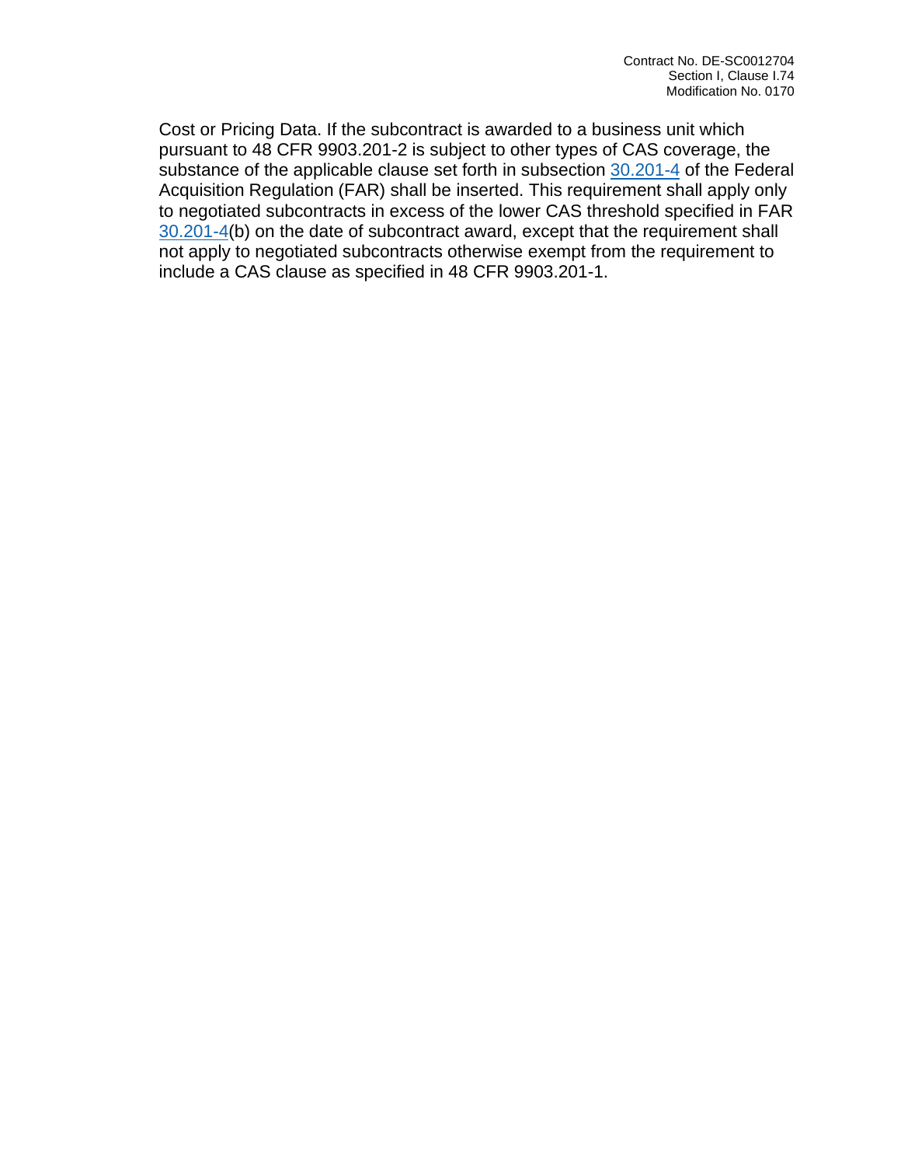Cost or Pricing Data. If the subcontract is awarded to a business unit which pursuant to 48 CFR 9903.201-2 is subject to other types of CAS coverage, the substance of the applicable clause set forth in subsection [30.201-4](https://www.acquisition.gov/content/30201-4-contract-clauses#i1087135) of the Federal Acquisition Regulation (FAR) shall be inserted. This requirement shall apply only to negotiated subcontracts in excess of the lower CAS threshold specified in FAR [30.201-4\(](https://www.acquisition.gov/content/30201-4-contract-clauses#i1087135)b) on the date of subcontract award, except that the requirement shall not apply to negotiated subcontracts otherwise exempt from the requirement to include a CAS clause as specified in 48 CFR 9903.201-1.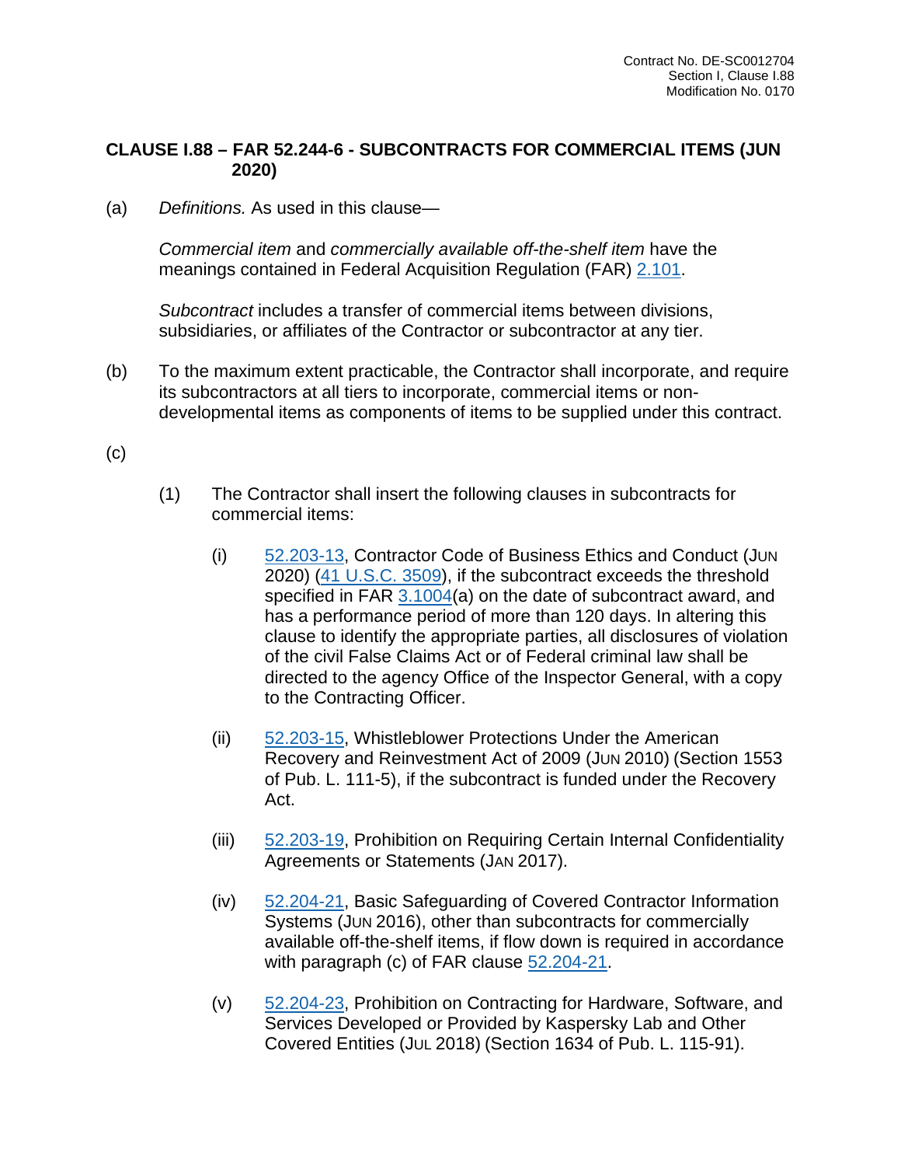## **CLAUSE I.88 – FAR 52.244-6 - SUBCONTRACTS FOR COMMERCIAL ITEMS (JUN 2020)**

(a) *Definitions.* As used in this clause—

*Commercial item* and *commercially available off-the-shelf item* have the meanings contained in Federal Acquisition Regulation (FAR) [2.101.](https://www.acquisition.gov/content/2101-definitions#i1125359)

*Subcontract* includes a transfer of commercial items between divisions, subsidiaries, or affiliates of the Contractor or subcontractor at any tier.

(b) To the maximum extent practicable, the Contractor shall incorporate, and require its subcontractors at all tiers to incorporate, commercial items or nondevelopmental items as components of items to be supplied under this contract.

(c)

- (1) The Contractor shall insert the following clauses in subcontracts for commercial items:
	- (i) [52.203-13,](https://www.acquisition.gov/content/52203-13-contractor-code-business-ethics-and-conduct#i1063504) Contractor Code of Business Ethics and Conduct (JUN 2020) (41 [U.S.C.](http://uscode.house.gov/browse.xhtml;jsessionid=114A3287C7B3359E597506A31FC855B3) 3509), if the subcontract exceeds the threshold specified in FAR [3.1004\(](https://www.acquisition.gov/content/31004-contract-clauses#i1123740)a) on the date of subcontract award, and has a performance period of more than 120 days. In altering this clause to identify the appropriate parties, all disclosures of violation of the civil False Claims Act or of Federal criminal law shall be directed to the agency Office of the Inspector General, with a copy to the Contracting Officer.
	- (ii) [52.203-15,](https://www.acquisition.gov/content/52203-15-whistleblower-protections-under-american-recovery-and-reinvestment-act-2009#i1063607) Whistleblower Protections Under the American Recovery and Reinvestment Act of 2009 (JUN 2010) (Section 1553 of Pub. L. 111-5), if the subcontract is funded under the Recovery Act.
	- (iii) [52.203-19,](https://www.acquisition.gov/content/52203-19-prohibition-requiring-certain-internal-confidentiality-agreements-or-statements#i52_203-19) Prohibition on Requiring Certain Internal Confidentiality Agreements or Statements (JAN 2017).
	- (iv) [52.204-21,](https://www.acquisition.gov/content/52204-21-basic-safeguarding-covered-contractor-information-systems#id1669B0A0E67) Basic Safeguarding of Covered Contractor Information Systems (JUN 2016), other than subcontracts for commercially available off-the-shelf items, if flow down is required in accordance with paragraph (c) of FAR clause [52.204-21.](https://www.acquisition.gov/content/52204-21-basic-safeguarding-covered-contractor-information-systems#id1669B0A0E67)
	- (v) [52.204-23,](https://www.acquisition.gov/content/52204-23-prohibition-contracting-hardware-software-and-services-developed-or-provided-kaspersky-lab-and-other-covered-entities#id189A70O0P1N) Prohibition on Contracting for Hardware, Software, and Services Developed or Provided by Kaspersky Lab and Other Covered Entities (JUL 2018) (Section 1634 of Pub. L. 115-91).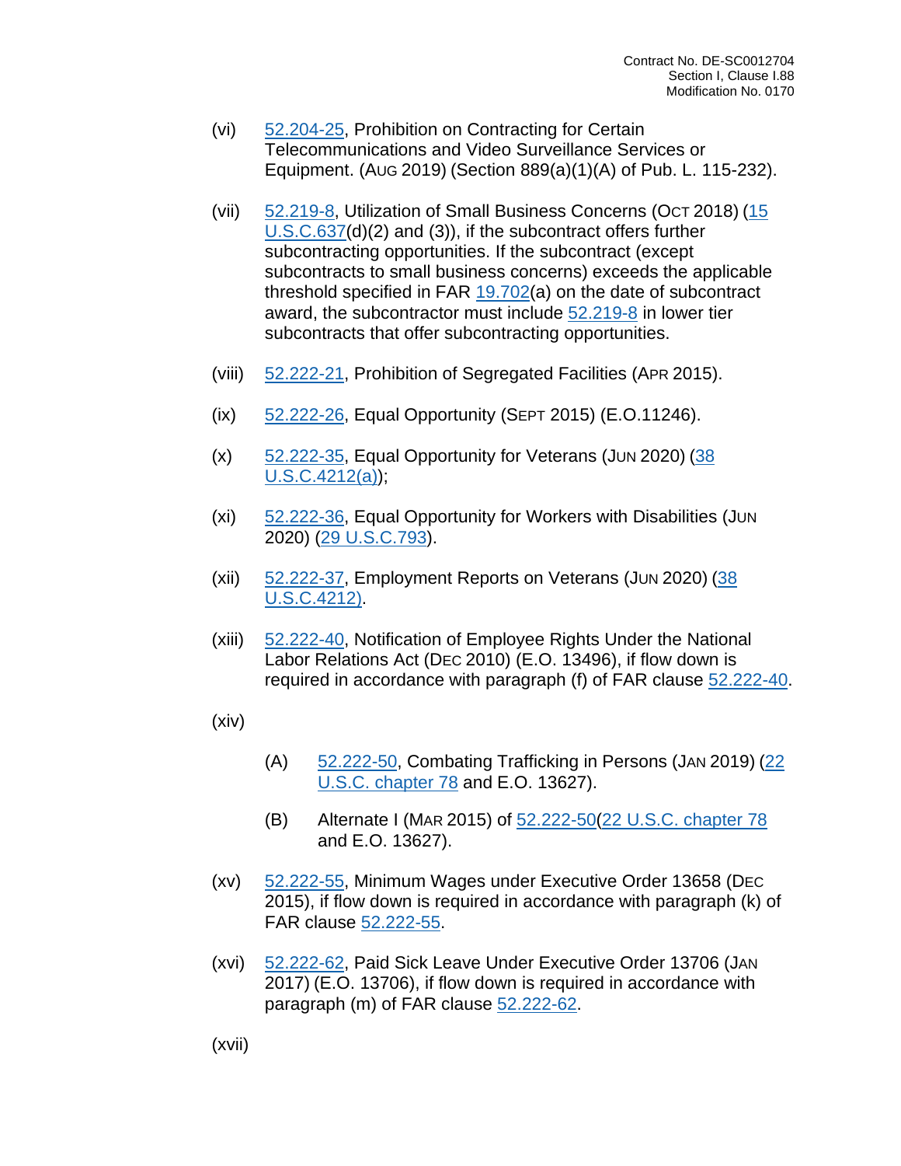- (vi) [52.204-25,](https://www.acquisition.gov/content/52204-25-prohibition-contracting-certain-telecommunications-and-video-surveillance-services-or-equipment#id1989I600I4C) Prohibition on Contracting for Certain Telecommunications and Video Surveillance Services or Equipment. (AUG 2019) (Section 889(a)(1)(A) of Pub. L. 115-232).
- (vii) [52.219-8,](https://www.acquisition.gov/content/52219-8-utilization-small-business-concerns#i52_219-8) Utilization of Small Business Concerns (OCT 2018) [\(15](http://uscode.house.gov/view.xhtml?req=granuleid:USC-prelim-title15-section637&num=0&edition=prelim) [U.S.C.637\(](http://uscode.house.gov/view.xhtml?req=granuleid:USC-prelim-title15-section637&num=0&edition=prelim)d)(2) and (3)), if the subcontract offers further subcontracting opportunities. If the subcontract (except subcontracts to small business concerns) exceeds the applicable threshold specified in FAR [19.702\(](https://www.acquisition.gov/content/19702-statutory-requirements#i1100224)a) on the date of subcontract award, the subcontractor must include [52.219-8](https://www.acquisition.gov/content/52219-8-utilization-small-business-concerns#i52_219-8) in lower tier subcontracts that offer subcontracting opportunities.
- (viii) [52.222-21,](https://www.acquisition.gov/content/52222-21-prohibition-segregated-facilities#i1055713) Prohibition of Segregated Facilities (APR 2015).
- (ix) [52.222-26,](https://www.acquisition.gov/content/52222-26-equal-opportunity#i1055793) Equal Opportunity (SEPT 2015) (E.O.11246).
- $(x)$  [52.222-35,](https://www.acquisition.gov/content/52222-35-equal-opportunity-veterans#i1056230) Equal Opportunity for Veterans (Jun 2020) [\(38](http://uscode.house.gov/browse.xhtml;jsessionid=114A3287C7B3359E597506A31FC855B3) [U.S.C.4212\(a\)\)](http://uscode.house.gov/browse.xhtml;jsessionid=114A3287C7B3359E597506A31FC855B3);
- (xi) [52.222-36,](https://www.acquisition.gov/content/52222-36-equal-opportunity-workers-disabilities#i1056250) Equal Opportunity for Workers with Disabilities (JUN 2020) (29 [U.S.C.793\)](http://uscode.house.gov/browse.xhtml;jsessionid=114A3287C7B3359E597506A31FC855B3).
- (xii) [52.222-37,](https://www.acquisition.gov/content/52222-37-employment-reports-veterans#i1056265) Employment Reports on Veterans (JUN 2020) [\(38](http://uscode.house.gov/browse.xhtml;jsessionid=114A3287C7B3359E597506A31FC855B3) [U.S.C.4212\).](http://uscode.house.gov/browse.xhtml;jsessionid=114A3287C7B3359E597506A31FC855B3)
- (xiii) [52.222-40,](https://www.acquisition.gov/content/52222-40-notification-employee-rights-under-national-labor-relations-act#i1056304) Notification of Employee Rights Under the National Labor Relations Act (DEC 2010) (E.O. 13496), if flow down is required in accordance with paragraph (f) of FAR clause [52.222-40.](https://www.acquisition.gov/content/52222-40-notification-employee-rights-under-national-labor-relations-act#i1056304)
- (xiv)
- (A) [52.222-50,](https://www.acquisition.gov/content/52222-50-combating-trafficking-persons#i1056535) Combating Trafficking in Persons (JAN 2019) [\(22](http://uscode.house.gov/browse.xhtml;jsessionid=114A3287C7B3359E597506A31FC855B3) U.S.C. [chapter](http://uscode.house.gov/browse.xhtml;jsessionid=114A3287C7B3359E597506A31FC855B3) 78 and E.O. 13627).
- (B) Alternate I (MAR 2015) of [52.222-50\(](https://www.acquisition.gov/content/52222-50-combating-trafficking-persons#i1056535)22 U.S.C. [chapter](http://uscode.house.gov/browse.xhtml;jsessionid=114A3287C7B3359E597506A31FC855B3) 78 and E.O. 13627).
- (xv) [52.222-55,](https://www.acquisition.gov/content/52222-55-minimum-wages-under-executive-order-13658#i1056818) Minimum Wages under Executive Order 13658 (DEC 2015), if flow down is required in accordance with paragraph (k) of FAR clause [52.222-55.](https://www.acquisition.gov/content/52222-55-minimum-wages-under-executive-order-13658#i1056818)
- (xvi) [52.222-62,](https://www.acquisition.gov/content/52222-62-paid-sick-leave-under-executive-order-13706#i52_222_62) Paid Sick Leave Under Executive Order 13706 (JAN 2017) (E.O. 13706), if flow down is required in accordance with paragraph (m) of FAR clause [52.222-62.](https://www.acquisition.gov/content/52222-62-paid-sick-leave-under-executive-order-13706#i52_222_62)

(xvii)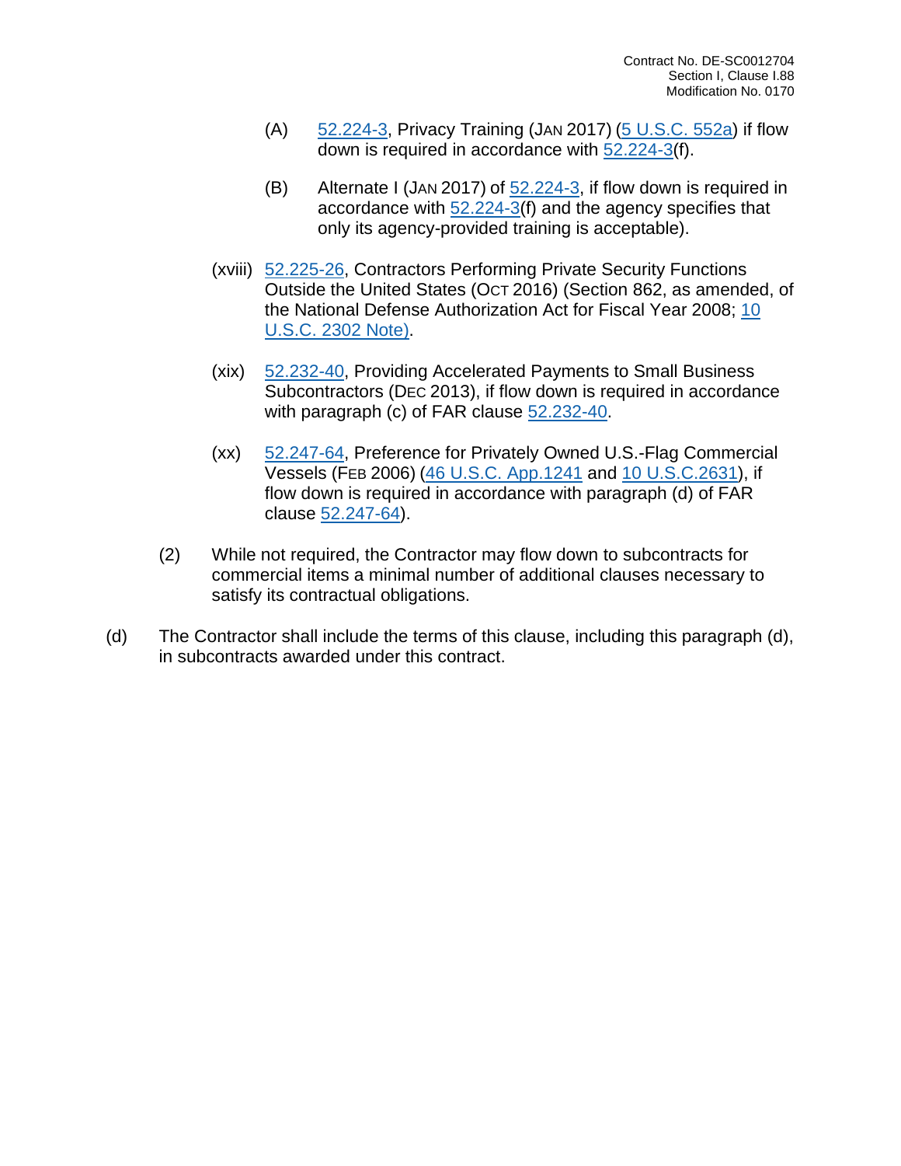- (A) [52.224-3,](https://www.acquisition.gov/content/52224-3-privacy-training#i52_224_3) Privacy Training (JAN 2017) (5 [U.S.C.](http://uscode.house.gov/view.xhtml?req=granuleid:USC-prelim-title5-section552a&num=0&edition=prelim) 552a) if flow down is required in accordance with [52.224-3\(](https://www.acquisition.gov/content/52224-3-privacy-training#i52_224_3)f).
- (B) Alternate I (JAN 2017) of [52.224-3,](https://www.acquisition.gov/content/52224-3-privacy-training#i52_224_3) if flow down is required in accordance with  $52.224-3(f)$  $52.224-3(f)$  and the agency specifies that only its agency-provided training is acceptable).
- (xviii) [52.225-26,](https://www.acquisition.gov/content/52225-26-contractors-performing-private-security-functions-outside-united-states#i1054921) Contractors Performing Private Security Functions Outside the United States (OCT 2016) (Section 862, as amended, of the National Defense Authorization Act for Fiscal Year 2008; [10](http://uscode.house.gov/browse.xhtml;jsessionid=114A3287C7B3359E597506A31FC855B3) [U.S.C.](http://uscode.house.gov/browse.xhtml;jsessionid=114A3287C7B3359E597506A31FC855B3) 2302 Note).
- (xix) [52.232-40,](https://www.acquisition.gov/content/52232-40-providing-accelerated-payments-small-business-subcontractors#i1050853) Providing Accelerated Payments to Small Business Subcontractors (DEC 2013), if flow down is required in accordance with paragraph (c) of FAR clause [52.232-40.](https://www.acquisition.gov/content/52232-40-providing-accelerated-payments-small-business-subcontractors#i1050853)
- (xx) [52.247-64,](https://www.acquisition.gov/content/52247-64-preference-privately-owned-us-flag-commercial-vessels#i1046560) Preference for Privately Owned U.S.-Flag Commercial Vessels (FEB 2006) (46 U.S.C. [App.1241](http://uscode.house.gov/browse.xhtml;jsessionid=114A3287C7B3359E597506A31FC855B3) and 10 [U.S.C.2631\)](http://uscode.house.gov/browse.xhtml;jsessionid=114A3287C7B3359E597506A31FC855B3), if flow down is required in accordance with paragraph (d) of FAR clause [52.247-64\)](https://www.acquisition.gov/content/52247-64-preference-privately-owned-us-flag-commercial-vessels#i1046560).
- (2) While not required, the Contractor may flow down to subcontracts for commercial items a minimal number of additional clauses necessary to satisfy its contractual obligations.
- (d) The Contractor shall include the terms of this clause, including this paragraph (d), in subcontracts awarded under this contract.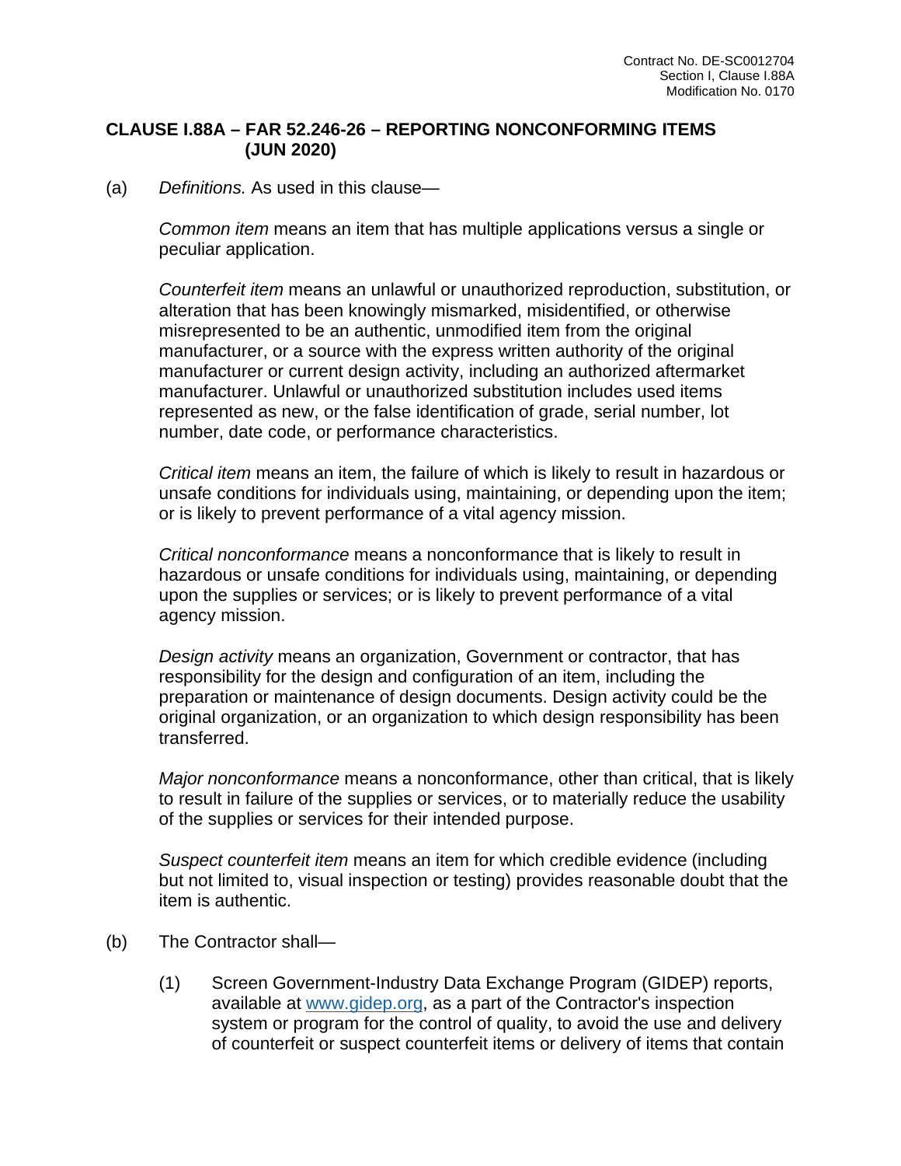#### **CLAUSE I.88A – FAR 52.246-26 – REPORTING NONCONFORMING ITEMS (JUN 2020)**

(a) *Definitions.* As used in this clause—

*Common item* means an item that has multiple applications versus a single or peculiar application.

*Counterfeit item* means an unlawful or unauthorized reproduction, substitution, or alteration that has been knowingly mismarked, misidentified, or otherwise misrepresented to be an authentic, unmodified item from the original manufacturer, or a source with the express written authority of the original manufacturer or current design activity, including an authorized aftermarket manufacturer. Unlawful or unauthorized substitution includes used items represented as new, or the false identification of grade, serial number, lot number, date code, or performance characteristics.

*Critical item* means an item, the failure of which is likely to result in hazardous or unsafe conditions for individuals using, maintaining, or depending upon the item; or is likely to prevent performance of a vital agency mission.

*Critical nonconformance* means a nonconformance that is likely to result in hazardous or unsafe conditions for individuals using, maintaining, or depending upon the supplies or services; or is likely to prevent performance of a vital agency mission.

*Design activity* means an organization, Government or contractor, that has responsibility for the design and configuration of an item, including the preparation or maintenance of design documents. Design activity could be the original organization, or an organization to which design responsibility has been transferred.

*Major nonconformance* means a nonconformance, other than critical, that is likely to result in failure of the supplies or services, or to materially reduce the usability of the supplies or services for their intended purpose.

*Suspect counterfeit item* means an item for which credible evidence (including but not limited to, visual inspection or testing) provides reasonable doubt that the item is authentic.

- (b) The Contractor shall—
	- (1) Screen Government-Industry Data Exchange Program (GIDEP) reports, available at [www.gidep.org,](http://www.gidep.org/) as a part of the Contractor's inspection system or program for the control of quality, to avoid the use and delivery of counterfeit or suspect counterfeit items or delivery of items that contain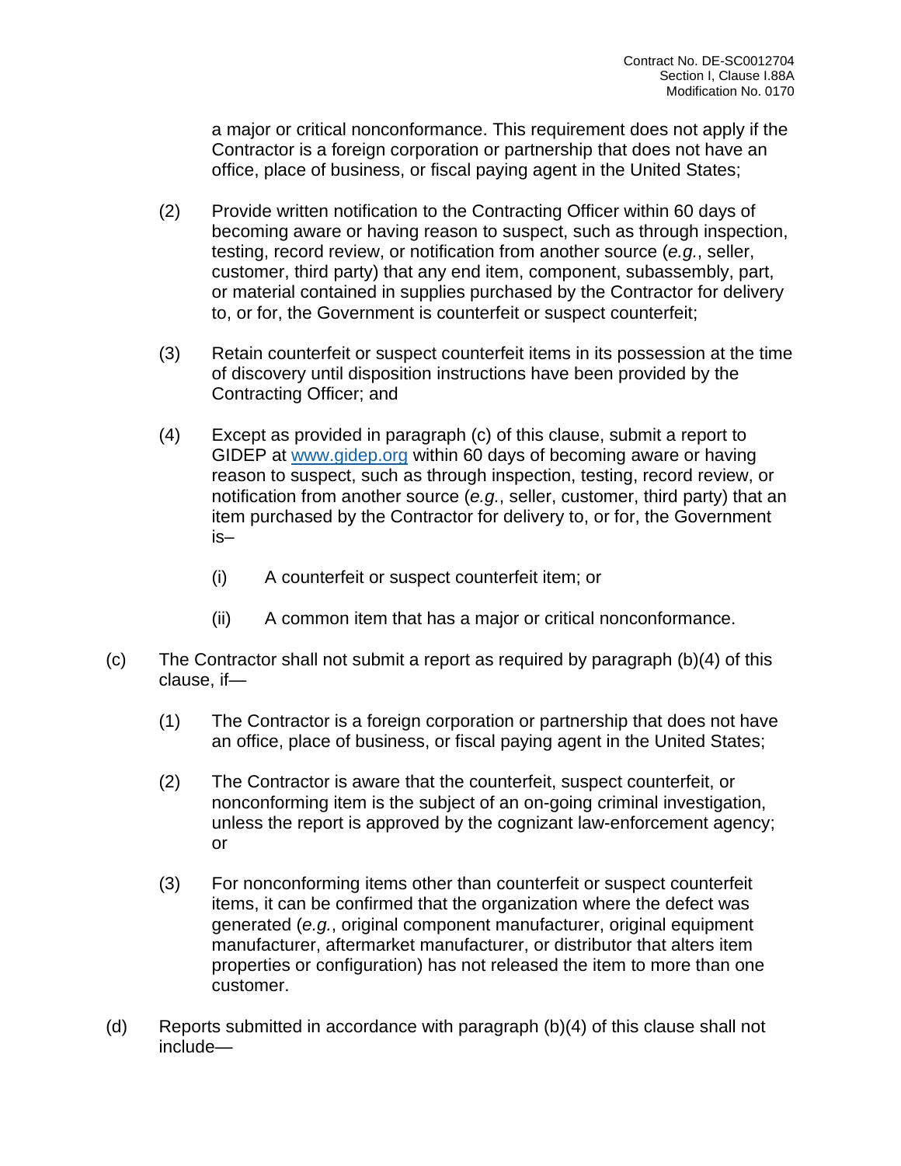a major or critical nonconformance. This requirement does not apply if the Contractor is a foreign corporation or partnership that does not have an office, place of business, or fiscal paying agent in the United States;

- (2) Provide written notification to the Contracting Officer within 60 days of becoming aware or having reason to suspect, such as through inspection, testing, record review, or notification from another source (*e.g.*, seller, customer, third party) that any end item, component, subassembly, part, or material contained in supplies purchased by the Contractor for delivery to, or for, the Government is counterfeit or suspect counterfeit;
- (3) Retain counterfeit or suspect counterfeit items in its possession at the time of discovery until disposition instructions have been provided by the Contracting Officer; and
- (4) Except as provided in paragraph (c) of this clause, submit a report to GIDEP at [www.gidep.org](http://www.gidep.org/) within 60 days of becoming aware or having reason to suspect, such as through inspection, testing, record review, or notification from another source (*e.g.*, seller, customer, third party) that an item purchased by the Contractor for delivery to, or for, the Government is–
	- (i) A counterfeit or suspect counterfeit item; or
	- (ii) A common item that has a major or critical nonconformance.
- (c) The Contractor shall not submit a report as required by paragraph (b)(4) of this clause, if—
	- (1) The Contractor is a foreign corporation or partnership that does not have an office, place of business, or fiscal paying agent in the United States;
	- (2) The Contractor is aware that the counterfeit, suspect counterfeit, or nonconforming item is the subject of an on-going criminal investigation, unless the report is approved by the cognizant law-enforcement agency; or
	- (3) For nonconforming items other than counterfeit or suspect counterfeit items, it can be confirmed that the organization where the defect was generated (*e.g.*, original component manufacturer, original equipment manufacturer, aftermarket manufacturer, or distributor that alters item properties or configuration) has not released the item to more than one customer.
- (d) Reports submitted in accordance with paragraph (b)(4) of this clause shall not include—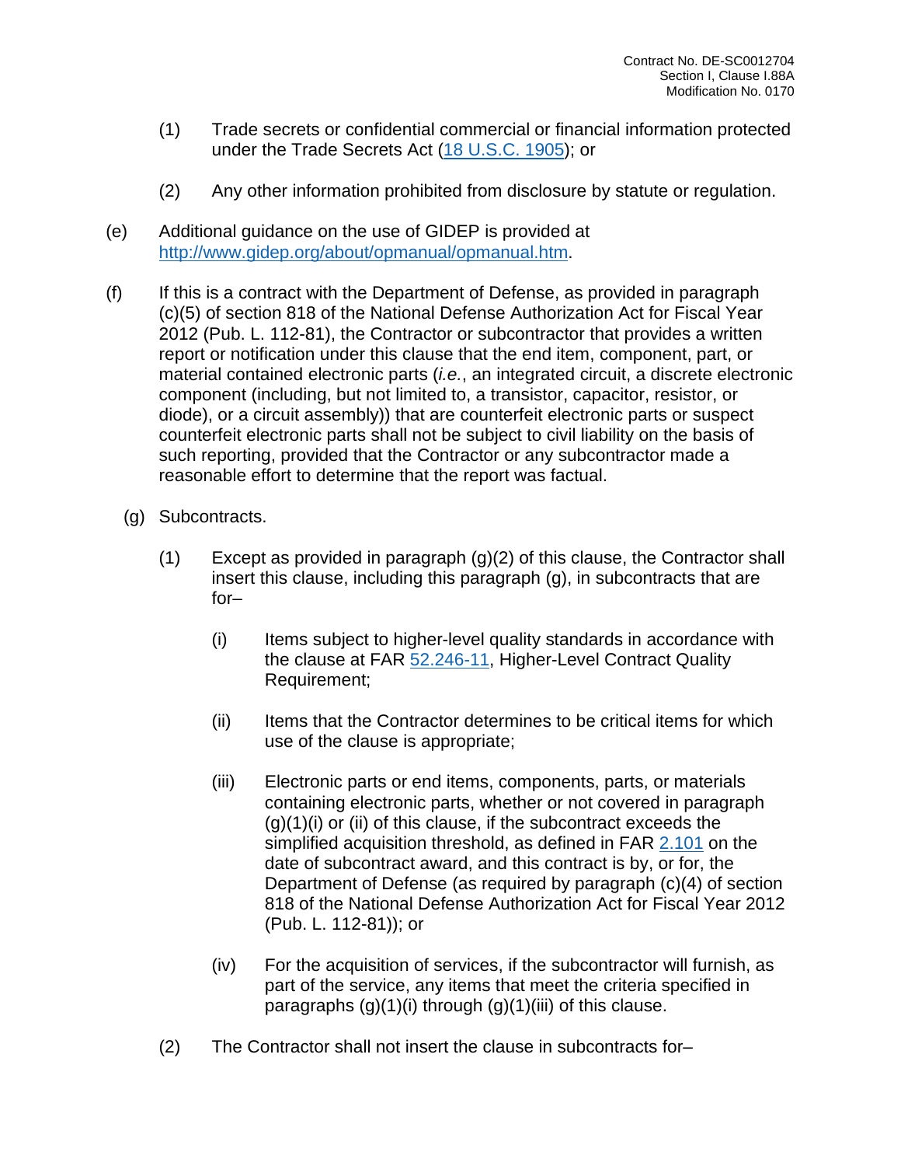- (1) Trade secrets or confidential commercial or financial information protected under the Trade Secrets Act (18 [U.S.C.](https://uscode.house.gov/view.xhtml?req=granuleid:USC-prelim-title18-section1905&num=0&edition=prelim) 1905); or
- (2) Any other information prohibited from disclosure by statute or regulation.
- (e) Additional guidance on the use of GIDEP is provided at [http://www.gidep.org/about/opmanual/opmanual.htm.](http://www.gidep.org/about/opmanual/opmanual.htm)
- $(f)$  If this is a contract with the Department of Defense, as provided in paragraph (c)(5) of section 818 of the National Defense Authorization Act for Fiscal Year 2012 (Pub. L. 112-81), the Contractor or subcontractor that provides a written report or notification under this clause that the end item, component, part, or material contained electronic parts (*i.e.*, an integrated circuit, a discrete electronic component (including, but not limited to, a transistor, capacitor, resistor, or diode), or a circuit assembly)) that are counterfeit electronic parts or suspect counterfeit electronic parts shall not be subject to civil liability on the basis of such reporting, provided that the Contractor or any subcontractor made a reasonable effort to determine that the report was factual.
	- (g) Subcontracts.
		- (1) Except as provided in paragraph (g)(2) of this clause, the Contractor shall insert this clause, including this paragraph (g), in subcontracts that are for–
			- (i) Items subject to higher-level quality standards in accordance with the clause at FAR [52.246-11,](https://www.acquisition.gov/content/52246-11-higher-level-contract-quality-requirement#i1047059) Higher-Level Contract Quality Requirement;
			- (ii) Items that the Contractor determines to be critical items for which use of the clause is appropriate;
			- (iii) Electronic parts or end items, components, parts, or materials containing electronic parts, whether or not covered in paragraph  $(g)(1)(i)$  or (ii) of this clause, if the subcontract exceeds the simplified acquisition threshold, as defined in FAR [2.101](https://www.acquisition.gov/content/2101-definitions#i1125359) on the date of subcontract award, and this contract is by, or for, the Department of Defense (as required by paragraph (c)(4) of section 818 of the National Defense Authorization Act for Fiscal Year 2012 (Pub. L. 112-81)); or
			- (iv) For the acquisition of services, if the subcontractor will furnish, as part of the service, any items that meet the criteria specified in paragraphs  $(q)(1)(i)$  through  $(q)(1)(iii)$  of this clause.
		- (2) The Contractor shall not insert the clause in subcontracts for–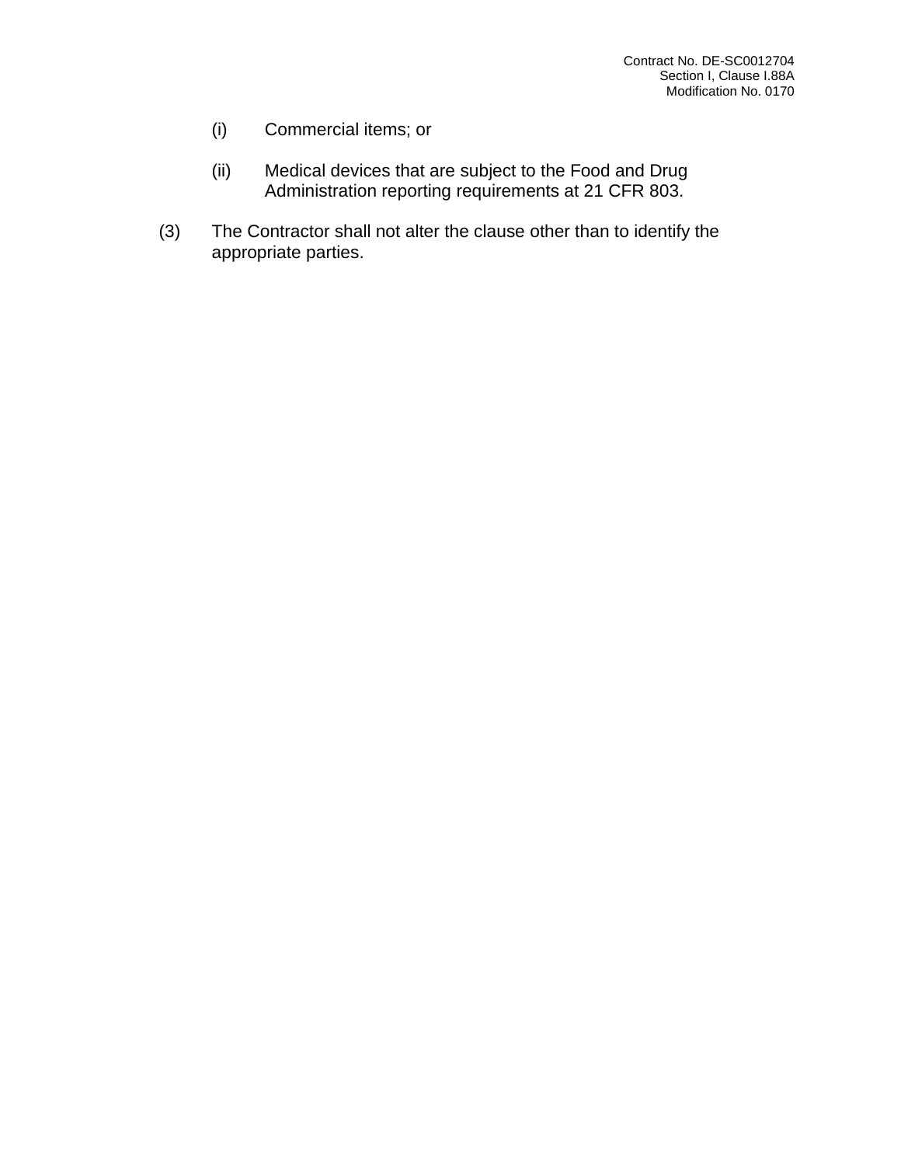- (i) Commercial items; or
- (ii) Medical devices that are subject to the Food and Drug Administration reporting requirements at 21 CFR 803.
- (3) The Contractor shall not alter the clause other than to identify the appropriate parties.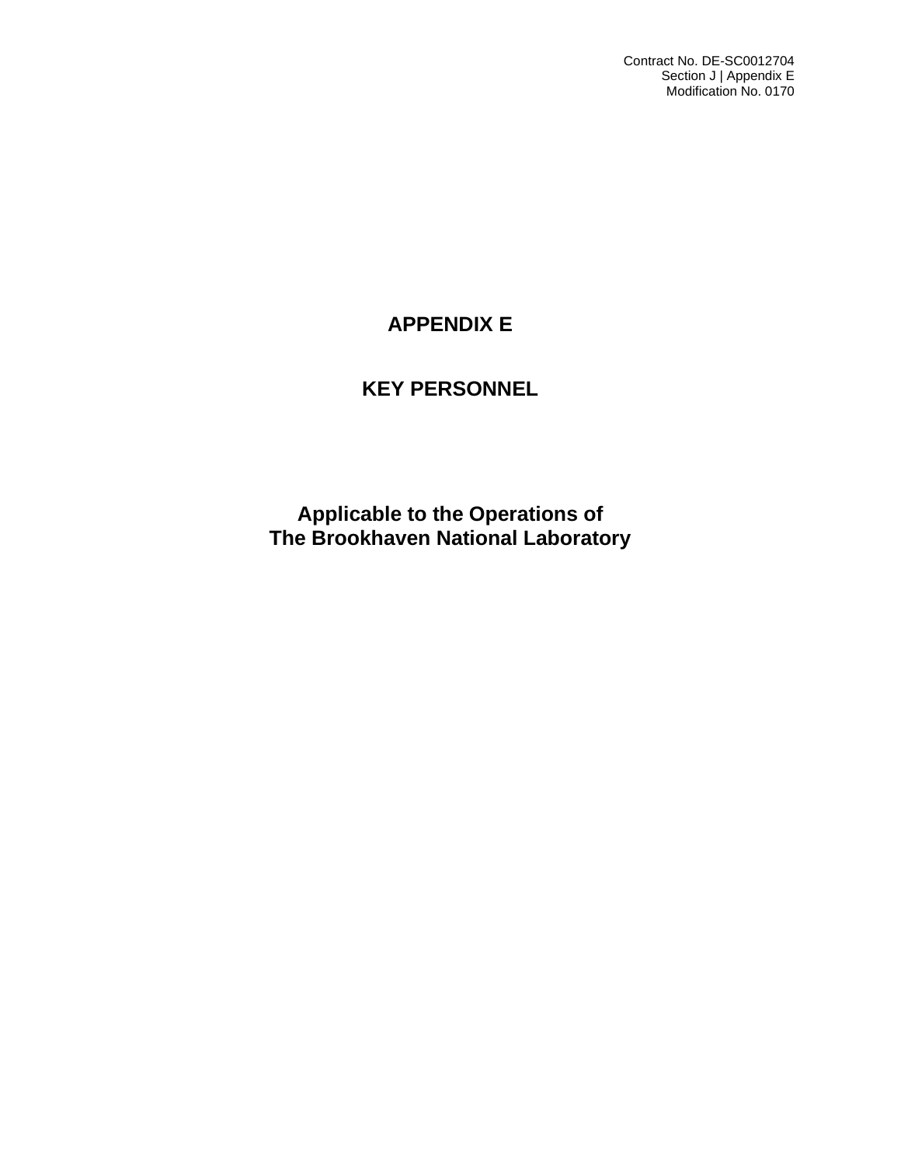Contract No. DE-SC0012704 Section J | Appendix E Modification No. 0170

## **APPENDIX E**

# **KEY PERSONNEL**

**Applicable to the Operations of The Brookhaven National Laboratory**